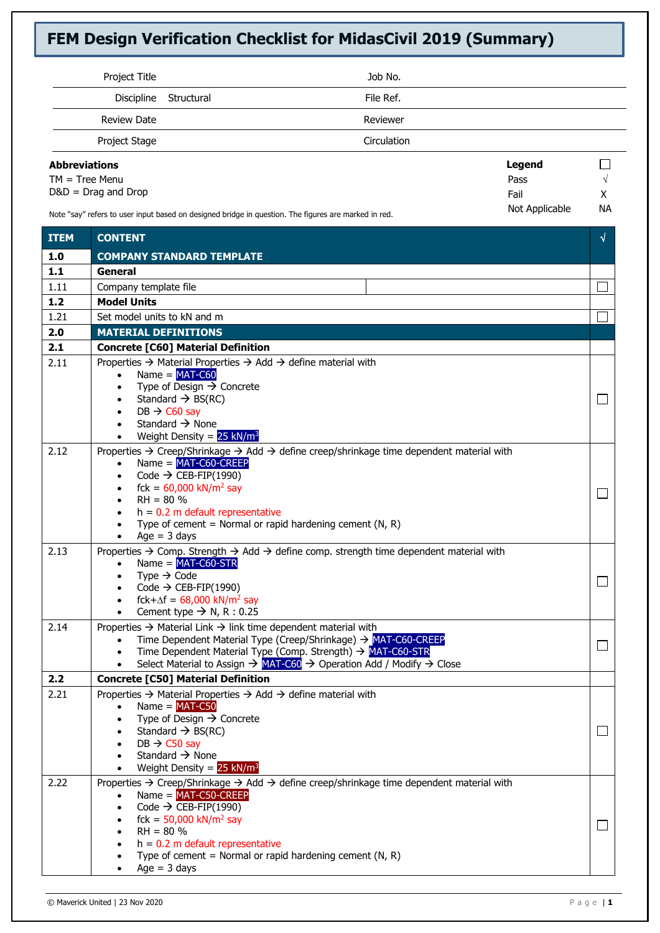| Project Title                                                                                        |            | Job No.            |                |               |
|------------------------------------------------------------------------------------------------------|------------|--------------------|----------------|---------------|
| Discipline                                                                                           | Structural | File Ref.          |                |               |
| <b>Review Date</b>                                                                                   |            | Reviewer           |                |               |
| Project Stage                                                                                        |            | <b>Circulation</b> |                |               |
| <b>Abbreviations</b>                                                                                 |            |                    | <b>Legend</b>  |               |
| $TM = Tree Menu$                                                                                     |            |                    | Pass           | $\mathcal{N}$ |
| $D&D = Drag$ and $Drop$                                                                              |            |                    | Fail           | x             |
| Note "say" refers to user input based on designed bridge in question. The figures are marked in red. |            |                    | Not Applicable | <b>NA</b>     |

**ITEM CONTENT 1.0 COMPANY STANDARD TEMPLATE 1.1 General** 1.11 Company template file **1.2 Model Units** 1.21 Set model units to kN and m  $\Box$ **2.0 MATERIAL DEFINITIONS 2.1 Concrete [C60] Material Definition** 2.11 Properties → Material Properties → Add → define material with  $Name = **MAT-C60**$ Type of Design  $\rightarrow$  Concrete • Standard  $\rightarrow$  BS(RC)  $\Box$  $DB \rightarrow CO$  sav Standard  $\rightarrow$  None Weight Density =  $25$  kN/m<sup>3</sup> 2.12 Properties → Creep/Shrinkage → Add → define creep/shrinkage time dependent material with  $Name = MAT-C60-CREF$ Code  $\rightarrow$  CEB-FIP(1990)  $fck = 60,000$  kN/m<sup>2</sup> say  $\Box$  $RH = 80%$  $h = 0.2$  m default representative Type of cement = Normal or rapid hardening cement  $(N, R)$ Age  $=$  3 days 2.13 Properties  $\rightarrow$  Comp. Strength  $\rightarrow$  Add  $\rightarrow$  define comp. strength time dependent material with Name = MAT-C60-STR Type  $\rightarrow$  Code  $\Box$  $Code \rightarrow CEB-FIP(1990)$  $fck+\Delta f = 68,000$  kN/m<sup>2</sup> say Cement type  $\rightarrow$  N, R : 0.25 2.14 Properties  $\rightarrow$  Material Link  $\rightarrow$  link time dependent material with • Time Dependent Material Type (Creep/Shrinkage) → MAT-C60-CREEP  $\Box$ • Time Dependent Material Type (Comp. Strength)  $\rightarrow$  MAT-C60-STR • Select Material to Assign  $\rightarrow$  MAT-C60  $\rightarrow$  Operation Add / Modify  $\rightarrow$  Close **2.2 Concrete [C50] Material Definition** 2.21 Properties → Material Properties → Add → define material with  $Name = **MAT-C50**$ Type of Design  $\rightarrow$  Concrete Standard  $\rightarrow$  BS(RC)  $\Box$  $DB \rightarrow C50$  say Standard  $\rightarrow$  None Weight Density =  $25$  kN/m<sup>3</sup> 2.22 Properties  $\rightarrow$  Creep/Shrinkage  $\rightarrow$  Add  $\rightarrow$  define creep/shrinkage time dependent material with • Name = MAT-C50-CREEP  $Code \rightarrow \overline{CEB-FIP(1990)}$  $fck = 50,000$  kN/m<sup>2</sup> say  $\Box$  $RH = 80\%$  $h = 0.2$  m default representative Type of cement = Normal or rapid hardening cement  $(N, R)$  $Aq$ e = 3 days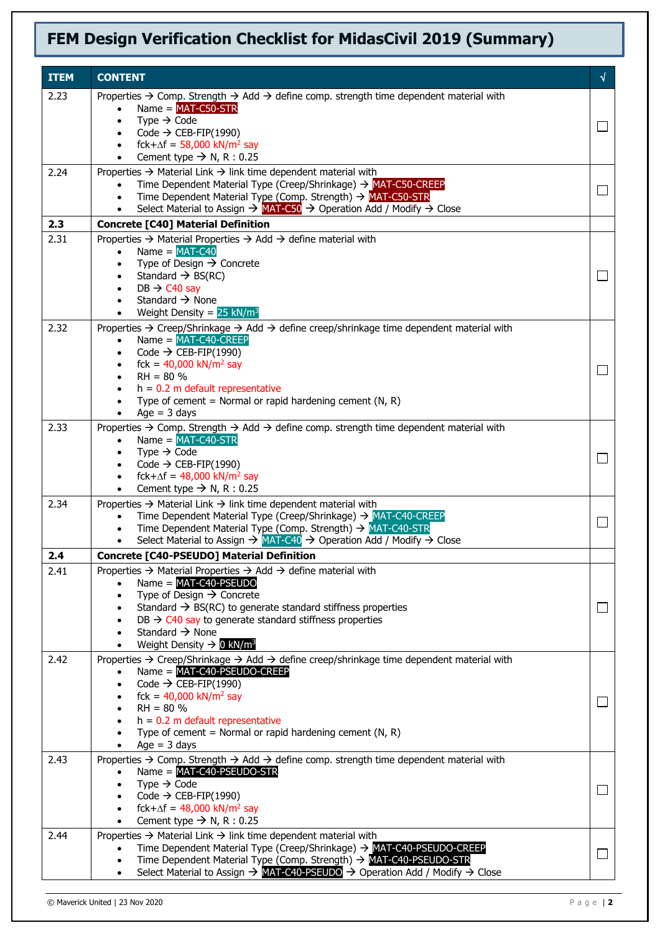| <b>ITEM</b> | <b>CONTENT</b>                                                                                                                                                                                                                                                                                                                                                                                                            | $\sqrt{ }$ |
|-------------|---------------------------------------------------------------------------------------------------------------------------------------------------------------------------------------------------------------------------------------------------------------------------------------------------------------------------------------------------------------------------------------------------------------------------|------------|
| 2.23        | Properties $\rightarrow$ Comp. Strength $\rightarrow$ Add $\rightarrow$ define comp. strength time dependent material with<br>Name = $MAT-C50-STR$<br>Type $\rightarrow$ Code<br>$\bullet$<br>Code $\rightarrow$ CEB-FIP(1990)<br>$\bullet$<br>fck+ $\Delta f = 58,000$ kN/m <sup>2</sup> say<br>$\bullet$<br>Cement type $\rightarrow$ N, R : 0.25<br>$\bullet$                                                          | $\Box$     |
| 2.24        | Properties $\rightarrow$ Material Link $\rightarrow$ link time dependent material with<br>Time Dependent Material Type (Creep/Shrinkage) $\rightarrow$ MAT-C50-CREEP<br>Time Dependent Material Type (Comp. Strength) $\rightarrow$ MAT-C50-STR<br>$\bullet$<br>Select Material to Assign $\rightarrow$ MAT-C50 $\rightarrow$ Operation Add / Modify $\rightarrow$ Close                                                  |            |
| 2.3         | <b>Concrete [C40] Material Definition</b>                                                                                                                                                                                                                                                                                                                                                                                 |            |
| 2.31        | Properties $\rightarrow$ Material Properties $\rightarrow$ Add $\rightarrow$ define material with<br>Name = $MAT-C40$<br>$\bullet$<br>Type of Design $\rightarrow$ Concrete<br>$\bullet$<br>Standard $\rightarrow$ BS(RC)<br>$\bullet$<br>$DB \rightarrow C40$ say<br>Standard $\rightarrow$ None<br>Weight Density = $25$ kN/m <sup>3</sup><br>$\bullet$                                                                 | $\Box$     |
| 2.32        | Properties $\rightarrow$ Creep/Shrinkage $\rightarrow$ Add $\rightarrow$ define creep/shrinkage time dependent material with<br>$Name = MAT-C40-CREF$<br>$\bullet$<br>Code $\rightarrow$ CEB-FIP(1990)<br>$\bullet$<br>fck = $40,000$ kN/m <sup>2</sup> say<br>$\bullet$<br>$RH = 80 \%$<br>$\bullet$<br>$h = 0.2$ m default representative<br>Type of cement = Normal or rapid hardening cement (N, R)<br>$Age = 3 days$ |            |
| 2.33        | Properties $\rightarrow$ Comp. Strength $\rightarrow$ Add $\rightarrow$ define comp. strength time dependent material with<br>$Name = MAT-C40-STR$<br>Type $\rightarrow$ Code<br>$\bullet$<br>Code $\rightarrow$ CEB-FIP(1990)<br>$\bullet$<br>fck+ $\Delta f = 48,000$ kN/m <sup>2</sup> say<br>$\bullet$<br>Cement type $\rightarrow$ N, R : 0.25<br>$\bullet$                                                          | $\Box$     |
| 2.34        | Properties $\rightarrow$ Material Link $\rightarrow$ link time dependent material with<br>Time Dependent Material Type (Creep/Shrinkage) $\rightarrow$ MAT-C40-CREEP<br>$\bullet$<br>Time Dependent Material Type (Comp. Strength) → MAT-C40-STR<br>Select Material to Assign $\rightarrow$ MAT-C40 $\rightarrow$ Operation Add / Modify $\rightarrow$ Close                                                              | $\Box$     |
| 2.4         | <b>Concrete [C40-PSEUDO] Material Definition</b>                                                                                                                                                                                                                                                                                                                                                                          |            |
| 2.41        | Properties $\rightarrow$ Material Properties $\rightarrow$ Add $\rightarrow$ define material with<br>$Name = MAT-C40-PSEUDO$<br>Type of Design $\rightarrow$ Concrete<br>$\bullet$<br>Standard $\rightarrow$ BS(RC) to generate standard stiffness properties<br>$DB \rightarrow C40$ say to generate standard stiffness properties<br>Standard $\rightarrow$ None<br>Weight Density $\rightarrow$ 0 kN/m <sup>3</sup>    |            |
| 2.42        | Properties $\rightarrow$ Creep/Shrinkage $\rightarrow$ Add $\rightarrow$ define creep/shrinkage time dependent material with<br>$Name = MAT-C40-PSEUDO-CREEP$<br>Code $\rightarrow$ CEB-FIP(1990)<br>fck = $40,000$ kN/m <sup>2</sup> say<br>$RH = 80 \%$<br>$h = 0.2$ m default representative<br>Type of cement = Normal or rapid hardening cement (N, R)<br>Age $=$ 3 days<br>$\bullet$                                |            |
| 2.43        | Properties $\rightarrow$ Comp. Strength $\rightarrow$ Add $\rightarrow$ define comp. strength time dependent material with<br>$Name = MAT-C40-PSEUDO-STR$<br>Type $\rightarrow$ Code<br>$\bullet$<br>Code $\rightarrow$ CEB-FIP(1990)<br>$\bullet$<br>fck+ $\Delta f = 48,000$ kN/m <sup>2</sup> say<br>$\bullet$<br>Cement type $\rightarrow$ N, R : 0.25                                                                |            |
| 2.44        | Properties $\rightarrow$ Material Link $\rightarrow$ link time dependent material with<br>Time Dependent Material Type (Creep/Shrinkage) > MAT-C40-PSEUDO-CREEP<br>Time Dependent Material Type (Comp. Strength) → MAT-C40-PSEUDO-STR<br>Select Material to Assign $\rightarrow$ MAT-C40-PSEUDO $\rightarrow$ Operation Add / Modify $\rightarrow$ Close                                                                  | $\Box$     |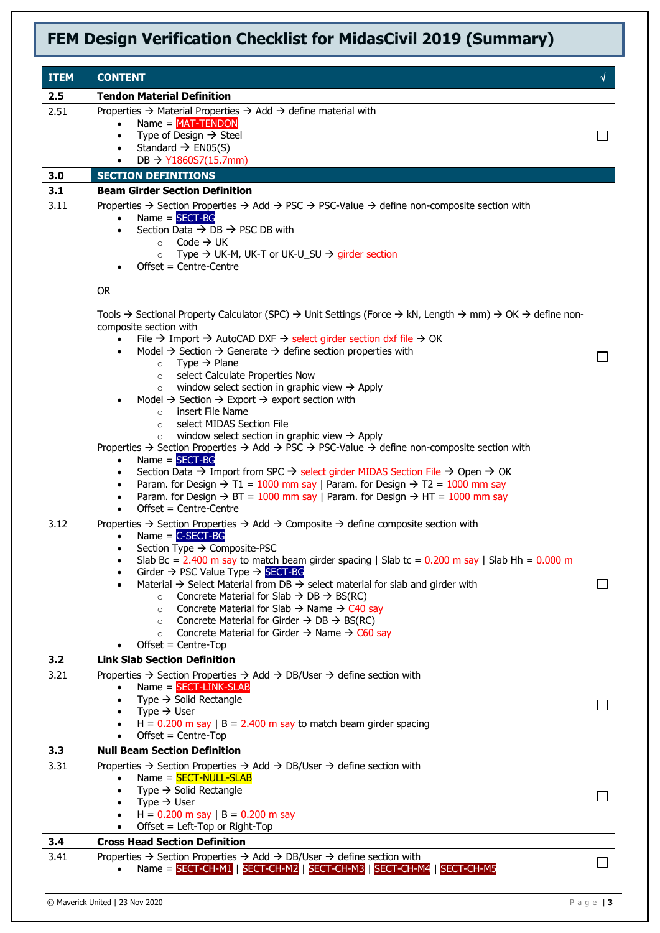| <b>ITEM</b> | <b>CONTENT</b>                                                                                                                                                                                                                                                                                                                                                                                                                                                                                                                                                                                                                                                                                                                                                                                                                                                                                                                                                                                                                                                                                                                                                                                                                                                                                                                                                                                                                                                   | √        |
|-------------|------------------------------------------------------------------------------------------------------------------------------------------------------------------------------------------------------------------------------------------------------------------------------------------------------------------------------------------------------------------------------------------------------------------------------------------------------------------------------------------------------------------------------------------------------------------------------------------------------------------------------------------------------------------------------------------------------------------------------------------------------------------------------------------------------------------------------------------------------------------------------------------------------------------------------------------------------------------------------------------------------------------------------------------------------------------------------------------------------------------------------------------------------------------------------------------------------------------------------------------------------------------------------------------------------------------------------------------------------------------------------------------------------------------------------------------------------------------|----------|
| 2.5         | <b>Tendon Material Definition</b>                                                                                                                                                                                                                                                                                                                                                                                                                                                                                                                                                                                                                                                                                                                                                                                                                                                                                                                                                                                                                                                                                                                                                                                                                                                                                                                                                                                                                                |          |
| 2.51        | Properties $\rightarrow$ Material Properties $\rightarrow$ Add $\rightarrow$ define material with<br>$Name = MAT-TENDOM$<br>Type of Design $\rightarrow$ Steel<br>$\bullet$<br>Standard $\rightarrow$ EN05(S)<br>$\bullet$<br>DB $\rightarrow$ Y1860S7(15.7mm)                                                                                                                                                                                                                                                                                                                                                                                                                                                                                                                                                                                                                                                                                                                                                                                                                                                                                                                                                                                                                                                                                                                                                                                                   |          |
| 3.0         | <b>SECTION DEFINITIONS</b>                                                                                                                                                                                                                                                                                                                                                                                                                                                                                                                                                                                                                                                                                                                                                                                                                                                                                                                                                                                                                                                                                                                                                                                                                                                                                                                                                                                                                                       |          |
| 3.1         | <b>Beam Girder Section Definition</b>                                                                                                                                                                                                                                                                                                                                                                                                                                                                                                                                                                                                                                                                                                                                                                                                                                                                                                                                                                                                                                                                                                                                                                                                                                                                                                                                                                                                                            |          |
| 3.11        | Properties $\rightarrow$ Section Properties $\rightarrow$ Add $\rightarrow$ PSC $\rightarrow$ PSC-Value $\rightarrow$ define non-composite section with<br>$Name = SECTION-BG$<br>$\bullet$<br>Section Data $\rightarrow$ DB $\rightarrow$ PSC DB with<br>$\bullet$<br>Code $\rightarrow$ UK<br>$\circ$<br>Type $\rightarrow$ UK-M, UK-T or UK-U_SU $\rightarrow$ girder section<br>$\circ$<br>Offset = Centre-Centre<br><b>OR</b>                                                                                                                                                                                                                                                                                                                                                                                                                                                                                                                                                                                                                                                                                                                                                                                                                                                                                                                                                                                                                               |          |
|             | Tools $\rightarrow$ Sectional Property Calculator (SPC) $\rightarrow$ Unit Settings (Force $\rightarrow$ kN, Length $\rightarrow$ mm) $\rightarrow$ OK $\rightarrow$ define non-<br>composite section with<br>File $\rightarrow$ Import $\rightarrow$ AutoCAD DXF $\rightarrow$ select girder section dxf file $\rightarrow$ OK<br>Model $\rightarrow$ Section $\rightarrow$ Generate $\rightarrow$ define section properties with<br>$\bullet$<br>Type $\rightarrow$ Plane<br>$\circ$<br>select Calculate Properties Now<br>$\circ$<br>window select section in graphic view $\rightarrow$ Apply<br>$\circ$<br>Model $\rightarrow$ Section $\rightarrow$ Export $\rightarrow$ export section with<br>insert File Name<br>$\circ$<br>select MIDAS Section File<br>$\circ$<br>window select section in graphic view $\rightarrow$ Apply<br>$\circ$<br>Properties $\rightarrow$ Section Properties $\rightarrow$ Add $\rightarrow$ PSC $\rightarrow$ PSC-Value $\rightarrow$ define non-composite section with<br>$Name = SECTION-BG$<br>$\bullet$<br>Section Data $\rightarrow$ Import from SPC $\rightarrow$ select girder MIDAS Section File $\rightarrow$ Open $\rightarrow$ OK<br>Param. for Design $\rightarrow$ T1 = 1000 mm say   Param. for Design $\rightarrow$ T2 = 1000 mm say<br>$\bullet$<br>Param. for Design $\rightarrow$ BT = 1000 mm say   Param. for Design $\rightarrow$ HT = 1000 mm say<br>$\bullet$<br>Offset = Centre-Centre<br>$\bullet$ | $\sim$   |
| 3.12        | Properties $\rightarrow$ Section Properties $\rightarrow$ Add $\rightarrow$ Composite $\rightarrow$ define composite section with<br>Name $=$ C-SECT-BG<br>$\bullet$<br>Section Type $\rightarrow$ Composite-PSC<br>$\bullet$<br>Slab Bc = 2.400 m say to match beam girder spacing   Slab tc = $0.200$ m say   Slab Hh = $0.000$ m<br>Girder $\rightarrow$ PSC Value Type $\rightarrow$ SECT-BG<br>Material $\rightarrow$ Select Material from DB $\rightarrow$ select material for slab and girder with<br>Concrete Material for Slab $\rightarrow$ DB $\rightarrow$ BS(RC)<br>$\circ$<br>Concrete Material for Slab $\rightarrow$ Name $\rightarrow$ C40 say<br>$\circ$<br>Concrete Material for Girder $\rightarrow$ DB $\rightarrow$ BS(RC)<br>$\circ$<br>Concrete Material for Girder $\rightarrow$ Name $\rightarrow$ C60 say<br>$\circ$<br>$Offset = Centre-Top$                                                                                                                                                                                                                                                                                                                                                                                                                                                                                                                                                                                         | $\Box$   |
| 3.2         | <b>Link Slab Section Definition</b>                                                                                                                                                                                                                                                                                                                                                                                                                                                                                                                                                                                                                                                                                                                                                                                                                                                                                                                                                                                                                                                                                                                                                                                                                                                                                                                                                                                                                              |          |
| 3.21        | Properties $\rightarrow$ Section Properties $\rightarrow$ Add $\rightarrow$ DB/User $\rightarrow$ define section with<br>$Name = SECTION-LINK-SLAB$<br>Type $\rightarrow$ Solid Rectangle<br>Type $\rightarrow$ User<br>$H = 0.200$ m say $ B = 2.400$ m say to match beam girder spacing<br>Offset = Centre-Top                                                                                                                                                                                                                                                                                                                                                                                                                                                                                                                                                                                                                                                                                                                                                                                                                                                                                                                                                                                                                                                                                                                                                 |          |
| 3.3<br>3.31 | <b>Null Beam Section Definition</b><br>Properties $\rightarrow$ Section Properties $\rightarrow$ Add $\rightarrow$ DB/User $\rightarrow$ define section with                                                                                                                                                                                                                                                                                                                                                                                                                                                                                                                                                                                                                                                                                                                                                                                                                                                                                                                                                                                                                                                                                                                                                                                                                                                                                                     |          |
|             | Name = <b>SECT-NULL-SLAB</b><br>Type $\rightarrow$ Solid Rectangle<br>Type $\rightarrow$ User<br>$\bullet$<br>H = $0.200$ m say   B = $0.200$ m say<br>$\bullet$<br>Offset = Left-Top or Right-Top                                                                                                                                                                                                                                                                                                                                                                                                                                                                                                                                                                                                                                                                                                                                                                                                                                                                                                                                                                                                                                                                                                                                                                                                                                                               | $\sqcup$ |
| 3.4         | <b>Cross Head Section Definition</b>                                                                                                                                                                                                                                                                                                                                                                                                                                                                                                                                                                                                                                                                                                                                                                                                                                                                                                                                                                                                                                                                                                                                                                                                                                                                                                                                                                                                                             |          |
| 3.41        | Properties $\rightarrow$ Section Properties $\rightarrow$ Add $\rightarrow$ DB/User $\rightarrow$ define section with<br>Name = SECT-CH-M1   SECT-CH-M2   SECT-CH-M3   SECT-CH-M4   SECT-CH-M5                                                                                                                                                                                                                                                                                                                                                                                                                                                                                                                                                                                                                                                                                                                                                                                                                                                                                                                                                                                                                                                                                                                                                                                                                                                                   | ⊔        |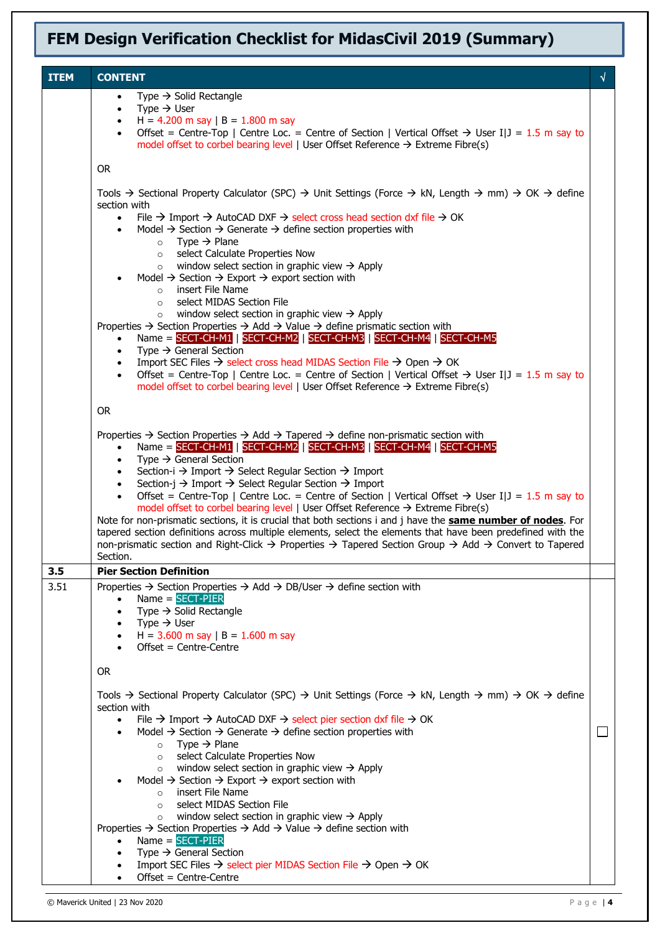| <b>ITEM</b><br><b>CONTENT</b><br>√<br>Type $\rightarrow$ Solid Rectangle<br>$\bullet$<br>Type $\rightarrow$ User<br>$\bullet$<br>H = 4.200 m say   B = 1.800 m say<br>Offset = Centre-Top   Centre Loc. = Centre of Section   Vertical Offset $\rightarrow$ User I J = 1.5 m say to<br>model offset to corbel bearing level   User Offset Reference $\rightarrow$ Extreme Fibre(s)<br><b>OR</b><br>Tools $\rightarrow$ Sectional Property Calculator (SPC) $\rightarrow$ Unit Settings (Force $\rightarrow$ kN, Length $\rightarrow$ mm) $\rightarrow$ OK $\rightarrow$ define |
|--------------------------------------------------------------------------------------------------------------------------------------------------------------------------------------------------------------------------------------------------------------------------------------------------------------------------------------------------------------------------------------------------------------------------------------------------------------------------------------------------------------------------------------------------------------------------------|
|                                                                                                                                                                                                                                                                                                                                                                                                                                                                                                                                                                                |
|                                                                                                                                                                                                                                                                                                                                                                                                                                                                                                                                                                                |
|                                                                                                                                                                                                                                                                                                                                                                                                                                                                                                                                                                                |
|                                                                                                                                                                                                                                                                                                                                                                                                                                                                                                                                                                                |
|                                                                                                                                                                                                                                                                                                                                                                                                                                                                                                                                                                                |
|                                                                                                                                                                                                                                                                                                                                                                                                                                                                                                                                                                                |
|                                                                                                                                                                                                                                                                                                                                                                                                                                                                                                                                                                                |
| section with                                                                                                                                                                                                                                                                                                                                                                                                                                                                                                                                                                   |
| File $\rightarrow$ Import $\rightarrow$ AutoCAD DXF $\rightarrow$ select cross head section dxf file $\rightarrow$ OK<br>$\bullet$<br>Model $\rightarrow$ Section $\rightarrow$ Generate $\rightarrow$ define section properties with<br>$\bullet$                                                                                                                                                                                                                                                                                                                             |
| $\circ$ Type $\rightarrow$ Plane                                                                                                                                                                                                                                                                                                                                                                                                                                                                                                                                               |
| select Calculate Properties Now<br>$\circ$                                                                                                                                                                                                                                                                                                                                                                                                                                                                                                                                     |
| $\circ$ window select section in graphic view $\rightarrow$ Apply<br>Model $\rightarrow$ Section $\rightarrow$ Export $\rightarrow$ export section with                                                                                                                                                                                                                                                                                                                                                                                                                        |
| insert File Name<br>$\circ$                                                                                                                                                                                                                                                                                                                                                                                                                                                                                                                                                    |
| select MIDAS Section File<br>$\circ$<br>window select section in graphic view $\rightarrow$ Apply<br>$\circ$                                                                                                                                                                                                                                                                                                                                                                                                                                                                   |
| Properties $\rightarrow$ Section Properties $\rightarrow$ Add $\rightarrow$ Value $\rightarrow$ define prismatic section with                                                                                                                                                                                                                                                                                                                                                                                                                                                  |
| Name = $SECT-CH-M1$ $SECT-CH-M2$ $SECT-CH-M3$ $SECT-CH-M4$ $SECT-CH-M5$<br>$\bullet$                                                                                                                                                                                                                                                                                                                                                                                                                                                                                           |
| Type $\rightarrow$ General Section<br>$\bullet$<br>Import SEC Files $\rightarrow$ select cross head MIDAS Section File $\rightarrow$ Open $\rightarrow$ OK<br>$\bullet$                                                                                                                                                                                                                                                                                                                                                                                                        |
| Offset = Centre-Top   Centre Loc. = Centre of Section   Vertical Offset $\rightarrow$ User I J = 1.5 m say to<br>$\bullet$                                                                                                                                                                                                                                                                                                                                                                                                                                                     |
| model offset to corbel bearing level   User Offset Reference $\rightarrow$ Extreme Fibre(s)                                                                                                                                                                                                                                                                                                                                                                                                                                                                                    |
| OR.                                                                                                                                                                                                                                                                                                                                                                                                                                                                                                                                                                            |
| Properties $\rightarrow$ Section Properties $\rightarrow$ Add $\rightarrow$ Tapered $\rightarrow$ define non-prismatic section with                                                                                                                                                                                                                                                                                                                                                                                                                                            |
| Name = $SECT-CH-M1$   $SECT-CH-M2$   $SECT-CH-M3$   $SECT-CH-M4$   $SECT-CH-M5$                                                                                                                                                                                                                                                                                                                                                                                                                                                                                                |
| Type $\rightarrow$ General Section<br>$\bullet$                                                                                                                                                                                                                                                                                                                                                                                                                                                                                                                                |
| Section-i $\rightarrow$ Import $\rightarrow$ Select Regular Section $\rightarrow$ Import<br>Section-j $\rightarrow$ Import $\rightarrow$ Select Regular Section $\rightarrow$ Import<br>$\bullet$                                                                                                                                                                                                                                                                                                                                                                              |
| Offset = Centre-Top   Centre Loc. = Centre of Section   Vertical Offset $\rightarrow$ User I J = 1.5 m say to<br>$\bullet$                                                                                                                                                                                                                                                                                                                                                                                                                                                     |
| model offset to corbel bearing level   User Offset Reference $\rightarrow$ Extreme Fibre(s)<br>Note for non-prismatic sections, it is crucial that both sections i and j have the <b>same number of nodes</b> . For                                                                                                                                                                                                                                                                                                                                                            |
| tapered section definitions across multiple elements, select the elements that have been predefined with the                                                                                                                                                                                                                                                                                                                                                                                                                                                                   |
| non-prismatic section and Right-Click $\rightarrow$ Properties $\rightarrow$ Tapered Section Group $\rightarrow$ Add $\rightarrow$ Convert to Tapered                                                                                                                                                                                                                                                                                                                                                                                                                          |
| Section.<br>3.5<br><b>Pier Section Definition</b>                                                                                                                                                                                                                                                                                                                                                                                                                                                                                                                              |
| 3.51<br>Properties $\rightarrow$ Section Properties $\rightarrow$ Add $\rightarrow$ DB/User $\rightarrow$ define section with                                                                                                                                                                                                                                                                                                                                                                                                                                                  |
| $Name = SECTION - PIER$<br>$\bullet$                                                                                                                                                                                                                                                                                                                                                                                                                                                                                                                                           |
| Type $\rightarrow$ Solid Rectangle<br>Type $\rightarrow$ User<br>$\bullet$                                                                                                                                                                                                                                                                                                                                                                                                                                                                                                     |
| H = $3.600$ m say   B = $1.600$ m say                                                                                                                                                                                                                                                                                                                                                                                                                                                                                                                                          |
| Offset = Centre-Centre                                                                                                                                                                                                                                                                                                                                                                                                                                                                                                                                                         |
| 0R                                                                                                                                                                                                                                                                                                                                                                                                                                                                                                                                                                             |
|                                                                                                                                                                                                                                                                                                                                                                                                                                                                                                                                                                                |
| Tools $\rightarrow$ Sectional Property Calculator (SPC) $\rightarrow$ Unit Settings (Force $\rightarrow$ kN, Length $\rightarrow$ mm) $\rightarrow$ OK $\rightarrow$ define<br>section with                                                                                                                                                                                                                                                                                                                                                                                    |
| File $\rightarrow$ Import $\rightarrow$ AutoCAD DXF $\rightarrow$ select pier section dxf file $\rightarrow$ OK<br>$\bullet$                                                                                                                                                                                                                                                                                                                                                                                                                                                   |
| Model $\rightarrow$ Section $\rightarrow$ Generate $\rightarrow$ define section properties with<br>L<br>Type $\rightarrow$ Plane<br>$\circ$                                                                                                                                                                                                                                                                                                                                                                                                                                    |
| o select Calculate Properties Now                                                                                                                                                                                                                                                                                                                                                                                                                                                                                                                                              |
| window select section in graphic view $\rightarrow$ Apply<br>$\circ$                                                                                                                                                                                                                                                                                                                                                                                                                                                                                                           |
| Model $\rightarrow$ Section $\rightarrow$ Export $\rightarrow$ export section with<br>insert File Name<br>$\circ$                                                                                                                                                                                                                                                                                                                                                                                                                                                              |
| select MIDAS Section File<br>$\circ$                                                                                                                                                                                                                                                                                                                                                                                                                                                                                                                                           |
| window select section in graphic view $\rightarrow$ Apply<br>$\circ$<br>Properties $\rightarrow$ Section Properties $\rightarrow$ Add $\rightarrow$ Value $\rightarrow$ define section with                                                                                                                                                                                                                                                                                                                                                                                    |
| $Name = SECTION-PIER$<br>$\bullet$                                                                                                                                                                                                                                                                                                                                                                                                                                                                                                                                             |
| Type $\rightarrow$ General Section                                                                                                                                                                                                                                                                                                                                                                                                                                                                                                                                             |
| Import SEC Files $\rightarrow$ select pier MIDAS Section File $\rightarrow$ Open $\rightarrow$ OK<br>Offset = Centre-Centre                                                                                                                                                                                                                                                                                                                                                                                                                                                    |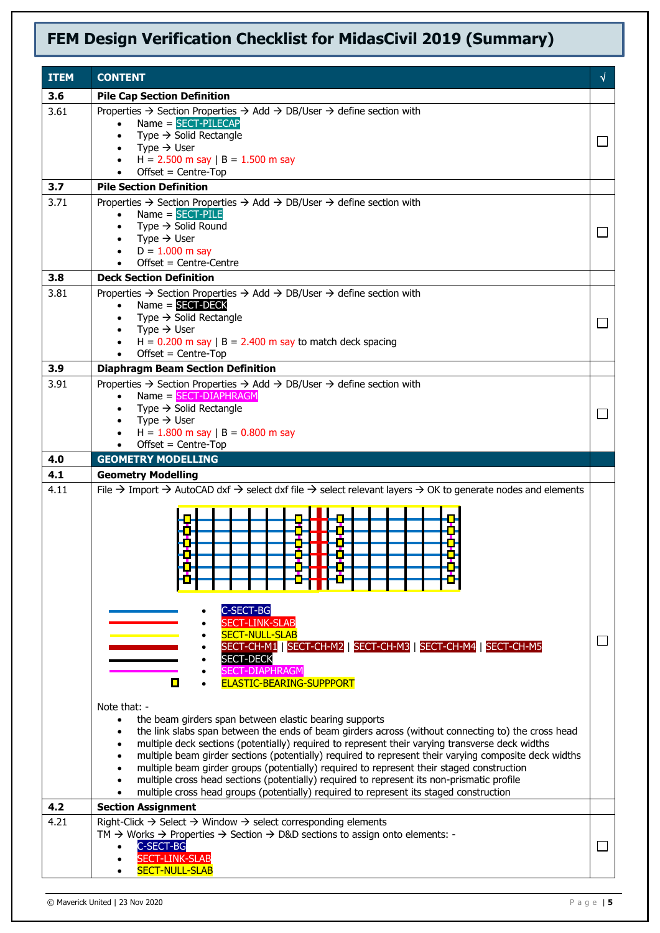| <b>ITEM</b> | <b>CONTENT</b>                                                                                                                                                                                                                                                                                                                                                                                                                                                                                                                                                                                                                                                                                                                                                                                                                                                                                                                                                                                                                                                                       | √            |
|-------------|--------------------------------------------------------------------------------------------------------------------------------------------------------------------------------------------------------------------------------------------------------------------------------------------------------------------------------------------------------------------------------------------------------------------------------------------------------------------------------------------------------------------------------------------------------------------------------------------------------------------------------------------------------------------------------------------------------------------------------------------------------------------------------------------------------------------------------------------------------------------------------------------------------------------------------------------------------------------------------------------------------------------------------------------------------------------------------------|--------------|
| 3.6         | <b>Pile Cap Section Definition</b>                                                                                                                                                                                                                                                                                                                                                                                                                                                                                                                                                                                                                                                                                                                                                                                                                                                                                                                                                                                                                                                   |              |
| 3.61        | Properties $\rightarrow$ Section Properties $\rightarrow$ Add $\rightarrow$ DB/User $\rightarrow$ define section with<br>Name = SECT-PILECAP<br>Type $\rightarrow$ Solid Rectangle<br>$\bullet$<br>Type $\rightarrow$ User<br>$\bullet$<br>H = $2.500$ m say   B = $1.500$ m say<br>$Offset = Centre-Top$                                                                                                                                                                                                                                                                                                                                                                                                                                                                                                                                                                                                                                                                                                                                                                            | L            |
| 3.7         | <b>Pile Section Definition</b>                                                                                                                                                                                                                                                                                                                                                                                                                                                                                                                                                                                                                                                                                                                                                                                                                                                                                                                                                                                                                                                       |              |
| 3.71        | Properties $\rightarrow$ Section Properties $\rightarrow$ Add $\rightarrow$ DB/User $\rightarrow$ define section with<br>$Name = SECTION-PILE$<br>Type $\rightarrow$ Solid Round<br>Type $\rightarrow$ User<br>$D = 1.000$ m say<br>Offset = Centre-Centre                                                                                                                                                                                                                                                                                                                                                                                                                                                                                                                                                                                                                                                                                                                                                                                                                           |              |
| 3.8         | <b>Deck Section Definition</b>                                                                                                                                                                                                                                                                                                                                                                                                                                                                                                                                                                                                                                                                                                                                                                                                                                                                                                                                                                                                                                                       |              |
| 3.81        | Properties $\rightarrow$ Section Properties $\rightarrow$ Add $\rightarrow$ DB/User $\rightarrow$ define section with<br>Name = SECT-DECK<br>Type $\rightarrow$ Solid Rectangle<br>Type $\rightarrow$ User<br>$\bullet$<br>$H = 0.200$ m say $ B = 2.400$ m say to match deck spacing<br>Offset = Centre-Top                                                                                                                                                                                                                                                                                                                                                                                                                                                                                                                                                                                                                                                                                                                                                                         | $\Box$       |
| 3.9         | <b>Diaphragm Beam Section Definition</b>                                                                                                                                                                                                                                                                                                                                                                                                                                                                                                                                                                                                                                                                                                                                                                                                                                                                                                                                                                                                                                             |              |
| 3.91        | Properties → Section Properties → Add → DB/User → define section with<br>$Name = SECTION-CHAPTERAGM$<br>$\bullet$<br>Type $\rightarrow$ Solid Rectangle<br>$\bullet$<br>Type $\rightarrow$ User<br>$\bullet$<br>$H = 1.800$ m say $  B = 0.800$ m say<br>$Offset = Centre-Top$                                                                                                                                                                                                                                                                                                                                                                                                                                                                                                                                                                                                                                                                                                                                                                                                       | $\mathbf{L}$ |
| 4.0<br>4.1  | <b>GEOMETRY MODELLING</b><br><b>Geometry Modelling</b>                                                                                                                                                                                                                                                                                                                                                                                                                                                                                                                                                                                                                                                                                                                                                                                                                                                                                                                                                                                                                               |              |
| 4.11        | File $\rightarrow$ Import $\rightarrow$ AutoCAD dxf $\rightarrow$ select dxf file $\rightarrow$ select relevant layers $\rightarrow$ OK to generate nodes and elements<br>C-SECT-BG<br><b>SECT-LINK-SLAB</b><br><b>SECT-NULL-SLAB</b><br>SECT-CH-M1   SECT-CH-M2   SECT-CH-M3   SECT-CH-M4   SECT-CH-M5<br><b>SECT-DECK</b><br>SECT-DIAPHRAGM<br>ELASTIC-BEARING-SUPPPORT<br>Note that: -<br>the beam girders span between elastic bearing supports<br>$\bullet$<br>the link slabs span between the ends of beam girders across (without connecting to) the cross head<br>multiple deck sections (potentially) required to represent their varying transverse deck widths<br>multiple beam girder sections (potentially) required to represent their varying composite deck widths<br>$\bullet$<br>multiple beam girder groups (potentially) required to represent their staged construction<br>multiple cross head sections (potentially) required to represent its non-prismatic profile<br>multiple cross head groups (potentially) required to represent its staged construction |              |
| 4.2         | <b>Section Assignment</b>                                                                                                                                                                                                                                                                                                                                                                                                                                                                                                                                                                                                                                                                                                                                                                                                                                                                                                                                                                                                                                                            |              |
| 4.21        | Right-Click $\rightarrow$ Select $\rightarrow$ Window $\rightarrow$ select corresponding elements<br>TM $\rightarrow$ Works $\rightarrow$ Properties $\rightarrow$ Section $\rightarrow$ D&D sections to assign onto elements: -<br>C-SECT-BG<br><b>SECT-LINK-SLAB</b><br><b>SECT-NULL-SLAB</b>                                                                                                                                                                                                                                                                                                                                                                                                                                                                                                                                                                                                                                                                                                                                                                                      | $\mathbf{L}$ |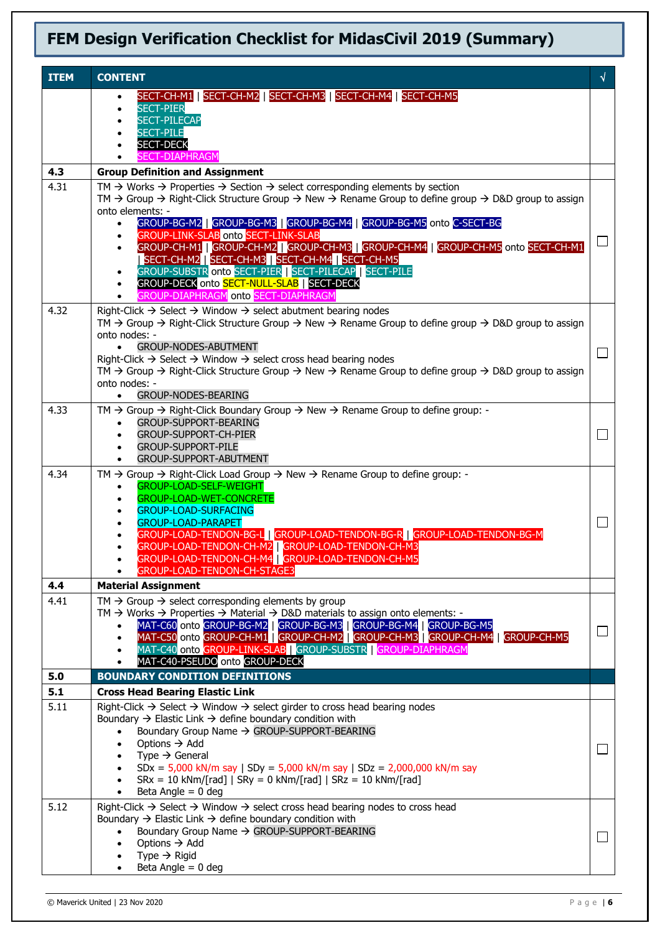| <b>ITEM</b> | <b>CONTENT</b>                                                                                                                                                                                                                                                                                                                                                                                                                                                                                                                                                                                                                                                                                                                                                                     | √      |
|-------------|------------------------------------------------------------------------------------------------------------------------------------------------------------------------------------------------------------------------------------------------------------------------------------------------------------------------------------------------------------------------------------------------------------------------------------------------------------------------------------------------------------------------------------------------------------------------------------------------------------------------------------------------------------------------------------------------------------------------------------------------------------------------------------|--------|
|             | SECT-CH-M1   SECT-CH-M2   SECT-CH-M3   SECT-CH-M4   SECT-CH-M5<br><b>SECT-PIER</b><br><b>SECT-PILECAP</b><br><b>SECT-PILE</b>                                                                                                                                                                                                                                                                                                                                                                                                                                                                                                                                                                                                                                                      |        |
|             | <b>SECT-DECK</b><br><b>SECT-DIAPHRAGM</b>                                                                                                                                                                                                                                                                                                                                                                                                                                                                                                                                                                                                                                                                                                                                          |        |
| 4.3         | <b>Group Definition and Assignment</b>                                                                                                                                                                                                                                                                                                                                                                                                                                                                                                                                                                                                                                                                                                                                             |        |
| 4.31        | TM $\rightarrow$ Works $\rightarrow$ Properties $\rightarrow$ Section $\rightarrow$ select corresponding elements by section<br>TM $\rightarrow$ Group $\rightarrow$ Right-Click Structure Group $\rightarrow$ New $\rightarrow$ Rename Group to define group $\rightarrow$ D&D group to assign<br>onto elements: -<br>GROUP-BG-M2   GROUP-BG-M3   GROUP-BG-M4   GROUP-BG-M5 onto C-SECT-BG<br>$\bullet$<br><b>GROUP-LINK-SLAB onto SECT-LINK-SLAB</b><br>$\bullet$<br>GROUP-CH-M1 GROUP-CH-M2 GROUP-CH-M3 GROUP-CH-M4 GROUP-CH-M5 onto SECT-CH-M1<br>$\bullet$<br>  SECT-CH-M2   SECT-CH-M3   SECT-CH-M4   SECT-CH-M5<br>GROUP-SUBSTR onto SECT-PIER   SECT-PILECAP   SECT-PILE<br>$\bullet$<br>GROUP-DECK onto SECT-NULL-SLAB   SECT-DECK<br>GROUP-DIAPHRAGM onto SECT-DIAPHRAGM | $\Box$ |
| 4.32        | Right-Click $\rightarrow$ Select $\rightarrow$ Window $\rightarrow$ select abutment bearing nodes<br>TM $\rightarrow$ Group $\rightarrow$ Right-Click Structure Group $\rightarrow$ New $\rightarrow$ Rename Group to define group $\rightarrow$ D&D group to assign<br>onto nodes: -<br><b>GROUP-NODES-ABUTMENT</b><br>$\bullet$<br>Right-Click $\rightarrow$ Select $\rightarrow$ Window $\rightarrow$ select cross head bearing nodes<br>TM $\rightarrow$ Group $\rightarrow$ Right-Click Structure Group $\rightarrow$ New $\rightarrow$ Rename Group to define group $\rightarrow$ D&D group to assign<br>onto nodes: -<br><b>GROUP-NODES-BEARING</b><br>$\bullet$                                                                                                            |        |
| 4.33        | TM $\rightarrow$ Group $\rightarrow$ Right-Click Boundary Group $\rightarrow$ New $\rightarrow$ Rename Group to define group: -<br>GROUP-SUPPORT-BEARING<br><b>GROUP-SUPPORT-CH-PIER</b><br>$\bullet$<br><b>GROUP-SUPPORT-PILE</b><br>GROUP-SUPPORT-ABUTMENT                                                                                                                                                                                                                                                                                                                                                                                                                                                                                                                       |        |
| 4.34        | $TM \rightarrow$ Group $\rightarrow$ Right-Click Load Group $\rightarrow$ New $\rightarrow$ Rename Group to define group: -<br><b>GROUP-LOAD-SELF-WEIGHT</b><br>$\bullet$<br><b>GROUP-LOAD-WET-CONCRETE</b><br><b>GROUP-LOAD-SURFACING</b><br><b>GROUP-LOAD-PARAPET</b><br>٠<br>GROUP-LOAD-TENDON-BG-L   GROUP-LOAD-TENDON-BG-R   GROUP-LOAD-TENDON-BG-M<br>GROUP-LOAD-TENDON-CH-M2 GROUP-LOAD-TENDON-CH-M3<br>GROUP-LOAD-TENDON-CH-M4 GROUP-LOAD-TENDON-CH-M5<br>GROUP-LOAD-TENDON-CH-STAGE3                                                                                                                                                                                                                                                                                      |        |
| 4.4         | <b>Material Assignment</b>                                                                                                                                                                                                                                                                                                                                                                                                                                                                                                                                                                                                                                                                                                                                                         |        |
| 4.41        | $TM \rightarrow$ Group $\rightarrow$ select corresponding elements by group<br>TM $\rightarrow$ Works $\rightarrow$ Properties $\rightarrow$ Material $\rightarrow$ D&D materials to assign onto elements: -<br>MAT-C60 onto GROUP-BG-M2   GROUP-BG-M3   GROUP-BG-M4   GROUP-BG-M5<br>$\bullet$<br>MAT-C50 onto GROUP-CH-M1   GROUP-CH-M2   GROUP-CH-M3   GROUP-CH-M4   GROUP-CH-M5<br>MAT-C40 onto GROUP-LINK-SLAB   GROUP-SUBSTR   GROUP-DIAPHRAGM<br>MAT-C40-PSEUDO onto GROUP-DECK                                                                                                                                                                                                                                                                                             | ⊔      |
| 5.0         | <b>BOUNDARY CONDITION DEFINITIONS</b>                                                                                                                                                                                                                                                                                                                                                                                                                                                                                                                                                                                                                                                                                                                                              |        |
| 5.1         | <b>Cross Head Bearing Elastic Link</b>                                                                                                                                                                                                                                                                                                                                                                                                                                                                                                                                                                                                                                                                                                                                             |        |
| 5.11        | Right-Click $\rightarrow$ Select $\rightarrow$ Window $\rightarrow$ select girder to cross head bearing nodes<br>Boundary $\rightarrow$ Elastic Link $\rightarrow$ define boundary condition with<br>Boundary Group Name → GROUP-SUPPORT-BEARING<br>Options $\rightarrow$ Add<br>Type $\rightarrow$ General<br>$SDx = 5,000$ kN/m say   SDy = 5,000 kN/m say   SDz = 2,000,000 kN/m say<br>$SRx = 10$ kNm/[rad]   $SRy = 0$ kNm/[rad]   $SRz = 10$ kNm/[rad]<br>Beta Angle $= 0$ deg<br>$\bullet$                                                                                                                                                                                                                                                                                  | └      |
| 5.12        | Right-Click $\rightarrow$ Select $\rightarrow$ Window $\rightarrow$ select cross head bearing nodes to cross head<br>Boundary $\rightarrow$ Elastic Link $\rightarrow$ define boundary condition with<br>Boundary Group Name → GROUP-SUPPORT-BEARING<br>Options $\rightarrow$ Add<br>٠<br>Type $\rightarrow$ Rigid<br>Beta Angle $= 0$ deg                                                                                                                                                                                                                                                                                                                                                                                                                                         | $\Box$ |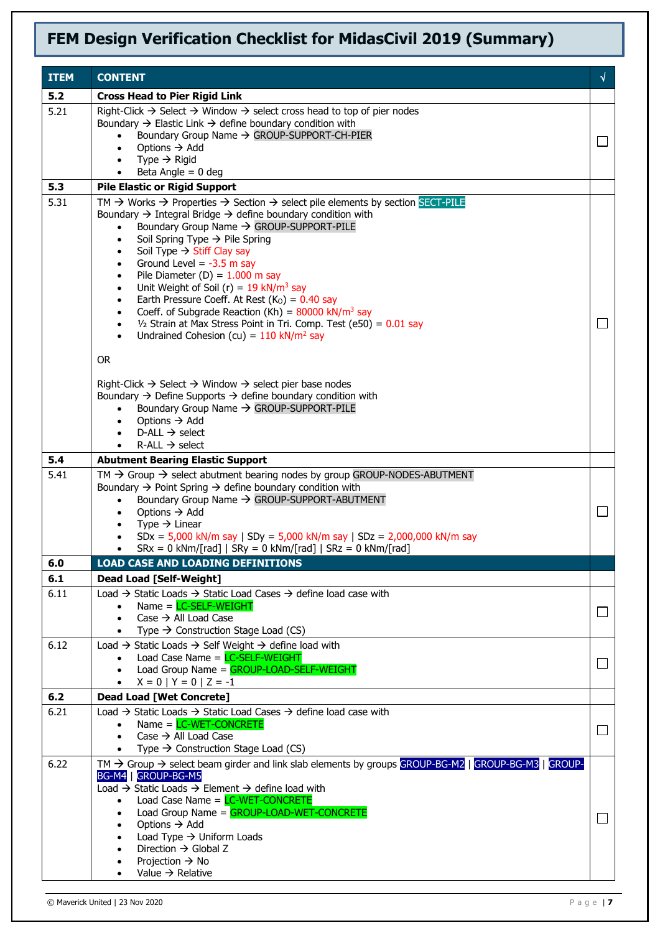| <b>ITEM</b> | <b>CONTENT</b>                                                                                                                                                                       | √      |
|-------------|--------------------------------------------------------------------------------------------------------------------------------------------------------------------------------------|--------|
| 5.2         | <b>Cross Head to Pier Rigid Link</b>                                                                                                                                                 |        |
| 5.21        | Right-Click $\rightarrow$ Select $\rightarrow$ Window $\rightarrow$ select cross head to top of pier nodes                                                                           |        |
|             | Boundary $\rightarrow$ Elastic Link $\rightarrow$ define boundary condition with<br>Boundary Group Name → GROUP-SUPPORT-CH-PIER                                                      |        |
|             | Options $\rightarrow$ Add                                                                                                                                                            |        |
|             | Type $\rightarrow$ Rigid<br>Beta Angle $= 0$ deg                                                                                                                                     |        |
| 5.3         | <b>Pile Elastic or Rigid Support</b>                                                                                                                                                 |        |
| 5.31        | TM $\rightarrow$ Works $\rightarrow$ Properties $\rightarrow$ Section $\rightarrow$ select pile elements by section SECT-PILE                                                        |        |
|             | Boundary $\rightarrow$ Integral Bridge $\rightarrow$ define boundary condition with                                                                                                  |        |
|             | Boundary Group Name → GROUP-SUPPORT-PILE<br>Soil Spring Type $\rightarrow$ Pile Spring<br>$\bullet$                                                                                  |        |
|             | Soil Type $\rightarrow$ Stiff Clay say<br>$\bullet$                                                                                                                                  |        |
|             | Ground Level = $-3.5$ m say<br>$\bullet$                                                                                                                                             |        |
|             | Pile Diameter (D) = $1.000$ m say<br>$\bullet$<br>Unit Weight of Soil (r) = $19$ kN/m <sup>3</sup> say<br>$\bullet$                                                                  |        |
|             | Earth Pressure Coeff. At Rest $(KO) = 0.40$ say<br>$\bullet$                                                                                                                         |        |
|             | Coeff. of Subgrade Reaction (Kh) = $80000$ kN/m <sup>3</sup> say<br>$\bullet$                                                                                                        |        |
|             | $1/2$ Strain at Max Stress Point in Tri. Comp. Test (e50) = $0.01$ say<br>$\bullet$<br>Undrained Cohesion (cu) = $110 \text{ kN/m}^2$ say<br>$\bullet$                               |        |
|             |                                                                                                                                                                                      |        |
|             | <b>OR</b>                                                                                                                                                                            |        |
|             | Right-Click $\rightarrow$ Select $\rightarrow$ Window $\rightarrow$ select pier base nodes                                                                                           |        |
|             | Boundary $\rightarrow$ Define Supports $\rightarrow$ define boundary condition with                                                                                                  |        |
|             | Boundary Group Name $\rightarrow$ GROUP-SUPPORT-PILE<br>$\bullet$<br>Options $\rightarrow$ Add<br>$\bullet$                                                                          |        |
|             | D-ALL $\rightarrow$ select                                                                                                                                                           |        |
|             | $R$ -ALL $\rightarrow$ select                                                                                                                                                        |        |
| 5.4         | <b>Abutment Bearing Elastic Support</b>                                                                                                                                              |        |
| 5.41        | $TM \rightarrow$ Group $\rightarrow$ select abutment bearing nodes by group GROUP-NODES-ABUTMENT<br>Boundary $\rightarrow$ Point Spring $\rightarrow$ define boundary condition with |        |
|             | Boundary Group Name → GROUP-SUPPORT-ABUTMENT<br>$\bullet$                                                                                                                            |        |
|             | Options $\rightarrow$ Add<br>$\bullet$<br>Type $\rightarrow$ Linear                                                                                                                  |        |
|             | $\bullet$<br>$SDx = 5,000$ kN/m say   SDy = 5,000 kN/m say   SDz = 2,000,000 kN/m say                                                                                                |        |
|             | $SRx = 0$ kNm/[rad]   $SRy = 0$ kNm/[rad]   $SRz = 0$ kNm/[rad]<br>$\bullet$                                                                                                         |        |
| 6.0         | <b>LOAD CASE AND LOADING DEFINITIONS</b>                                                                                                                                             |        |
| 6.1         | Dead Load [Self-Weight]                                                                                                                                                              |        |
| 6.11        | Load $\rightarrow$ Static Loads $\rightarrow$ Static Load Cases $\rightarrow$ define load case with<br>Name = $LC-SELF-WEIGHT$                                                       |        |
|             | Case $\rightarrow$ All Load Case                                                                                                                                                     |        |
|             | Type $\rightarrow$ Construction Stage Load (CS)<br>$\bullet$                                                                                                                         |        |
| 6.12        | Load $\rightarrow$ Static Loads $\rightarrow$ Self Weight $\rightarrow$ define load with<br>Load Case Name = LC-SELF-WEIGHT                                                          |        |
|             | Load Group Name = GROUP-LOAD-SELF-WEIGHT                                                                                                                                             |        |
|             | $X = 0   Y = 0   Z = -1$<br>$\bullet$                                                                                                                                                |        |
| 6.2         | <b>Dead Load [Wet Concrete]</b>                                                                                                                                                      |        |
| 6.21        | Load $\rightarrow$ Static Loads $\rightarrow$ Static Load Cases $\rightarrow$ define load case with<br>Name = $LC-WET-CONCRETE$                                                      |        |
|             | Case $\rightarrow$ All Load Case<br>$\bullet$                                                                                                                                        | $\Box$ |
|             | Type $\rightarrow$ Construction Stage Load (CS)<br>$\bullet$                                                                                                                         |        |
| 6.22        | $TM \rightarrow$ Group $\rightarrow$ select beam girder and link slab elements by groups GROUP-BG-M2   GROUP-BG-M3   GROUP-<br>BG-M4   GROUP-BG-M5                                   |        |
|             | Load $\rightarrow$ Static Loads $\rightarrow$ Element $\rightarrow$ define load with                                                                                                 |        |
|             | Load Case Name = LC-WET-CONCRETE<br>$\bullet$                                                                                                                                        |        |
|             | Load Group Name = GROUP-LOAD-WET-CONCRETE<br>Options $\rightarrow$ Add<br>$\bullet$                                                                                                  |        |
|             | Load Type $\rightarrow$ Uniform Loads                                                                                                                                                |        |
|             | Direction $\rightarrow$ Global Z<br>Projection $\rightarrow$ No                                                                                                                      |        |
|             | Value $\rightarrow$ Relative                                                                                                                                                         |        |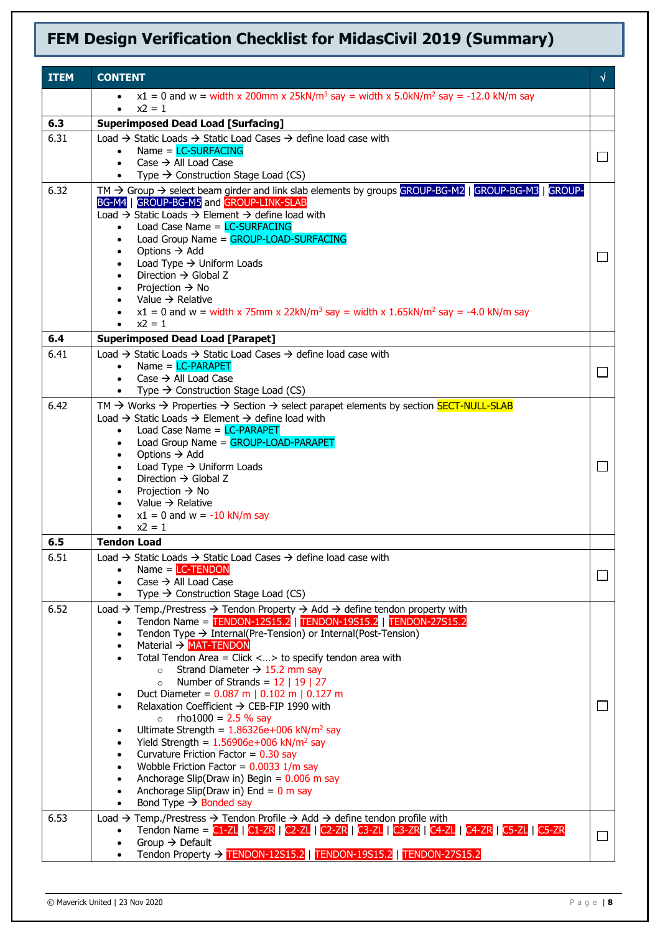| <b>ITEM</b> | <b>CONTENT</b>                                                                                                                                                                                                                       | √       |
|-------------|--------------------------------------------------------------------------------------------------------------------------------------------------------------------------------------------------------------------------------------|---------|
|             | $x1 = 0$ and w = width x 200mm x 25kN/m <sup>3</sup> say = width x 5.0kN/m <sup>2</sup> say = -12.0 kN/m say                                                                                                                         |         |
| 6.3         | $x^2 = 1$<br>$\bullet$<br><b>Superimposed Dead Load [Surfacing]</b>                                                                                                                                                                  |         |
| 6.31        | Load $\rightarrow$ Static Loads $\rightarrow$ Static Load Cases $\rightarrow$ define load case with                                                                                                                                  |         |
|             | $Name = LC-SURFACTING$<br>$\bullet$                                                                                                                                                                                                  | $\Box$  |
|             | Case $\rightarrow$ All Load Case<br>$\bullet$<br>• Type $\rightarrow$ Construction Stage Load (CS)                                                                                                                                   |         |
| 6.32        | TM $\rightarrow$ Group $\rightarrow$ select beam girder and link slab elements by groups GROUP-BG-M2   GROUP-BG-M3   GROUP-                                                                                                          |         |
|             | BG-M4   GROUP-BG-M5 and GROUP-LINK-SLAB                                                                                                                                                                                              |         |
|             | Load $\rightarrow$ Static Loads $\rightarrow$ Element $\rightarrow$ define load with<br>Load Case Name = LC-SURFACING<br>$\bullet$                                                                                                   |         |
|             | Load Group Name = GROUP-LOAD-SURFACING                                                                                                                                                                                               |         |
|             | Options $\rightarrow$ Add<br>Load Type $\rightarrow$ Uniform Loads<br>$\bullet$                                                                                                                                                      | $\Box$  |
|             | Direction $\rightarrow$ Global Z                                                                                                                                                                                                     |         |
|             | Projection $\rightarrow$ No<br>$\bullet$<br>• Value $\rightarrow$ Relative                                                                                                                                                           |         |
|             | $x1 = 0$ and w = width x 75mm x 22kN/m <sup>3</sup> say = width x 1.65kN/m <sup>2</sup> say = -4.0 kN/m say                                                                                                                          |         |
|             | • $x^2 = 1$                                                                                                                                                                                                                          |         |
| 6.4         | <b>Superimposed Dead Load [Parapet]</b>                                                                                                                                                                                              |         |
| 6.41        | Load $\rightarrow$ Static Loads $\rightarrow$ Static Load Cases $\rightarrow$ define load case with<br>Name = $LC-PARAPET$<br>$\bullet$                                                                                              |         |
|             | Case $\rightarrow$ All Load Case<br>$\bullet$                                                                                                                                                                                        |         |
|             | Type $\rightarrow$ Construction Stage Load (CS)                                                                                                                                                                                      |         |
| 6.42        | TM $\rightarrow$ Works $\rightarrow$ Properties $\rightarrow$ Section $\rightarrow$ select parapet elements by section <b>SECT-NULL-SLAB</b><br>Load $\rightarrow$ Static Loads $\rightarrow$ Element $\rightarrow$ define load with |         |
|             | Load Case Name = $LC-PARAPET$<br>$\bullet$                                                                                                                                                                                           |         |
|             | Load Group Name = GROUP-LOAD-PARAPET<br>$\bullet$                                                                                                                                                                                    |         |
|             | Options $\rightarrow$ Add<br>$\bullet$<br>Load Type $\rightarrow$ Uniform Loads<br>$\bullet$                                                                                                                                         | $\Box$  |
|             | Direction $\rightarrow$ Global Z                                                                                                                                                                                                     |         |
|             | Projection $\rightarrow$ No<br>Value $\rightarrow$ Relative                                                                                                                                                                          |         |
|             | $x1 = 0$ and $w = -10$ kN/m say                                                                                                                                                                                                      |         |
|             | $x^2 = 1$<br>$\bullet$                                                                                                                                                                                                               |         |
| 6.5         | <b>Tendon Load</b>                                                                                                                                                                                                                   |         |
| 6.51        | Load $\rightarrow$ Static Loads $\rightarrow$ Static Load Cases $\rightarrow$ define load case with<br>$Name = LC-TENDON$                                                                                                            |         |
|             | Case $\rightarrow$ All Load Case<br>$\bullet$                                                                                                                                                                                        | $\perp$ |
|             | Type $\rightarrow$ Construction Stage Load (CS)<br>$\bullet$                                                                                                                                                                         |         |
| 6.52        | Load $\rightarrow$ Temp./Prestress $\rightarrow$ Tendon Property $\rightarrow$ Add $\rightarrow$ define tendon property with<br>Tendon Name = TENDON-12S15.2   TENDON-19S15.2   TENDON-27S15.2<br>$\bullet$                          |         |
|             | Tendon Type $\rightarrow$ Internal(Pre-Tension) or Internal(Post-Tension)<br>$\bullet$                                                                                                                                               |         |
|             | Material $\rightarrow$ MAT-TENDON<br>$\bullet$<br>Total Tendon Area = Click <> to specify tendon area with                                                                                                                           |         |
|             | $\bullet$<br>Strand Diameter $\rightarrow$ 15.2 mm say<br>$\circ$                                                                                                                                                                    |         |
|             | Number of Strands = $12 \mid 19 \mid 27$<br>$\circ$                                                                                                                                                                                  |         |
|             | Duct Diameter = $0.087$ m   0.102 m   0.127 m<br>Relaxation Coefficient $\rightarrow$ CEB-FIP 1990 with<br>$\bullet$                                                                                                                 |         |
|             | rho $1000 = 2.5 \%$ say<br>$\circ$                                                                                                                                                                                                   |         |
|             | Ultimate Strength = $1.86326e+006$ kN/m <sup>2</sup> say<br>Yield Strength = $1.56906e+006$ kN/m <sup>2</sup> say                                                                                                                    |         |
|             | Curvature Friction Factor = $0.30$ say<br>$\bullet$                                                                                                                                                                                  |         |
|             | Wobble Friction Factor = $0.0033$ 1/m say<br>$\bullet$                                                                                                                                                                               |         |
|             | Anchorage Slip(Draw in) Begin = $0.006$ m say<br>$\bullet$<br>Anchorage Slip(Draw in) End = $0$ m say                                                                                                                                |         |
|             | Bond Type $\rightarrow$ Bonded say<br>$\bullet$                                                                                                                                                                                      |         |
| 6.53        | Load $\rightarrow$ Temp./Prestress $\rightarrow$ Tendon Profile $\rightarrow$ Add $\rightarrow$ define tendon profile with                                                                                                           |         |
|             | Tendon Name = C1-ZL   C1-ZR   C2-ZL   C2-ZR   C3-ZL   C3-ZR   C4-ZL   C4-ZR   C5-ZL   C5-ZR<br>Group $\rightarrow$ Default                                                                                                           |         |
|             | Tendon Property → TENDON-12S15.2   TENDON-19S15.2   TENDON-27S15.2<br>$\bullet$                                                                                                                                                      |         |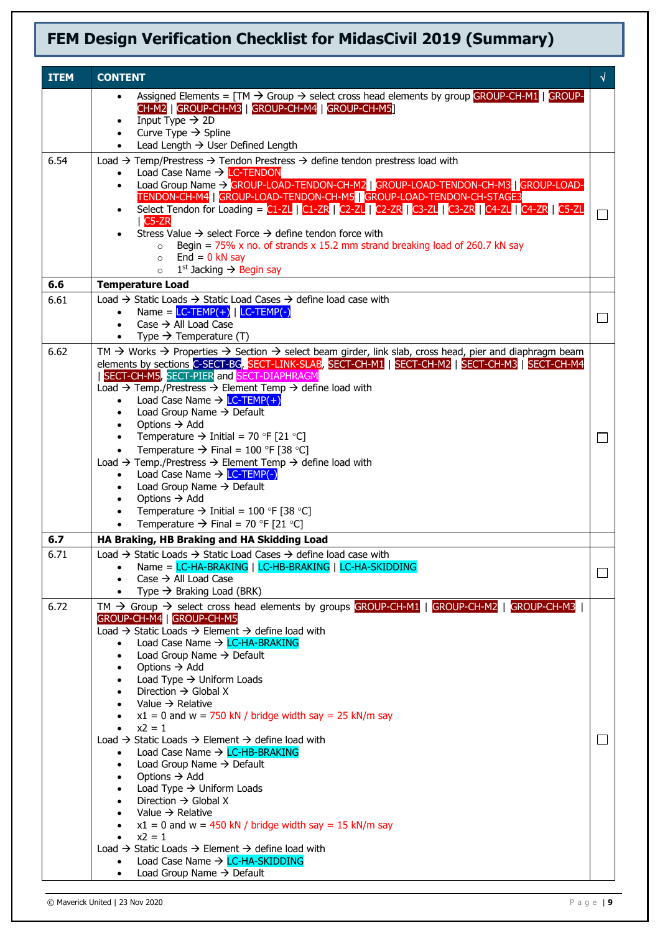| <b>ITEM</b> | <b>CONTENT</b>                                                                                                                                                                                                                                                                                                                                                                                                                                                                                                                                                                                                                                                                                                                                                                                                                                                                                                                                                                                                                                                                                                                                    | √            |
|-------------|---------------------------------------------------------------------------------------------------------------------------------------------------------------------------------------------------------------------------------------------------------------------------------------------------------------------------------------------------------------------------------------------------------------------------------------------------------------------------------------------------------------------------------------------------------------------------------------------------------------------------------------------------------------------------------------------------------------------------------------------------------------------------------------------------------------------------------------------------------------------------------------------------------------------------------------------------------------------------------------------------------------------------------------------------------------------------------------------------------------------------------------------------|--------------|
|             | Assigned Elements = $TM \rightarrow Group \rightarrow select cross$ head elements by group GROUP-CH-M1   GROUP-<br>$\bullet$<br>CH-M2   GROUP-CH-M3   GROUP-CH-M4   GROUP-CH-M5  <br>Input Type $\rightarrow$ 2D<br>Curve Type $\rightarrow$ Spline<br>Lead Length $\rightarrow$ User Defined Length                                                                                                                                                                                                                                                                                                                                                                                                                                                                                                                                                                                                                                                                                                                                                                                                                                              |              |
| 6.54        | Load $\rightarrow$ Temp/Prestress $\rightarrow$ Tendon Prestress $\rightarrow$ define tendon prestress load with<br>Load Case Name $\rightarrow$ LC-TENDON<br>Load Group Name > GROUP-LOAD-TENDON-CH-M2   GROUP-LOAD-TENDON-CH-M3   GROUP-LOAD-<br>$\bullet$<br>TENDON-CH-M4 GROUP-LOAD-TENDON-CH-M5 GROUP-LOAD-TENDON-CH-STAGE3<br>Select Tendon for Loading = $CL-ZL$   $CL-ZR$   $C2-ZL$   $C2-ZR$   $C3-ZL$   $C3-ZR$   $CA-ZL$   $CA-ZR$   $CS-ZL$<br>$\bullet$<br>$C5-ZR$<br>Stress Value $\rightarrow$ select Force $\rightarrow$ define tendon force with<br>Begin = $75\%$ x no. of strands x 15.2 mm strand breaking load of 260.7 kN say<br>$\circ$<br>$End = 0$ kN say<br>$\circ$<br>$1st$ Jacking $\rightarrow$ Begin say<br>$\circ$                                                                                                                                                                                                                                                                                                                                                                                                 |              |
| 6.6         | <b>Temperature Load</b>                                                                                                                                                                                                                                                                                                                                                                                                                                                                                                                                                                                                                                                                                                                                                                                                                                                                                                                                                                                                                                                                                                                           |              |
| 6.61        | Load $\rightarrow$ Static Loads $\rightarrow$ Static Load Cases $\rightarrow$ define load case with<br>Name = $LC-TEMP(+)$   $LC-TEMP(-)$<br>Case $\rightarrow$ All Load Case<br>$\bullet$<br>Type $\rightarrow$ Temperature (T)<br>$\bullet$                                                                                                                                                                                                                                                                                                                                                                                                                                                                                                                                                                                                                                                                                                                                                                                                                                                                                                     | $\mathsf{L}$ |
| 6.62        | TM $\rightarrow$ Works $\rightarrow$ Properties $\rightarrow$ Section $\rightarrow$ select beam girder, link slab, cross head, pier and diaphragm beam<br>elements by sections C-SECT-BG, SECT-LINK-SLAB, SECT-CH-M1   SECT-CH-M2   SECT-CH-M3   SECT-CH-M4<br>SECT-CH-M5, SECT-PIER and SECT-DIAPHRAGM<br>Load $\rightarrow$ Temp./Prestress $\rightarrow$ Element Temp $\rightarrow$ define load with<br>Load Case Name $\rightarrow$ LC-TEMP(+)<br>Load Group Name $\rightarrow$ Default<br>Options $\rightarrow$ Add<br>Temperature $\rightarrow$ Initial = 70 °F [21 °C]<br>$\bullet$<br>Temperature $\rightarrow$ Final = 100 °F [38 °C]<br>$\bullet$<br>Load $\rightarrow$ Temp./Prestress $\rightarrow$ Element Temp $\rightarrow$ define load with<br>Load Case Name $\rightarrow$ LC-TEMP(-)<br>$\bullet$<br>Load Group Name $\rightarrow$ Default<br>Options $\rightarrow$ Add<br>Temperature $\rightarrow$ Initial = 100 °F [38 °C]<br>Temperature $\rightarrow$ Final = 70 °F [21 °C]<br>$\bullet$                                                                                                                                   |              |
| 6.7         | HA Braking, HB Braking and HA Skidding Load                                                                                                                                                                                                                                                                                                                                                                                                                                                                                                                                                                                                                                                                                                                                                                                                                                                                                                                                                                                                                                                                                                       |              |
| 6.71        | Load $\rightarrow$ Static Loads $\rightarrow$ Static Load Cases $\rightarrow$ define load case with<br>Name = LC-HA-BRAKING   LC-HB-BRAKING   LC-HA-SKIDDING<br>Case $\rightarrow$ All Load Case<br>Type $\rightarrow$ Braking Load (BRK)                                                                                                                                                                                                                                                                                                                                                                                                                                                                                                                                                                                                                                                                                                                                                                                                                                                                                                         |              |
| 6.72        | TM $\rightarrow$ Group $\rightarrow$ select cross head elements by groups GROUP-CH-M1   GROUP-CH-M2   GROUP-CH-M3<br>GROUP-CH-M4   GROUP-CH-M5<br>Load $\rightarrow$ Static Loads $\rightarrow$ Element $\rightarrow$ define load with<br>Load Case Name → LC-HA-BRAKING<br>Load Group Name $\rightarrow$ Default<br>Options $\rightarrow$ Add<br>Load Type $\rightarrow$ Uniform Loads<br>Direction $\rightarrow$ Global X<br>Value $\rightarrow$ Relative<br>$x1 = 0$ and w = 750 kN / bridge width say = 25 kN/m say<br>$x^2 = 1$<br>$\bullet$<br>Load $\rightarrow$ Static Loads $\rightarrow$ Element $\rightarrow$ define load with<br>Load Case Name → LC-HB-BRAKING<br>Load Group Name $\rightarrow$ Default<br>Options $\rightarrow$ Add<br>Load Type $\rightarrow$ Uniform Loads<br>Direction $\rightarrow$ Global X<br>Value $\rightarrow$ Relative<br>$x1 = 0$ and w = 450 kN / bridge width say = 15 kN/m say<br>$x^2 = 1$<br>Load $\rightarrow$ Static Loads $\rightarrow$ Element $\rightarrow$ define load with<br>Load Case Name $\rightarrow$ LC-HA-SKIDDING<br>$\bullet$<br>Load Group Name $\rightarrow$ Default<br>$\bullet$ | $\Box$       |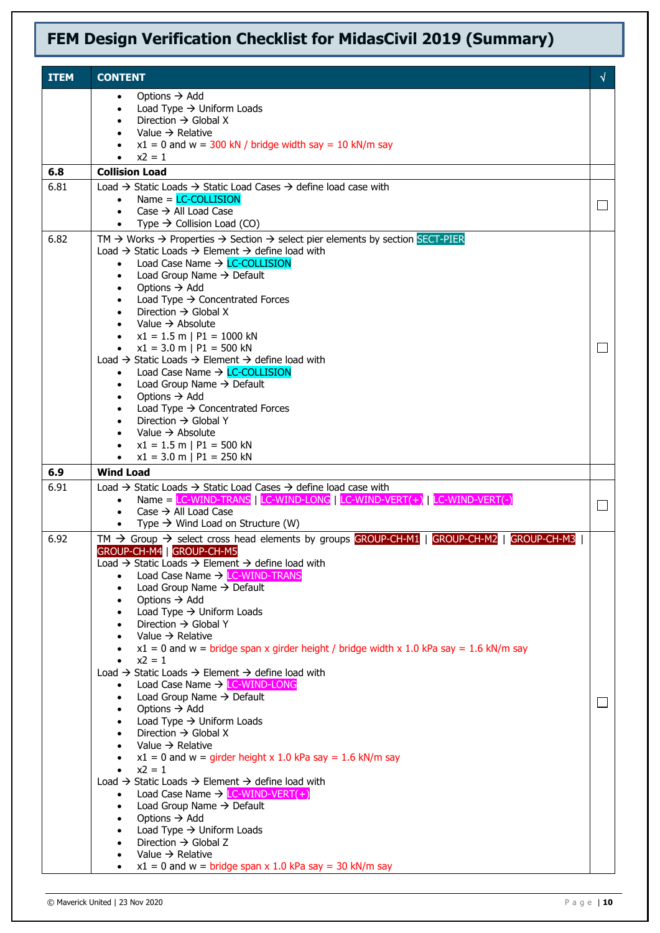| <b>ITEM</b> | <b>CONTENT</b>                                                                                                                                                                                                        | $\sqrt{ }$ |
|-------------|-----------------------------------------------------------------------------------------------------------------------------------------------------------------------------------------------------------------------|------------|
|             | Options $\rightarrow$ Add<br>$\bullet$                                                                                                                                                                                |            |
|             | Load Type $\rightarrow$ Uniform Loads<br>$\bullet$                                                                                                                                                                    |            |
|             | Direction $\rightarrow$ Global X<br>Value $\rightarrow$ Relative                                                                                                                                                      |            |
|             | $x1 = 0$ and $w = 300$ kN / bridge width say = 10 kN/m say                                                                                                                                                            |            |
|             | $x2 = 1$                                                                                                                                                                                                              |            |
| 6.8<br>6.81 | <b>Collision Load</b><br>Load $\rightarrow$ Static Loads $\rightarrow$ Static Load Cases $\rightarrow$ define load case with                                                                                          |            |
|             | $Name = LC-COLLISION$<br>$\bullet$                                                                                                                                                                                    |            |
|             | Case $\rightarrow$ All Load Case<br>$\bullet$                                                                                                                                                                         | $\Box$     |
|             | Type $\rightarrow$ Collision Load (CO)                                                                                                                                                                                |            |
| 6.82        | TM $\rightarrow$ Works $\rightarrow$ Properties $\rightarrow$ Section $\rightarrow$ select pier elements by section SECT-PIER<br>Load $\rightarrow$ Static Loads $\rightarrow$ Element $\rightarrow$ define load with |            |
|             | Load Case Name $\rightarrow$ LC-COLLISION                                                                                                                                                                             |            |
|             | Load Group Name $\rightarrow$ Default                                                                                                                                                                                 |            |
|             | Options $\rightarrow$ Add<br>$\bullet$<br>Load Type $\rightarrow$ Concentrated Forces<br>$\bullet$                                                                                                                    |            |
|             | Direction $\rightarrow$ Global X                                                                                                                                                                                      |            |
|             | Value $\rightarrow$ Absolute                                                                                                                                                                                          |            |
|             | $x1 = 1.5$ m   P1 = 1000 kN<br>• $x1 = 3.0$ m   P1 = 500 kN                                                                                                                                                           | $\Box$     |
|             | Load $\rightarrow$ Static Loads $\rightarrow$ Element $\rightarrow$ define load with                                                                                                                                  |            |
|             | Load Case Name $\rightarrow$ LC-COLLISION<br>$\bullet$<br>Load Group Name → Default                                                                                                                                   |            |
|             | $\bullet$<br>Options $\rightarrow$ Add                                                                                                                                                                                |            |
|             | Load Type $\rightarrow$ Concentrated Forces                                                                                                                                                                           |            |
|             | Direction $\rightarrow$ Global Y<br>Value $\rightarrow$ Absolute                                                                                                                                                      |            |
|             | $x1 = 1.5$ m   P1 = 500 kN<br>$\bullet$                                                                                                                                                                               |            |
|             | $x1 = 3.0$ m   P1 = 250 kN<br>$\bullet$                                                                                                                                                                               |            |
| 6.9         | <b>Wind Load</b>                                                                                                                                                                                                      |            |
| 6.91        | Load $\rightarrow$ Static Loads $\rightarrow$ Static Load Cases $\rightarrow$ define load case with<br>Name = LC-WIND-TRANS   LC-WIND-LONG   LC-WIND-VERT $(+)$   LC-WIND-VERT $(-)$<br>$\bullet$                     |            |
|             | Case $\rightarrow$ All Load Case<br>$\bullet$                                                                                                                                                                         | $\Box$     |
|             | Type $\rightarrow$ Wind Load on Structure (W)<br>$\bullet$                                                                                                                                                            |            |
| 6.92        | TM $\rightarrow$ Group $\rightarrow$ select cross head elements by groups GROUP-CH-M1   GROUP-CH-M2   GROUP-CH-M3  <br>GROUP-CH-M4 GROUP-CH-M5                                                                        |            |
|             | Load $\rightarrow$ Static Loads $\rightarrow$ Element $\rightarrow$ define load with                                                                                                                                  |            |
|             | Load Case Name → LC-WIND-TRANS                                                                                                                                                                                        |            |
|             | Load Group Name $\rightarrow$ Default<br>Options $\rightarrow$ Add<br>$\bullet$                                                                                                                                       |            |
|             | Load Type $\rightarrow$ Uniform Loads                                                                                                                                                                                 |            |
|             | Direction $\rightarrow$ Global Y                                                                                                                                                                                      |            |
|             | Value $\rightarrow$ Relative<br>$x1 = 0$ and w = bridge span x girder height / bridge width x 1.0 kPa say = 1.6 kN/m say                                                                                              |            |
|             | $x2 = 1$                                                                                                                                                                                                              |            |
|             | Load $\rightarrow$ Static Loads $\rightarrow$ Element $\rightarrow$ define load with<br>Load Case Name → LC-WIND-LONG<br>$\bullet$                                                                                    |            |
|             | Load Group Name → Default<br>$\bullet$                                                                                                                                                                                |            |
|             | Options $\rightarrow$ Add                                                                                                                                                                                             |            |
|             | Load Type $\rightarrow$ Uniform Loads<br>Direction $\rightarrow$ Global X                                                                                                                                             |            |
|             | Value $\rightarrow$ Relative                                                                                                                                                                                          |            |
|             | $x1 = 0$ and w = girder height x 1.0 kPa say = 1.6 kN/m say                                                                                                                                                           |            |
|             | $x^2 = 1$<br>Load $\rightarrow$ Static Loads $\rightarrow$ Element $\rightarrow$ define load with                                                                                                                     |            |
|             | Load Case Name $\rightarrow$ LC-WIND-VERT(+)                                                                                                                                                                          |            |
|             | Load Group Name $\rightarrow$ Default<br>$\bullet$                                                                                                                                                                    |            |
|             | Options $\rightarrow$ Add<br>$\bullet$<br>Load Type $\rightarrow$ Uniform Loads<br>$\bullet$                                                                                                                          |            |
|             | Direction $\rightarrow$ Global Z                                                                                                                                                                                      |            |
|             | Value $\rightarrow$ Relative<br>$x1 = 0$ and w = bridge span x 1.0 kPa say = 30 kN/m say                                                                                                                              |            |
|             |                                                                                                                                                                                                                       |            |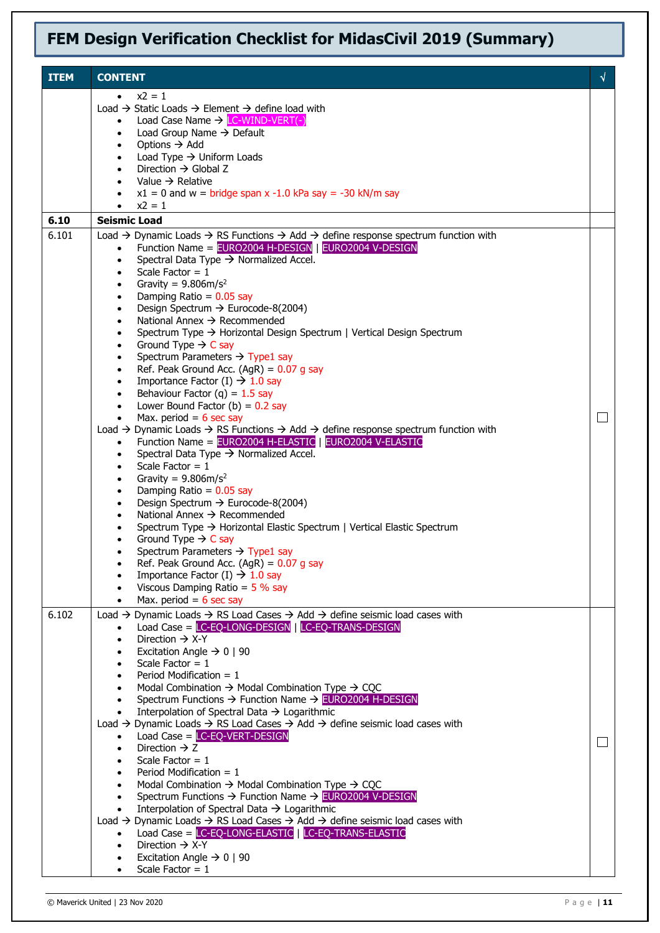| <b>ITEM</b> | <b>CONTENT</b>                                                                                                                                                                                             | √      |
|-------------|------------------------------------------------------------------------------------------------------------------------------------------------------------------------------------------------------------|--------|
|             | $x^2 = 1$                                                                                                                                                                                                  |        |
|             | Load $\rightarrow$ Static Loads $\rightarrow$ Element $\rightarrow$ define load with                                                                                                                       |        |
|             | Load Case Name $\rightarrow$ LC-WIND-VERT(-)<br>$\bullet$                                                                                                                                                  |        |
|             | Load Group Name $\rightarrow$ Default<br>$\bullet$<br>Options $\rightarrow$ Add<br>$\bullet$                                                                                                               |        |
|             | Load Type $\rightarrow$ Uniform Loads<br>$\bullet$                                                                                                                                                         |        |
|             | Direction $\rightarrow$ Global Z<br>$\bullet$                                                                                                                                                              |        |
|             | Value $\rightarrow$ Relative                                                                                                                                                                               |        |
|             | $x1 = 0$ and w = bridge span x -1.0 kPa say = -30 kN/m say<br>$x^2 = 1$<br>$\bullet$                                                                                                                       |        |
| 6.10        | <b>Seismic Load</b>                                                                                                                                                                                        |        |
| 6.101       | Load $\rightarrow$ Dynamic Loads $\rightarrow$ RS Functions $\rightarrow$ Add $\rightarrow$ define response spectrum function with                                                                         |        |
|             | Function Name = EURO2004 H-DESIGN   EURO2004 V-DESIGN                                                                                                                                                      |        |
|             | Spectral Data Type $\rightarrow$ Normalized Accel.<br>$\bullet$                                                                                                                                            |        |
|             | Scale Factor = $1$<br>$\bullet$                                                                                                                                                                            |        |
|             | Gravity = $9.806 \text{m/s}^2$<br>$\bullet$<br>Damping Ratio = $0.05$ say<br>$\bullet$                                                                                                                     |        |
|             | Design Spectrum → Eurocode-8(2004)<br>$\bullet$                                                                                                                                                            |        |
|             | National Annex $\rightarrow$ Recommended<br>$\bullet$                                                                                                                                                      |        |
|             | Spectrum Type → Horizontal Design Spectrum   Vertical Design Spectrum<br>$\bullet$                                                                                                                         |        |
|             | Ground Type $\rightarrow$ C say<br>$\bullet$                                                                                                                                                               |        |
|             | Spectrum Parameters $\rightarrow$ Type1 say<br>$\bullet$<br>Ref. Peak Ground Acc. (AgR) = $0.07$ g say<br>$\bullet$                                                                                        |        |
|             | Importance Factor (I) $\rightarrow$ 1.0 say<br>$\bullet$                                                                                                                                                   |        |
|             | Behaviour Factor (q) = $1.5$ say<br>$\bullet$                                                                                                                                                              |        |
|             | Lower Bound Factor (b) = $0.2$ say<br>$\bullet$                                                                                                                                                            |        |
|             | Max. period = $6 \text{ sec say}$<br>$\bullet$                                                                                                                                                             |        |
|             | Load $\rightarrow$ Dynamic Loads $\rightarrow$ RS Functions $\rightarrow$ Add $\rightarrow$ define response spectrum function with<br>Function Name = EURO2004 H-ELASTIC   EURO2004 V-ELASTIC<br>$\bullet$ |        |
|             | Spectral Data Type $\rightarrow$ Normalized Accel.<br>$\bullet$                                                                                                                                            |        |
|             | Scale Factor = $1$<br>$\bullet$                                                                                                                                                                            |        |
|             | Gravity = $9.806 \text{m/s}^2$<br>$\bullet$                                                                                                                                                                |        |
|             | Damping Ratio = $0.05$ say<br>$\bullet$                                                                                                                                                                    |        |
|             | Design Spectrum $\rightarrow$ Eurocode-8(2004)<br>$\bullet$<br>National Annex $\rightarrow$ Recommended                                                                                                    |        |
|             | Spectrum Type → Horizontal Elastic Spectrum   Vertical Elastic Spectrum                                                                                                                                    |        |
|             | Ground Type $\rightarrow$ C say<br>$\bullet$                                                                                                                                                               |        |
|             | Spectrum Parameters $\rightarrow$ Type1 say                                                                                                                                                                |        |
|             | Ref. Peak Ground Acc. (AgR) = $0.07$ g say<br>$\bullet$                                                                                                                                                    |        |
|             | Importance Factor (I) $\rightarrow$ 1.0 say<br>$\bullet$<br>Viscous Damping Ratio = $5\%$ say                                                                                                              |        |
|             | Max. period = $6$ sec say<br>$\bullet$                                                                                                                                                                     |        |
| 6.102       | Load $\rightarrow$ Dynamic Loads $\rightarrow$ RS Load Cases $\rightarrow$ Add $\rightarrow$ define seismic load cases with                                                                                |        |
|             | Load Case = LC-EQ-LONG-DESIGN   LC-EQ-TRANS-DESIGN                                                                                                                                                         |        |
|             | Direction $\rightarrow$ X-Y                                                                                                                                                                                |        |
|             | Excitation Angle $\rightarrow$ 0   90<br>Scale Factor = $1$                                                                                                                                                |        |
|             | $\bullet$<br>Period Modification $= 1$                                                                                                                                                                     |        |
|             | Modal Combination $\rightarrow$ Modal Combination Type $\rightarrow$ CQC                                                                                                                                   |        |
|             | Spectrum Functions $\rightarrow$ Function Name $\rightarrow$ EURO2004 H-DESIGN<br>$\bullet$                                                                                                                |        |
|             | Interpolation of Spectral Data $\rightarrow$ Logarithmic<br>$\bullet$                                                                                                                                      |        |
|             | Load $\rightarrow$ Dynamic Loads $\rightarrow$ RS Load Cases $\rightarrow$ Add $\rightarrow$ define seismic load cases with                                                                                |        |
|             | Load Case $=$ LC-EQ-VERT-DESIGN<br>$\bullet$<br>Direction $\rightarrow$ Z<br>$\bullet$                                                                                                                     | $\Box$ |
|             | Scale Factor = $1$                                                                                                                                                                                         |        |
|             | Period Modification $= 1$                                                                                                                                                                                  |        |
|             | Modal Combination $\rightarrow$ Modal Combination Type $\rightarrow$ CQC<br>$\bullet$                                                                                                                      |        |
|             | Spectrum Functions $\rightarrow$ Function Name $\rightarrow$ EURO2004 V-DESIGN<br>$\bullet$                                                                                                                |        |
|             | Interpolation of Spectral Data $\rightarrow$ Logarithmic<br>$\bullet$<br>Load $\rightarrow$ Dynamic Loads $\rightarrow$ RS Load Cases $\rightarrow$ Add $\rightarrow$ define seismic load cases with       |        |
|             | Load Case = LC-EQ-LONG-ELASTIC   LC-EQ-TRANS-ELASTIC<br>$\bullet$                                                                                                                                          |        |
|             | Direction $\rightarrow$ X-Y                                                                                                                                                                                |        |
|             | Excitation Angle $\rightarrow$ 0   90<br>$\bullet$                                                                                                                                                         |        |
|             | Scale Factor = $1$<br>$\bullet$                                                                                                                                                                            |        |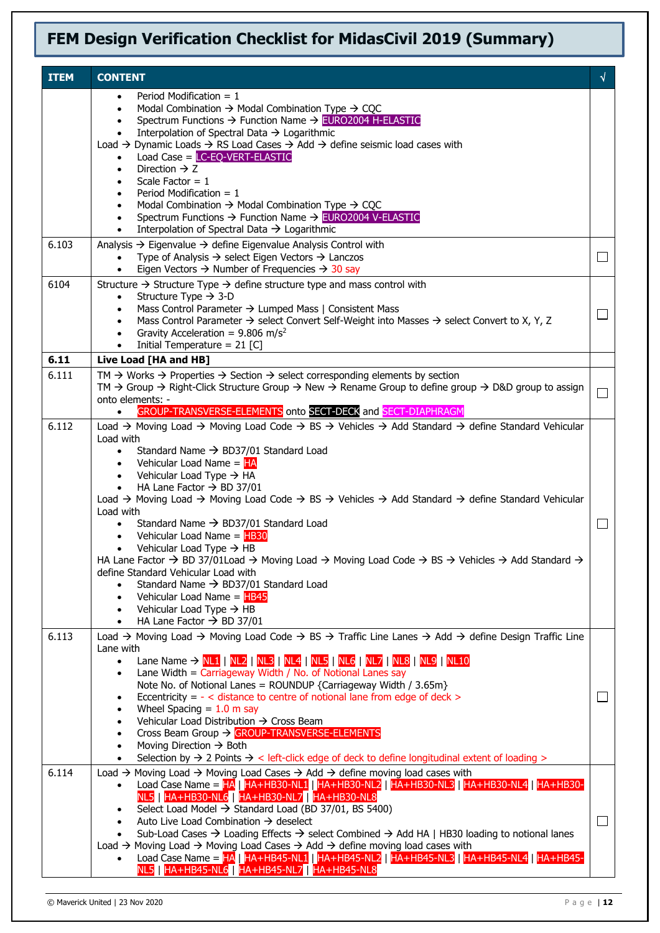| <b>ITEM</b> | <b>CONTENT</b>                                                                                                                                                                                                                                                                                                                                                                                                                                                                                                                                                                                                                                                                                                                                                                                                                                                                                                                                                                                                                                                                                                               | √                        |
|-------------|------------------------------------------------------------------------------------------------------------------------------------------------------------------------------------------------------------------------------------------------------------------------------------------------------------------------------------------------------------------------------------------------------------------------------------------------------------------------------------------------------------------------------------------------------------------------------------------------------------------------------------------------------------------------------------------------------------------------------------------------------------------------------------------------------------------------------------------------------------------------------------------------------------------------------------------------------------------------------------------------------------------------------------------------------------------------------------------------------------------------------|--------------------------|
|             | Period Modification $= 1$<br>Modal Combination $\rightarrow$ Modal Combination Type $\rightarrow$ CQC<br>$\bullet$<br>Spectrum Functions $\rightarrow$ Function Name $\rightarrow$ EURO2004 H-ELASTIC<br>Interpolation of Spectral Data → Logarithmic<br>Load → Dynamic Loads → RS Load Cases → Add → define seismic load cases with<br>Load Case = $LC-EQ-VERT-ELASTIC$<br>$\bullet$<br>Direction $\rightarrow$ Z<br>$\bullet$<br>Scale Factor = $1$<br>Period Modification $= 1$<br>Modal Combination $\rightarrow$ Modal Combination Type $\rightarrow$ CQC<br>Spectrum Functions → Function Name → EURO2004 V-ELASTIC<br>$\bullet$                                                                                                                                                                                                                                                                                                                                                                                                                                                                                       |                          |
| 6.103       | Interpolation of Spectral Data $\rightarrow$ Logarithmic<br>$\bullet$<br>Analysis $\rightarrow$ Eigenvalue $\rightarrow$ define Eigenvalue Analysis Control with                                                                                                                                                                                                                                                                                                                                                                                                                                                                                                                                                                                                                                                                                                                                                                                                                                                                                                                                                             |                          |
|             | Type of Analysis $\rightarrow$ select Eigen Vectors $\rightarrow$ Lanczos<br>$\bullet$<br>Eigen Vectors $\rightarrow$ Number of Frequencies $\rightarrow$ 30 say<br>$\bullet$                                                                                                                                                                                                                                                                                                                                                                                                                                                                                                                                                                                                                                                                                                                                                                                                                                                                                                                                                | ⊔                        |
| 6104        | Structure $\rightarrow$ Structure Type $\rightarrow$ define structure type and mass control with<br>Structure Type $\rightarrow$ 3-D<br>$\bullet$<br>Mass Control Parameter → Lumped Mass   Consistent Mass<br>$\bullet$<br>Mass Control Parameter $\rightarrow$ select Convert Self-Weight into Masses $\rightarrow$ select Convert to X, Y, Z<br>$\bullet$<br>Gravity Acceleration = $9.806$ m/s <sup>2</sup><br>$\bullet$<br>Initial Temperature = $21$ [C]                                                                                                                                                                                                                                                                                                                                                                                                                                                                                                                                                                                                                                                               |                          |
| 6.11        | Live Load [HA and HB]                                                                                                                                                                                                                                                                                                                                                                                                                                                                                                                                                                                                                                                                                                                                                                                                                                                                                                                                                                                                                                                                                                        |                          |
| 6.111       | TM $\rightarrow$ Works $\rightarrow$ Properties $\rightarrow$ Section $\rightarrow$ select corresponding elements by section<br>TM $\rightarrow$ Group $\rightarrow$ Right-Click Structure Group $\rightarrow$ New $\rightarrow$ Rename Group to define group $\rightarrow$ D&D group to assign<br>onto elements: -<br>GROUP-TRANSVERSE-ELEMENTS onto SECT-DECK and SECT-DIAPHRAGM<br>$\bullet$                                                                                                                                                                                                                                                                                                                                                                                                                                                                                                                                                                                                                                                                                                                              | $\Box$                   |
| 6.112       | Load $\rightarrow$ Moving Load $\rightarrow$ Moving Load Code $\rightarrow$ BS $\rightarrow$ Vehicles $\rightarrow$ Add Standard $\rightarrow$ define Standard Vehicular<br>Load with<br>Standard Name $\rightarrow$ BD37/01 Standard Load<br>$\bullet$<br>Vehicular Load Name = HA<br>$\bullet$<br>• Vehicular Load Type $\rightarrow$ HA<br>HA Lane Factor $\rightarrow$ BD 37/01<br>$\bullet$<br>Load → Moving Load → Moving Load Code → BS → Vehicles → Add Standard → define Standard Vehicular<br>Load with<br>Standard Name $\rightarrow$ BD37/01 Standard Load<br>$\bullet$<br>Vehicular Load Name = HB30<br>$\bullet$<br>Vehicular Load Type $\rightarrow$ HB<br>$\bullet$<br>HA Lane Factor $\rightarrow$ BD 37/01Load $\rightarrow$ Moving Load $\rightarrow$ Moving Load Code $\rightarrow$ BS $\rightarrow$ Vehicles $\rightarrow$ Add Standard $\rightarrow$<br>define Standard Vehicular Load with<br>Standard Name $\rightarrow$ BD37/01 Standard Load<br>Vehicular Load Name = HB45<br>$\bullet$<br>Vehicular Load Type $\rightarrow$ HB<br>$\bullet$<br>HA Lane Factor $\rightarrow$ BD 37/01<br>$\bullet$ |                          |
| 6.113       | Load $\rightarrow$ Moving Load $\rightarrow$ Moving Load Code $\rightarrow$ BS $\rightarrow$ Traffic Line Lanes $\rightarrow$ Add $\rightarrow$ define Design Traffic Line<br>Lane with<br>Lane Name $\rightarrow$ NL1   NL2   NL3   NL4   NL5   NL6   NL7   NL8   NL9   NL10<br>$\bullet$<br>Lane Width = $Carriageway Width / No. of Notional Lines say$<br>$\bullet$<br>Note No. of Notional Lanes = ROUNDUP {Carriageway Width / 3.65m}<br>Eccentricity = $-$ < distance to centre of notional lane from edge of deck ><br>Wheel Spacing $= 1.0$ m say<br>Vehicular Load Distribution → Cross Beam<br>$\bullet$<br>Cross Beam Group → GROUP-TRANSVERSE-ELEMENTS<br>$\bullet$<br>Moving Direction $\rightarrow$ Both<br>$\bullet$<br>Selection by $\rightarrow$ 2 Points $\rightarrow$ < left-click edge of deck to define longitudinal extent of loading ><br>$\bullet$                                                                                                                                                                                                                                                  | $\Box$                   |
| 6.114       | Load $\rightarrow$ Moving Load $\rightarrow$ Moving Load Cases $\rightarrow$ Add $\rightarrow$ define moving load cases with<br>Load Case Name = HA   HA+HB30-NL1   HA+HB30-NL2   HA+HB30-NL3   HA+HB30-NL4   HA+HB30-<br>$\bullet$<br>NL5   HA+HB30-NL6   HA+HB30-NL7   HA+HB30-NL8<br>Select Load Model $\rightarrow$ Standard Load (BD 37/01, BS 5400)<br>Auto Live Load Combination $\rightarrow$ deselect<br>$\bullet$<br>Sub-Load Cases $\rightarrow$ Loading Effects $\rightarrow$ select Combined $\rightarrow$ Add HA   HB30 loading to notional lanes<br>$\bullet$<br>Load $\rightarrow$ Moving Load $\rightarrow$ Moving Load Cases $\rightarrow$ Add $\rightarrow$ define moving load cases with<br>Load Case Name = HA   HA+HB45-NL1   HA+HB45-NL2   HA+HB45-NL3   HA+HB45-NL4   HA+HB45-<br>NL5 HA+HB45-NL6 HA+HB45-NL7   HA+HB45-NL8                                                                                                                                                                                                                                                                          | $\overline{\phantom{a}}$ |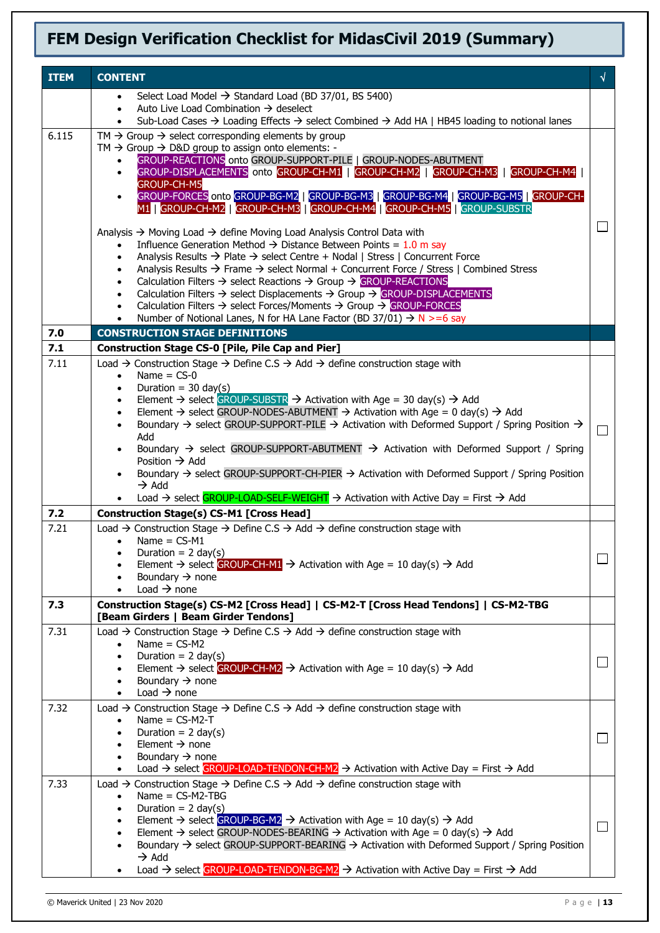| <b>ITEM</b> | <b>CONTENT</b>                                                                                                                                                                                                                      |                             |
|-------------|-------------------------------------------------------------------------------------------------------------------------------------------------------------------------------------------------------------------------------------|-----------------------------|
|             | Select Load Model $\rightarrow$ Standard Load (BD 37/01, BS 5400)                                                                                                                                                                   |                             |
|             | Auto Live Load Combination $\rightarrow$ deselect<br>$\bullet$                                                                                                                                                                      |                             |
| 6.115       | Sub-Load Cases $\rightarrow$ Loading Effects $\rightarrow$ select Combined $\rightarrow$ Add HA   HB45 loading to notional lanes<br>$TM \rightarrow$ Group $\rightarrow$ select corresponding elements by group                     |                             |
|             | TM $\rightarrow$ Group $\rightarrow$ D&D group to assign onto elements: -                                                                                                                                                           |                             |
|             | GROUP-REACTIONS onto GROUP-SUPPORT-PILE   GROUP-NODES-ABUTMENT<br>$\bullet$                                                                                                                                                         |                             |
|             | GROUP-DISPLACEMENTS onto GROUP-CH-M1   GROUP-CH-M2   GROUP-CH-M3   GROUP-CH-M4<br><b>GROUP-CH-M5</b>                                                                                                                                |                             |
|             | GROUP-FORCES onto GROUP-BG-M2   GROUP-BG-M3   GROUP-BG-M4   GROUP-BG-M5   GROUP-CH-<br>$\bullet$<br>M1   GROUP-CH-M2   GROUP-CH-M3   GROUP-CH-M4   GROUP-CH-M5   GROUP-SUBSTR                                                       |                             |
|             | Analysis $\rightarrow$ Moving Load $\rightarrow$ define Moving Load Analysis Control Data with                                                                                                                                      | $\Box$                      |
|             | Influence Generation Method $\rightarrow$ Distance Between Points = 1.0 m say                                                                                                                                                       |                             |
|             | Analysis Results $\rightarrow$ Plate $\rightarrow$ select Centre + Nodal   Stress   Concurrent Force<br>$\bullet$<br>Analysis Results $\rightarrow$ Frame $\rightarrow$ select Normal + Concurrent Force / Stress   Combined Stress |                             |
|             | $\bullet$<br>Calculation Filters $\rightarrow$ select Reactions $\rightarrow$ Group $\rightarrow$ GROUP-REACTIONS<br>$\bullet$                                                                                                      |                             |
|             | Calculation Filters $\rightarrow$ select Displacements $\rightarrow$ Group $\rightarrow$ GROUP-DISPLACEMENTS<br>$\bullet$                                                                                                           |                             |
|             | Calculation Filters $\rightarrow$ select Forces/Moments $\rightarrow$ Group $\rightarrow$ GROUP-FORCES<br>$\bullet$<br>Number of Notional Lanes, N for HA Lane Factor (BD 37/01) $\rightarrow$ N >=6 say                            |                             |
| 7.0         | <b>CONSTRUCTION STAGE DEFINITIONS</b>                                                                                                                                                                                               |                             |
| 7.1         | <b>Construction Stage CS-0 [Pile, Pile Cap and Pier]</b>                                                                                                                                                                            |                             |
| 7.11        | Load $\rightarrow$ Construction Stage $\rightarrow$ Define C.S $\rightarrow$ Add $\rightarrow$ define construction stage with                                                                                                       |                             |
|             | Name $=$ CS-0<br>$\bullet$                                                                                                                                                                                                          |                             |
|             | Duration = $30 \text{ day}(s)$<br>$\bullet$<br>Element $\rightarrow$ select GROUP-SUBSTR $\rightarrow$ Activation with Age = 30 day(s) $\rightarrow$ Add                                                                            |                             |
|             | Element $\rightarrow$ select GROUP-NODES-ABUTMENT $\rightarrow$ Activation with Age = 0 day(s) $\rightarrow$ Add                                                                                                                    |                             |
|             | Boundary $\rightarrow$ select GROUP-SUPPORT-PILE $\rightarrow$ Activation with Deformed Support / Spring Position $\rightarrow$                                                                                                     | $\Box$                      |
|             | Add<br>Boundary $\rightarrow$ select GROUP-SUPPORT-ABUTMENT $\rightarrow$ Activation with Deformed Support / Spring<br>$\bullet$                                                                                                    |                             |
|             | Position $\rightarrow$ Add                                                                                                                                                                                                          |                             |
|             | Boundary $\rightarrow$ select GROUP-SUPPORT-CH-PIER $\rightarrow$ Activation with Deformed Support / Spring Position<br>$\bullet$<br>$\rightarrow$ Add                                                                              |                             |
|             | Load → select GROUP-LOAD-SELF-WEIGHT → Activation with Active Day = First → Add                                                                                                                                                     |                             |
| 7.2         | <b>Construction Stage(s) CS-M1 [Cross Head]</b>                                                                                                                                                                                     |                             |
| 7.21        | Load $\rightarrow$ Construction Stage $\rightarrow$ Define C.S $\rightarrow$ Add $\rightarrow$ define construction stage with<br>Name $=$ CS-M1<br>$\bullet$                                                                        |                             |
|             | Duration = $2 \text{ day}(s)$                                                                                                                                                                                                       |                             |
|             | Element $\rightarrow$ select GROUP-CH-M1 $\rightarrow$ Activation with Age = 10 day(s) $\rightarrow$ Add<br>$\bullet$                                                                                                               |                             |
|             | Boundary $\rightarrow$ none<br>Load $\rightarrow$ none<br>$\bullet$                                                                                                                                                                 |                             |
| 7.3         | Construction Stage(s) CS-M2 [Cross Head]   CS-M2-T [Cross Head Tendons]   CS-M2-TBG                                                                                                                                                 |                             |
|             | [Beam Girders   Beam Girder Tendons]                                                                                                                                                                                                |                             |
| 7.31        | Load $\rightarrow$ Construction Stage $\rightarrow$ Define C.S $\rightarrow$ Add $\rightarrow$ define construction stage with                                                                                                       |                             |
|             | Name = $CS-M2$<br>Duration = $2 \text{ day}(s)$                                                                                                                                                                                     |                             |
|             | Element $\rightarrow$ select GROUP-CH-M2 $\rightarrow$ Activation with Age = 10 day(s) $\rightarrow$ Add                                                                                                                            | $\Box$                      |
|             | Boundary $\rightarrow$ none                                                                                                                                                                                                         |                             |
|             | Load $\rightarrow$ none<br>$\bullet$                                                                                                                                                                                                |                             |
| 7.32        | Load $\rightarrow$ Construction Stage $\rightarrow$ Define C.S $\rightarrow$ Add $\rightarrow$ define construction stage with<br>Name = $CS-M2-T$<br>$\bullet$                                                                      |                             |
|             | Duration = $2 \text{ day}(s)$                                                                                                                                                                                                       | $\Box$                      |
|             | Element $\rightarrow$ none                                                                                                                                                                                                          |                             |
|             | Boundary $\rightarrow$ none<br>Load $\rightarrow$ select GROUP-LOAD-TENDON-CH-M2 $\rightarrow$ Activation with Active Day = First $\rightarrow$ Add<br>$\bullet$                                                                    |                             |
| 7.33        | Load $\rightarrow$ Construction Stage $\rightarrow$ Define C.S $\rightarrow$ Add $\rightarrow$ define construction stage with                                                                                                       |                             |
|             | $Name = CS-M2-TBG$<br>$\bullet$                                                                                                                                                                                                     |                             |
|             | Duration = $2 \text{ day}(s)$<br>$\bullet$<br>Element $\rightarrow$ select GROUP-BG-M2 $\rightarrow$ Activation with Age = 10 day(s) $\rightarrow$ Add                                                                              |                             |
|             | Element $\rightarrow$ select GROUP-NODES-BEARING $\rightarrow$ Activation with Age = 0 day(s) $\rightarrow$ Add<br>$\bullet$                                                                                                        | $\mathcal{L}_{\mathcal{A}}$ |
|             | Boundary $\rightarrow$ select GROUP-SUPPORT-BEARING $\rightarrow$ Activation with Deformed Support / Spring Position<br>$\bullet$                                                                                                   |                             |
|             | $\rightarrow$ Add<br>Load → select GROUP-LOAD-TENDON-BG-M2 → Activation with Active Day = First → Add                                                                                                                               |                             |
|             |                                                                                                                                                                                                                                     |                             |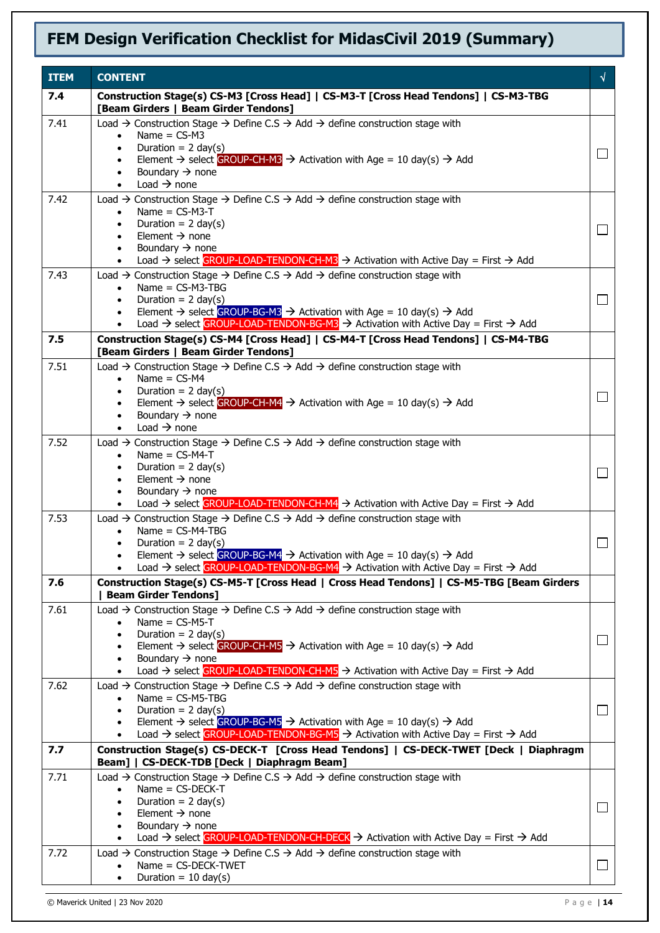| <b>ITEM</b> | <b>CONTENT</b>                                                                                                                                                                                                                                                                                                                                                                                                                                           | √      |
|-------------|----------------------------------------------------------------------------------------------------------------------------------------------------------------------------------------------------------------------------------------------------------------------------------------------------------------------------------------------------------------------------------------------------------------------------------------------------------|--------|
| 7.4         | Construction Stage(s) CS-M3 [Cross Head]   CS-M3-T [Cross Head Tendons]   CS-M3-TBG<br>[Beam Girders   Beam Girder Tendons]                                                                                                                                                                                                                                                                                                                              |        |
| 7.41        | Load $\rightarrow$ Construction Stage $\rightarrow$ Define C.S $\rightarrow$ Add $\rightarrow$ define construction stage with<br>Name $=$ CS-M3<br>$\bullet$<br>Duration = $2 \text{ day}(s)$<br>$\bullet$<br>Element $\rightarrow$ select GROUP-CH-M3 $\rightarrow$ Activation with Age = 10 day(s) $\rightarrow$ Add<br>Boundary $\rightarrow$ none<br>$\bullet$<br>Load $\rightarrow$ none<br>$\bullet$                                               | $\Box$ |
| 7.42        | Load $\rightarrow$ Construction Stage $\rightarrow$ Define C.S $\rightarrow$ Add $\rightarrow$ define construction stage with<br>Name = $CS-M3-T$<br>$\bullet$<br>Duration = $2 \text{ day}(s)$<br>$\bullet$<br>Element $\rightarrow$ none<br>$\bullet$<br>Boundary $\rightarrow$ none<br>$\bullet$<br>Load $\rightarrow$ select GROUP-LOAD-TENDON-CH-M3 $\rightarrow$ Activation with Active Day = First $\rightarrow$ Add<br>$\bullet$                 | $\Box$ |
| 7.43        | Load $\rightarrow$ Construction Stage $\rightarrow$ Define C.S $\rightarrow$ Add $\rightarrow$ define construction stage with<br>Name = $CS-M3-TBG$<br>$\bullet$<br>Duration = $2 \text{ day}(s)$<br>Element $\rightarrow$ select GROUP-BG-M3 $\rightarrow$ Activation with Age = 10 day(s) $\rightarrow$ Add<br>$\bullet$<br>Load $\rightarrow$ select GROUP-LOAD-TENDON-BG-M3 $\rightarrow$ Activation with Active Day = First $\rightarrow$ Add       | $\Box$ |
| 7.5         | Construction Stage(s) CS-M4 [Cross Head]   CS-M4-T [Cross Head Tendons]   CS-M4-TBG<br>[Beam Girders   Beam Girder Tendons]                                                                                                                                                                                                                                                                                                                              |        |
| 7.51        | Load $\rightarrow$ Construction Stage $\rightarrow$ Define C.S $\rightarrow$ Add $\rightarrow$ define construction stage with<br>Name = $CS-M4$<br>$\bullet$<br>Duration = $2 \text{ day}(s)$<br>$\bullet$<br>Element $\rightarrow$ select GROUP-CH-M4 $\rightarrow$ Activation with Age = 10 day(s) $\rightarrow$ Add<br>$\bullet$<br>Boundary $\rightarrow$ none<br>$\bullet$<br>Load $\rightarrow$ none<br>$\bullet$                                  | $\Box$ |
| 7.52        | Load $\rightarrow$ Construction Stage $\rightarrow$ Define C.S $\rightarrow$ Add $\rightarrow$ define construction stage with<br>Name = $CS-M4-T$<br>$\bullet$<br>Duration = $2 \text{ day}(s)$<br>$\bullet$<br>Element $\rightarrow$ none<br>$\bullet$<br>Boundary $\rightarrow$ none<br>$\bullet$<br>Load $\rightarrow$ select GROUP-LOAD-TENDON-CH-M4 $\rightarrow$ Activation with Active Day = First $\rightarrow$ Add                              | $\Box$ |
| 7.53        | Load $\rightarrow$ Construction Stage $\rightarrow$ Define C.S $\rightarrow$ Add $\rightarrow$ define construction stage with<br>Name = $CS-M4-TBG$<br>Duration = $2 \text{ day}(s)$<br>$\bullet$<br>Element $\rightarrow$ select GROUP-BG-M4 $\rightarrow$ Activation with Age = 10 day(s) $\rightarrow$ Add<br>Load → select GROUP-LOAD-TENDON-BG-M4 → Activation with Active Day = First → Add                                                        |        |
| 7.6         | Construction Stage(s) CS-M5-T [Cross Head   Cross Head Tendons]   CS-M5-TBG [Beam Girders<br><b>Beam Girder Tendons]</b>                                                                                                                                                                                                                                                                                                                                 |        |
| 7.61        | Load $\rightarrow$ Construction Stage $\rightarrow$ Define C.S $\rightarrow$ Add $\rightarrow$ define construction stage with<br>Name = $CS-M5-T$<br>$\bullet$<br>Duration = $2 \text{ day}(s)$<br>$\bullet$<br>Element $\rightarrow$ select GROUP-CH-M5 $\rightarrow$ Activation with Age = 10 day(s) $\rightarrow$ Add<br>Boundary $\rightarrow$ none<br>Load → select GROUP-LOAD-TENDON-CH-M5 → Activation with Active Day = First → Add<br>$\bullet$ | $\Box$ |
| 7.62        | Load $\rightarrow$ Construction Stage $\rightarrow$ Define C.S $\rightarrow$ Add $\rightarrow$ define construction stage with<br>Name = $CS-M5-TBG$<br>Duration = $2 \text{ day}(s)$<br>Element $\rightarrow$ select GROUP-BG-M5 $\rightarrow$ Activation with Age = 10 day(s) $\rightarrow$ Add<br>$\bullet$<br>Load $\rightarrow$ select GROUP-LOAD-TENDON-BG-M5 $\rightarrow$ Activation with Active Day = First $\rightarrow$ Add<br>$\bullet$       | $\Box$ |
| 7.7         | Construction Stage(s) CS-DECK-T [Cross Head Tendons]   CS-DECK-TWET [Deck   Diaphragm<br>Beam]   CS-DECK-TDB [Deck   Diaphragm Beam]                                                                                                                                                                                                                                                                                                                     |        |
| 7.71        | Load $\rightarrow$ Construction Stage $\rightarrow$ Define C.S $\rightarrow$ Add $\rightarrow$ define construction stage with<br>Name = $CS$ -DECK-T<br>Duration = $2 \text{ day}(s)$<br>Element $\rightarrow$ none<br>$\bullet$<br>Boundary $\rightarrow$ none<br>$\bullet$<br>Load $\rightarrow$ select GROUP-LOAD-TENDON-CH-DECK $\rightarrow$ Activation with Active Day = First $\rightarrow$ Add<br>$\bullet$                                      | $\Box$ |
| 7.72        | Load $\rightarrow$ Construction Stage $\rightarrow$ Define C.S $\rightarrow$ Add $\rightarrow$ define construction stage with<br>Name = CS-DECK-TWET<br>$\bullet$<br>Duration = $10 \text{ day}(s)$                                                                                                                                                                                                                                                      | ⊔      |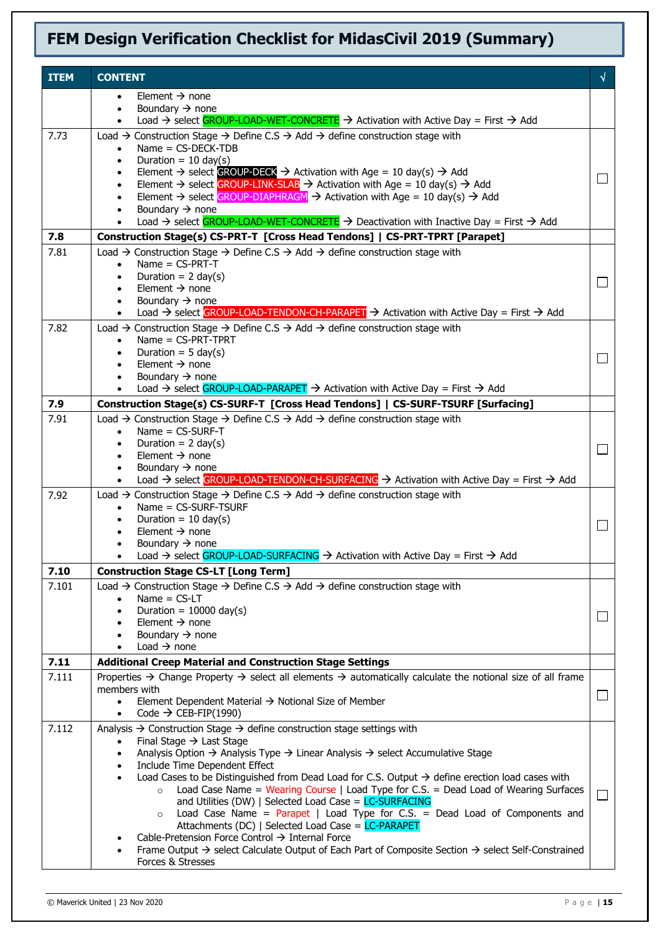| <b>ITEM</b> | <b>CONTENT</b>                                                                                                                                                                       | √      |
|-------------|--------------------------------------------------------------------------------------------------------------------------------------------------------------------------------------|--------|
|             | Element $\rightarrow$ none<br>$\bullet$                                                                                                                                              |        |
|             | Boundary $\rightarrow$ none<br>$\bullet$                                                                                                                                             |        |
|             | Load $\rightarrow$ select GROUP-LOAD-WET-CONCRETE $\rightarrow$ Activation with Active Day = First $\rightarrow$ Add<br>$\bullet$                                                    |        |
| 7.73        | Load $\rightarrow$ Construction Stage $\rightarrow$ Define C.S $\rightarrow$ Add $\rightarrow$ define construction stage with<br>$Name = CS-DECK-TDB$<br>$\bullet$                   |        |
|             | Duration = $10 \text{ day(s)}$<br>$\bullet$                                                                                                                                          |        |
|             | Element $\rightarrow$ select GROUP-DECK $\rightarrow$ Activation with Age = 10 day(s) $\rightarrow$ Add<br>$\bullet$                                                                 | $\Box$ |
|             | Element $\rightarrow$ select GROUP-LINK-SLAB $\rightarrow$ Activation with Age = 10 day(s) $\rightarrow$ Add<br>$\bullet$                                                            |        |
|             | Element $\rightarrow$ select GROUP-DIAPHRAGM $\rightarrow$ Activation with Age = 10 day(s) $\rightarrow$ Add<br>Boundary $\rightarrow$ none                                          |        |
|             | Load $\rightarrow$ select GROUP-LOAD-WET-CONCRETE $\rightarrow$ Deactivation with Inactive Day = First $\rightarrow$ Add<br>$\bullet$                                                |        |
| 7.8         | Construction Stage(s) CS-PRT-T [Cross Head Tendons]   CS-PRT-TPRT [Parapet]                                                                                                          |        |
| 7.81        | Load $\rightarrow$ Construction Stage $\rightarrow$ Define C.S $\rightarrow$ Add $\rightarrow$ define construction stage with                                                        |        |
|             | Name = $CS-PRT-T$<br>$\bullet$                                                                                                                                                       |        |
|             | Duration = $2 \text{ day}(s)$<br>$\bullet$<br>Element $\rightarrow$ none<br>٠                                                                                                        | $\Box$ |
|             | Boundary $\rightarrow$ none                                                                                                                                                          |        |
|             | Load $\rightarrow$ select GROUP-LOAD-TENDON-CH-PARAPET $\rightarrow$ Activation with Active Day = First $\rightarrow$ Add<br>$\bullet$                                               |        |
| 7.82        | Load $\rightarrow$ Construction Stage $\rightarrow$ Define C.S $\rightarrow$ Add $\rightarrow$ define construction stage with                                                        |        |
|             | $Name = CS-PRT-TPRT$<br>$\bullet$<br>Duration = $5 \text{ day}(s)$<br>$\bullet$                                                                                                      |        |
|             | Element $\rightarrow$ none<br>$\bullet$                                                                                                                                              | ⊔      |
|             | Boundary $\rightarrow$ none<br>$\bullet$                                                                                                                                             |        |
|             | Load $\rightarrow$ select GROUP-LOAD-PARAPET $\rightarrow$ Activation with Active Day = First $\rightarrow$ Add                                                                      |        |
| 7.9         | Construction Stage(s) CS-SURF-T [Cross Head Tendons]   CS-SURF-TSURF [Surfacing]                                                                                                     |        |
| 7.91        | Load $\rightarrow$ Construction Stage $\rightarrow$ Define C.S $\rightarrow$ Add $\rightarrow$ define construction stage with<br>$Name = CS-SURF-T$<br>$\bullet$                     |        |
|             | Duration = $2 \text{ day}(s)$                                                                                                                                                        | $\Box$ |
|             | Element $\rightarrow$ none                                                                                                                                                           |        |
|             | Boundary $\rightarrow$ none<br>$\bullet$<br>Load $\rightarrow$ select GROUP-LOAD-TENDON-CH-SURFACING $\rightarrow$ Activation with Active Day = First $\rightarrow$ Add<br>$\bullet$ |        |
| 7.92        | Load $\rightarrow$ Construction Stage $\rightarrow$ Define C.S $\rightarrow$ Add $\rightarrow$ define construction stage with                                                        |        |
|             | Name = CS-SURF-TSURF<br>$\bullet$                                                                                                                                                    |        |
|             | Duration = $10 \text{ day(s)}$<br>$\bullet$                                                                                                                                          |        |
|             | Element $\rightarrow$ none<br>Boundary $\rightarrow$ none                                                                                                                            |        |
|             | Load → select GROUP-LOAD-SURFACING → Activation with Active Day = First → Add                                                                                                        |        |
| 7.10        | <b>Construction Stage CS-LT [Long Term]</b>                                                                                                                                          |        |
| 7.101       | Load $\rightarrow$ Construction Stage $\rightarrow$ Define C.S $\rightarrow$ Add $\rightarrow$ define construction stage with                                                        |        |
|             | Name $=$ CS-LT<br>$\bullet$<br>Duration = $10000 \text{ day(s)}$                                                                                                                     |        |
|             | ٠<br>Element $\rightarrow$ none                                                                                                                                                      | $\Box$ |
|             | Boundary $\rightarrow$ none<br>$\bullet$                                                                                                                                             |        |
|             | Load $\rightarrow$ none<br>$\bullet$                                                                                                                                                 |        |
| 7.11        | <b>Additional Creep Material and Construction Stage Settings</b>                                                                                                                     |        |
| 7.111       | Properties $\rightarrow$ Change Property $\rightarrow$ select all elements $\rightarrow$ automatically calculate the notional size of all frame<br>members with                      |        |
|             | Element Dependent Material $\rightarrow$ Notional Size of Member<br>$\bullet$                                                                                                        | □      |
|             | Code $\rightarrow$ CEB-FIP(1990)<br>$\bullet$                                                                                                                                        |        |
| 7.112       | Analysis $\rightarrow$ Construction Stage $\rightarrow$ define construction stage settings with                                                                                      |        |
|             | Final Stage $\rightarrow$ Last Stage<br>Analysis Option $\rightarrow$ Analysis Type $\rightarrow$ Linear Analysis $\rightarrow$ select Accumulative Stage<br>$\bullet$               |        |
|             | Include Time Dependent Effect<br>$\bullet$                                                                                                                                           |        |
|             | Load Cases to be Distinguished from Dead Load for C.S. Output $\rightarrow$ define erection load cases with<br>$\bullet$                                                             |        |
|             | Load Case Name = Wearing Course   Load Type for C.S. = Dead Load of Wearing Surfaces<br>and Utilities (DW)   Selected Load Case = $LC-SURFACTNG$                                     | $\Box$ |
|             | Load Case Name = $Parapet$   Load Type for C.S. = Dead Load of Components and<br>$\circ$                                                                                             |        |
|             | Attachments (DC)   Selected Load Case = LC-PARAPET                                                                                                                                   |        |
|             | Cable-Pretension Force Control → Internal Force<br>Frame Output $\rightarrow$ select Calculate Output of Each Part of Composite Section $\rightarrow$ select Self-Constrained        |        |
|             | Forces & Stresses                                                                                                                                                                    |        |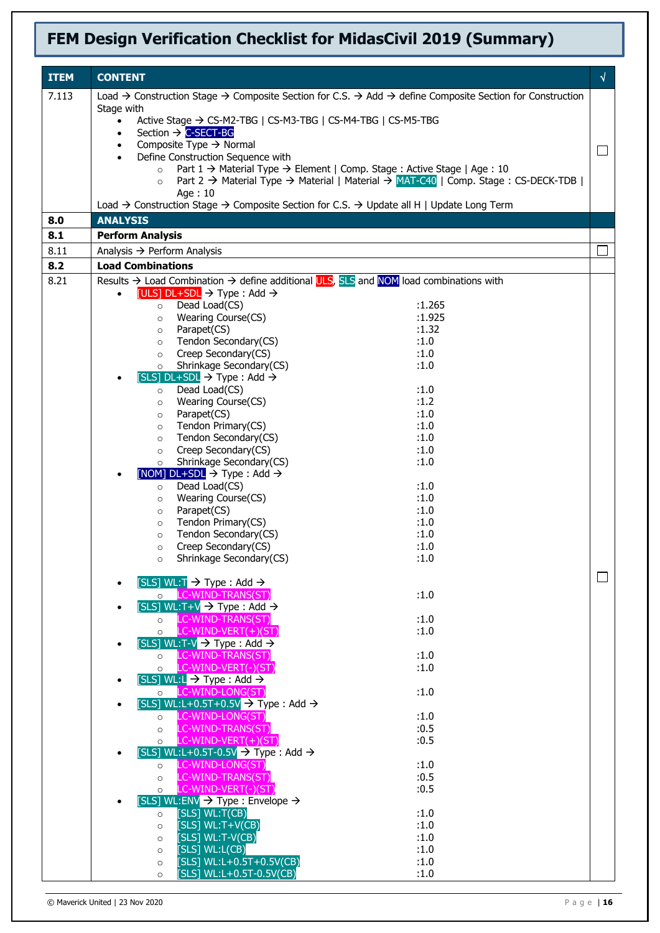| <b>ITEM</b> | <b>CONTENT</b>                                                                                                                                                                       | $\sqrt{ }$ |
|-------------|--------------------------------------------------------------------------------------------------------------------------------------------------------------------------------------|------------|
| 7.113       | Load $\rightarrow$ Construction Stage $\rightarrow$ Composite Section for C.S. $\rightarrow$ Add $\rightarrow$ define Composite Section for Construction                             |            |
|             | Stage with                                                                                                                                                                           |            |
|             | Active Stage → CS-M2-TBG   CS-M3-TBG   CS-M4-TBG   CS-M5-TBG<br>$\bullet$<br>Section $\rightarrow$ C-SECT-BG<br>$\bullet$                                                            |            |
|             | Composite Type $\rightarrow$ Normal<br>$\bullet$                                                                                                                                     |            |
|             | Define Construction Sequence with                                                                                                                                                    |            |
|             | Part $1 \rightarrow$ Material Type $\rightarrow$ Element   Comp. Stage : Active Stage   Age : 10<br>$\circ$                                                                          |            |
|             | Part 2 $\rightarrow$ Material Type $\rightarrow$ Material   Material $\rightarrow$ MAT-C40   Comp. Stage : CS-DECK-TDB  <br>$\circ$                                                  |            |
|             | Age: 10<br>Load $\rightarrow$ Construction Stage $\rightarrow$ Composite Section for C.S. $\rightarrow$ Update all H   Update Long Term                                              |            |
| 8.0         | <b>ANALYSIS</b>                                                                                                                                                                      |            |
| 8.1         | <b>Perform Analysis</b>                                                                                                                                                              |            |
| 8.11        | Analysis $\rightarrow$ Perform Analysis                                                                                                                                              |            |
| 8.2         | <b>Load Combinations</b>                                                                                                                                                             |            |
|             |                                                                                                                                                                                      |            |
| 8.21        | Results $\rightarrow$ Load Combination $\rightarrow$ define additional ULS, SLS and NOM load combinations with<br>[ULS] $DL+SDL$ $\rightarrow$ Type : Add $\rightarrow$<br>$\bullet$ |            |
|             | Dead Load(CS)<br>:1.265<br>$\circ$                                                                                                                                                   |            |
|             | Wearing Course(CS)<br>:1.925<br>$\circ$                                                                                                                                              |            |
|             | :1.32<br>Parapet(CS)<br>$\circ$                                                                                                                                                      |            |
|             | Tendon Secondary(CS)<br>:1.0<br>$\circ$                                                                                                                                              |            |
|             | Creep Secondary(CS)<br>:1.0<br>$\circ$                                                                                                                                               |            |
|             | Shrinkage Secondary(CS)<br>:1.0<br>$\circ$<br>$[SLS]$ DL+SDL $\rightarrow$ Type : Add $\rightarrow$                                                                                  |            |
|             | :1.0<br>Dead Load(CS)<br>$\circ$                                                                                                                                                     |            |
|             | :1.2<br>Wearing Course(CS)<br>$\circ$                                                                                                                                                |            |
|             | :1.0<br>Parapet(CS)<br>$\circ$                                                                                                                                                       |            |
|             | Tendon Primary(CS)<br>:1.0<br>$\circ$                                                                                                                                                |            |
|             | Tendon Secondary(CS)<br>:1.0<br>$\circ$                                                                                                                                              |            |
|             | Creep Secondary(CS)<br>:1.0<br>$\circ$<br>Shrinkage Secondary(CS)<br>:1.0                                                                                                            |            |
|             | $\circ$<br>[NOM] $DL+SDL \rightarrow Type : Add \rightarrow$                                                                                                                         |            |
|             | Dead Load(CS)<br>:1.0<br>$\circ$                                                                                                                                                     |            |
|             | Wearing Course(CS)<br>:1.0<br>$\circ$                                                                                                                                                |            |
|             | :1.0<br>Parapet(CS)<br>$\circ$                                                                                                                                                       |            |
|             | Tendon Primary(CS)<br>:1.0<br>$\circ$                                                                                                                                                |            |
|             | Tendon Secondary(CS)<br>:1.0<br>$\circ$<br>Creep Secondary(CS)<br>:1.0                                                                                                               |            |
|             | $\circ$<br>Shrinkage Secondary(CS)<br>:1.0<br>$\circ$                                                                                                                                |            |
|             |                                                                                                                                                                                      |            |
|             | [SLS] WL:T $\rightarrow$ Type : Add $\rightarrow$                                                                                                                                    |            |
|             | O LC-WIND-TRANS(ST)<br>:1.0                                                                                                                                                          |            |
|             | [SLS] WL:T+V $\rightarrow$ Type : Add $\rightarrow$                                                                                                                                  |            |
|             | o LC-WIND-TRANS(ST)<br>:1.0<br>$\circ$ LC-WIND-VERT(+)(ST)<br>:1.0                                                                                                                   |            |
|             | [SLS] WL:T-V $\rightarrow$ Type : Add $\rightarrow$                                                                                                                                  |            |
|             | o LC-WIND-TRANS(ST)<br>:1.0                                                                                                                                                          |            |
|             | o LC-WIND-VERT(-)(ST)<br>:1.0                                                                                                                                                        |            |
|             | [SLS] WL:L $\rightarrow$ Type : Add $\rightarrow$                                                                                                                                    |            |
|             | o LC-WIND-LONG(ST)<br>:1.0                                                                                                                                                           |            |
|             | [SLS] WL:L+0.5T+0.5V $\rightarrow$ Type : Add $\rightarrow$<br>o LC-WIND-LONG(ST)<br>:1.0                                                                                            |            |
|             | O LC-WIND-TRANS(ST)<br>:0.5                                                                                                                                                          |            |
|             | $\circ$ LC-WIND-VERT(+)(ST)<br>:0.5                                                                                                                                                  |            |
|             | [SLS] WL:L+0.5T-0.5V $\rightarrow$ Type : Add $\rightarrow$                                                                                                                          |            |
|             | o LC-WIND-LONG(ST)<br>:1.0                                                                                                                                                           |            |
|             | LC-WIND-TRANS(ST)<br>:0.5<br>$\circ$                                                                                                                                                 |            |
|             | o LC-WIND-VERT(-)(ST)<br>:0.5<br>[SLS] WL:ENV $\rightarrow$ Type : Envelope $\rightarrow$                                                                                            |            |
|             | [SLS] WL:T(CB)<br>:1.0<br>$\circ$                                                                                                                                                    |            |
|             | [SLS] $WL: T+V(CB)$<br>:1.0<br>$\circ$                                                                                                                                               |            |
|             | [SLS] WL:T-V(CB)<br>:1.0<br>$\circ$                                                                                                                                                  |            |
|             | $[SLS]$ WL: $L(CB)$<br>:1.0<br>$\circ$                                                                                                                                               |            |
|             | [SLS] WL:L+0.5T+0.5V(CB)<br>:1.0<br>$\circ$                                                                                                                                          |            |
|             | [SLS] $WL:L+0.5T-0.5V(CB)$<br>:1.0<br>$\circ$                                                                                                                                        |            |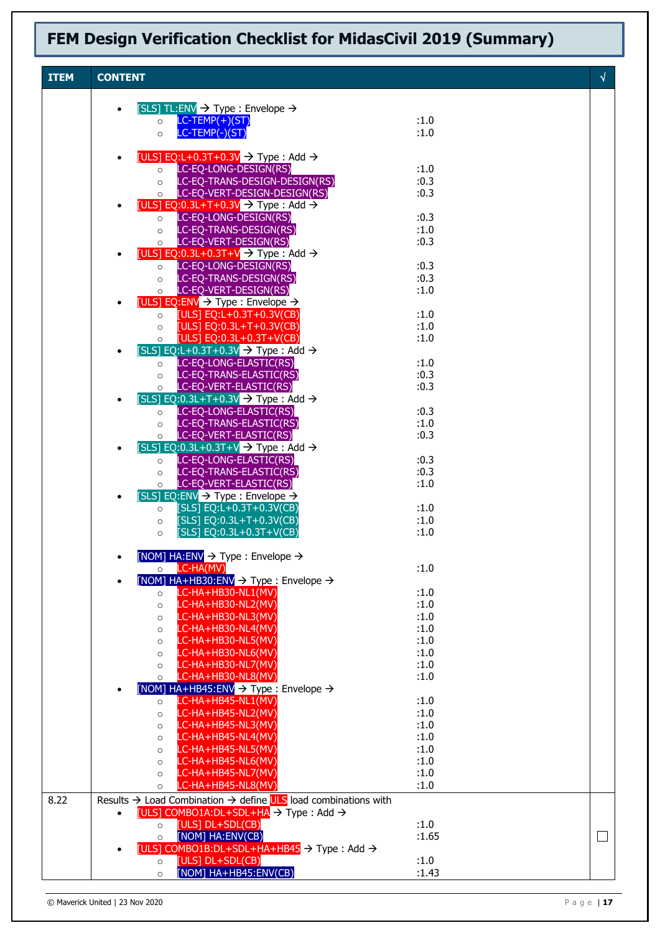| <b>ITEM</b> | <b>CONTENT</b>                                                                                                                                                        |              | $\sqrt{2}$ |
|-------------|-----------------------------------------------------------------------------------------------------------------------------------------------------------------------|--------------|------------|
|             |                                                                                                                                                                       |              |            |
|             | [SLS] TL:ENV $\rightarrow$ Type : Envelope $\rightarrow$                                                                                                              |              |            |
|             | $LC-TEMP(+)(ST)$<br>$\circ$<br>$LC-TEMP(-)(ST)$<br>$\circ$                                                                                                            | :1.0<br>:1.0 |            |
|             |                                                                                                                                                                       |              |            |
|             | [ULS] EQ:L+0.3T+0.3V $\rightarrow$ Type : Add $\rightarrow$                                                                                                           |              |            |
|             | o LC-EQ-LONG-DESIGN(RS)                                                                                                                                               | :1.0         |            |
|             | O LC-EQ-TRANS-DESIGN-DESIGN(RS)<br>O LC-EQ-VERT-DESIGN-DESIGN(RS)                                                                                                     | :0.3<br>:0.3 |            |
|             | [ULS] EQ:0.3L+T+0.3V $\rightarrow$ Type : Add $\rightarrow$                                                                                                           |              |            |
|             | LC-EQ-LONG-DESIGN(RS)<br>$\circ$                                                                                                                                      | :0.3         |            |
|             | LC-EQ-TRANS-DESIGN(RS)<br>$\circ$<br>LC-EQ-VERT-DESIGN(RS)                                                                                                            | :1.0<br>:0.3 |            |
|             | $\circ$<br>[ULS] EQ:0.3L+0.3T+V $\rightarrow$ Type : Add $\rightarrow$                                                                                                |              |            |
|             | LC-EQ-LONG-DESIGN(RS)<br>$\circ$                                                                                                                                      | :0.3         |            |
|             | LC-EQ-TRANS-DESIGN(RS)<br>$\circ$                                                                                                                                     | :0.3         |            |
|             | LC-EQ-VERT-DESIGN(RS)<br>$\circ$<br>[ULS] EQ:ENV $\rightarrow$ Type : Envelope $\rightarrow$                                                                          | :1.0         |            |
|             | o $[ULS]$ EQ:L+0.3T+0.3V(CB)                                                                                                                                          | :1.0         |            |
|             | [ULS] EQ:0.3L+T+0.3V(CB)<br>$\circ$                                                                                                                                   | :1.0         |            |
|             | [ULS] EQ:0.3L+0.3T+V(CB)<br>$\circ$<br>[SLS] EQ:L+0.3T+0.3V $\rightarrow$ Type : Add $\rightarrow$                                                                    | :1.0         |            |
|             | LC-EQ-LONG-ELASTIC(RS)<br>$\circ$                                                                                                                                     | :1.0         |            |
|             | LC-EQ-TRANS-ELASTIC(RS)<br>$\circ$                                                                                                                                    | :0.3         |            |
|             | LC-EQ-VERT-ELASTIC(RS)<br>$\circ$                                                                                                                                     | :0.3         |            |
|             | [SLS] EQ:0.3L+T+0.3V $\rightarrow$ Type : Add $\rightarrow$<br>LC-EQ-LONG-ELASTIC(RS)<br>$\circ$                                                                      | :0.3         |            |
|             | LC-EQ-TRANS-ELASTIC(RS)<br>$\circ$                                                                                                                                    | :1.0         |            |
|             | LC-EQ-VERT-ELASTIC(RS)<br>$\circ$                                                                                                                                     | :0.3         |            |
|             | $[SLS]$ EQ:0.3L+0.3T+V $\rightarrow$ Type : Add $\rightarrow$                                                                                                         |              |            |
|             | LC-EQ-LONG-ELASTIC(RS)<br>$\circ$<br>LC-EQ-TRANS-ELASTIC(RS)<br>$\circ$                                                                                               | :0.3<br>:0.3 |            |
|             | LC-EQ-VERT-ELASTIC(RS)<br>$\circ$                                                                                                                                     | :1.0         |            |
|             | $[SLS]$ EQ:ENV $\rightarrow$ Type : Envelope $\rightarrow$                                                                                                            |              |            |
|             | [SLS] EQ:L+0.3T+0.3V(CB)<br>$\circ$<br>[SLS] EQ:0.3L+T+0.3V(CB)                                                                                                       | :1.0<br>:1.0 |            |
|             | $\circ$<br>[SLS] EQ:0.3L+0.3T+V(CB)<br>$\circ$                                                                                                                        | :1.0         |            |
|             |                                                                                                                                                                       |              |            |
|             | [NOM] $HA:ENV \rightarrow Type : Envelope \rightarrow$                                                                                                                |              |            |
|             | LC-HA(MV)<br>$\circ$<br>[NOM] $HA+HB30:ENV \rightarrow Type : Envelope \rightarrow$                                                                                   | :1.0         |            |
|             | LC-HA+HB30-NL1(MV)<br>$\circ$                                                                                                                                         | :1.0         |            |
|             | LC-HA+HB30-NL2(MV)<br>$\circ$                                                                                                                                         | :1.0         |            |
|             | LC-HA+HB30-NL3(MV)<br>$\circ$<br>LC-HA+HB30-NL4(MV)                                                                                                                   | :1.0<br>:1.0 |            |
|             | $\circ$<br>LC-HA+HB30-NL5(MV)<br>$\circ$                                                                                                                              | :1.0         |            |
|             | LC-HA+HB30-NL6(MV)<br>$\circ$                                                                                                                                         | :1.0         |            |
|             | LC-HA+HB30-NL7(MV)<br>$\circ$                                                                                                                                         | :1.0         |            |
|             | LC-HA+HB30-NL8(MV)<br>$\circ$<br>[NOM] HA+HB45:ENV $\rightarrow$ Type : Envelope $\rightarrow$                                                                        | :1.0         |            |
|             | LC-HA+HB45-NL1(MV)<br>$\circ$                                                                                                                                         | :1.0         |            |
|             | LC-HA+HB45-NL2(MV)<br>$\circ$                                                                                                                                         | :1.0         |            |
|             | LC-HA+HB45-NL3(MV)<br>$\circ$                                                                                                                                         | :1.0         |            |
|             | LC-HA+HB45-NL4(MV)<br>$\circ$<br>LC-HA+HB45-NL5(MV)<br>$\circ$                                                                                                        | :1.0<br>:1.0 |            |
|             | LC-HA+HB45-NL6(MV)<br>$\circ$                                                                                                                                         | :1.0         |            |
|             | LC-HA+HB45-NL7(MV)<br>$\circ$                                                                                                                                         | :1.0         |            |
|             | LC-HA+HB45-NL8(MV)<br>$\circ$                                                                                                                                         | :1.0         |            |
| 8.22        | Results $\rightarrow$ Load Combination $\rightarrow$ define ULS load combinations with<br>[ULS] COMBO1A:DL+SDL+HA $\rightarrow$ Type : Add $\rightarrow$<br>$\bullet$ |              |            |
|             |                                                                                                                                                                       |              |            |
|             | $\circ$                                                                                                                                                               | :1.0         |            |
|             | [ULS] DL+SDL(CB)<br>[NOM] HA:ENV(CB)<br>$\circ$                                                                                                                       | :1.65        | $\Box$     |
|             | [ULS] COMBO1B:DL+SDL+HA+HB45 $\rightarrow$ Type : Add $\rightarrow$<br>[ULS] DL+SDL(CB)<br>$\circ$                                                                    | :1.0         |            |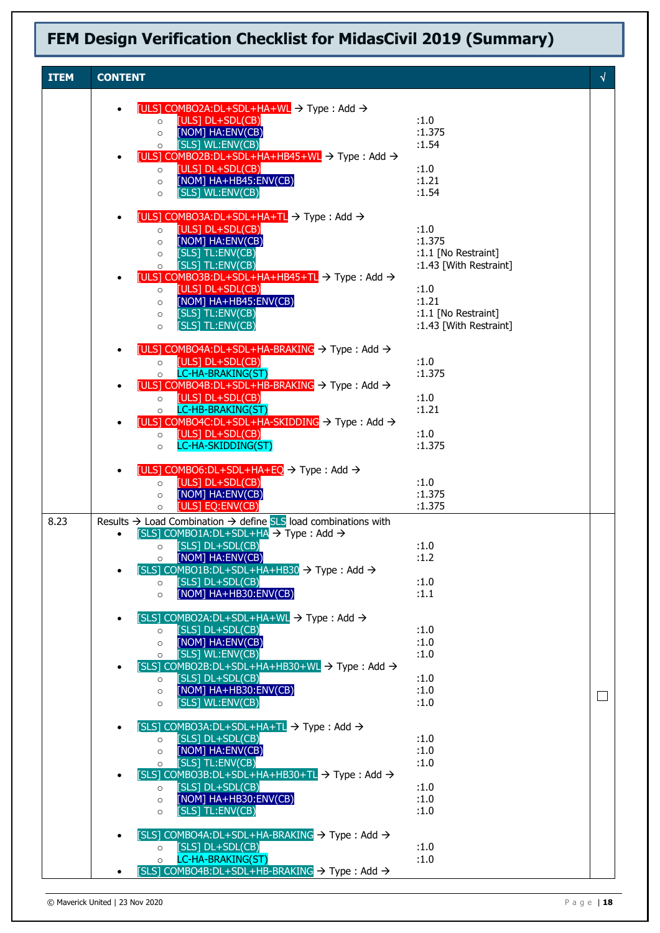|             | FEM Design Verification Checklist for MidasCivil 2019 (Summary)                              |  |  |  |  |  |
|-------------|----------------------------------------------------------------------------------------------|--|--|--|--|--|
|             |                                                                                              |  |  |  |  |  |
| <b>ITEM</b> | <b>CONTENT</b>                                                                               |  |  |  |  |  |
|             | [ULS] COMBO2A:DL+SDL+HA+WL $\rightarrow$ Type : Add $\rightarrow$<br><b>ELLICT NUCON CON</b> |  |  |  |  |  |

|      | old composition open in the very position of<br>[ULS] $DL+SDL(CB)$<br>$\circ$                                                                            | :1.0                          |        |
|------|----------------------------------------------------------------------------------------------------------------------------------------------------------|-------------------------------|--------|
|      | [NOM] HA:ENV(CB)<br>$\circ$<br>[SLS] WL:ENV(CB)<br>$\circ$                                                                                               | :1.375<br>:1.54               |        |
|      | $[ULS]$ COMBO2B:DL+SDL+HA+HB45+WL $\rightarrow$ Type : Add $\rightarrow$                                                                                 |                               |        |
|      | [ULS] DL+SDL(CB)<br>$\circ$<br>[NOM] HA+HB45:ENV(CB)<br>$\circ$                                                                                          | :1.0<br>:1.21                 |        |
|      | [SLS] WL:ENV(CB)<br>$\circ$                                                                                                                              | :1.54                         |        |
|      | [ULS] COMBO3A:DL+SDL+HA+TL $\rightarrow$ Type : Add $\rightarrow$                                                                                        |                               |        |
|      | [ULS] DL+SDL(CB)<br>$\circ$                                                                                                                              | :1.0                          |        |
|      | [NOM] HA:ENV(CB)<br>$\circ$<br>[SLS] TL:ENV(CB)<br>$\circ$                                                                                               | :1.375<br>:1.1 [No Restraint] |        |
|      | [SLS] TL:ENV(CB)<br>$\circ$                                                                                                                              | :1.43 [With Restraint]        |        |
|      | [ULS] COMBO3B:DL+SDL+HA+HB45+TL $\rightarrow$ Type : Add $\rightarrow$<br>[ULS] DL+SDL(CB)<br>$\circ$                                                    | :1.0                          |        |
|      | [NOM] HA+HB45:ENV(CB)<br>$\circ$                                                                                                                         | :1.21                         |        |
|      | [SLS] TL:ENV(CB)<br>$\circ$                                                                                                                              | $:1.1$ [No Restraint]         |        |
|      | [SLS] TL:ENV(CB)<br>$\circ$                                                                                                                              | :1.43 [With Restraint]        |        |
|      | [ULS] COMBO4A:DL+SDL+HA-BRAKING $\rightarrow$ Type : Add $\rightarrow$                                                                                   |                               |        |
|      | [ULS] DL+SDL(CB)<br>$\circ$<br>LC-HA-BRAKING(ST)<br>$\circ$                                                                                              | :1.0<br>:1.375                |        |
|      | [ULS] COMBO4B:DL+SDL+HB-BRAKING $\rightarrow$ Type : Add $\rightarrow$                                                                                   |                               |        |
|      | [ULS] DL+SDL(CB)<br>$\circ$<br>LC-HB-BRAKING(ST)<br>$\circ$                                                                                              | :1.0<br>:1.21                 |        |
|      | [ULS] COMBO4C:DL+SDL+HA-SKIDDING → Type: Add →                                                                                                           |                               |        |
|      | [ULS] DL+SDL(CB)<br>$\circ$<br>LC-HA-SKIDDING(ST)                                                                                                        | :1.0<br>:1.375                |        |
|      | $\circ$                                                                                                                                                  |                               |        |
|      | [ULS] COMBO6:DL+SDL+HA+EQ $\rightarrow$ Type : Add $\rightarrow$                                                                                         |                               |        |
|      | [ULS] DL+SDL(CB)<br>$\circ$<br>[NOM] HA:ENV(CB)<br>$\circ$                                                                                               | :1.0<br>:1.375                |        |
|      | [ULS] EQ:ENV(CB)<br>$\circ$                                                                                                                              | :1.375                        |        |
| 8.23 | Results $\rightarrow$ Load Combination $\rightarrow$ define SLS load combinations with<br>[SLS] COMBO1A:DL+SDL+HA $\rightarrow$ Type : Add $\rightarrow$ |                               |        |
|      | o [SLS] DL+SDL(CB)                                                                                                                                       | :1.0                          |        |
|      | [NOM] HA:ENV(CB)<br>$\circ$<br>[SLS] COMBO1B:DL+SDL+HA+HB30 $\rightarrow$ Type : Add $\rightarrow$                                                       | :1.2                          |        |
|      | [SLS] DL+SDL(CB)<br>$\circ$                                                                                                                              | :1.0                          |        |
|      | [NOM] HA+HB30:ENV(CB)<br>$\circ$                                                                                                                         | : 1.1                         |        |
|      | [SLS] COMBO2A:DL+SDL+HA+WL $\rightarrow$ Type : Add $\rightarrow$                                                                                        |                               |        |
|      | [SLS] DL+SDL(CB)<br>$\circ$                                                                                                                              | :1.0<br>:1.0                  |        |
|      | [NOM] HA:ENV(CB)<br>$\circ$<br>[SLS] WL:ENV(CB)<br>$\circ$                                                                                               | :1.0                          |        |
|      | $[SLS]$ COMBO2B:DL+SDL+HA+HB30+WL $\rightarrow$ Type : Add $\rightarrow$                                                                                 |                               |        |
|      | [SLS] DL+SDL(CB)<br>$\circ$<br>[NOM] HA+HB30:ENV(CB)<br>$\circ$                                                                                          | :1.0<br>:1.0                  |        |
|      | [SLS] WL:ENV(CB)<br>$\circ$                                                                                                                              | :1.0                          | $\Box$ |
|      | $[SLS]$ COMBO3A:DL+SDL+HA+TL $\rightarrow$ Type : Add $\rightarrow$                                                                                      |                               |        |
|      | [SLS] DL+SDL(CB)<br>$\circ$                                                                                                                              | :1.0                          |        |
|      | [NOM] HA:ENV(CB)<br>$\circ$<br>[SLS] TL:ENV(CB)                                                                                                          | :1.0<br>:1.0                  |        |
|      | $\circ$<br>[SLS] COMBO3B:DL+SDL+HA+HB30+TL $\rightarrow$ Type : Add $\rightarrow$                                                                        |                               |        |
|      | [SLS] DL+SDL(CB)<br>$\circ$                                                                                                                              | :1.0                          |        |
|      | [NOM] HA+HB30:ENV(CB)<br>$\circ$<br>[SLS] TL:ENV(CB)<br>$\circ$                                                                                          | :1.0<br>:1.0                  |        |
|      |                                                                                                                                                          |                               |        |
|      | [SLS] COMBO4A:DL+SDL+HA-BRAKING → Type : Add →<br>[SLS] DL+SDL(CB)<br>$\circ$                                                                            | :1.0                          |        |
|      | LC-HA-BRAKING(ST)<br>$\circ$                                                                                                                             | :1.0                          |        |
|      | [SLS] COMBO4B:DL+SDL+HB-BRAKING $\rightarrow$ Type : Add $\rightarrow$                                                                                   |                               |        |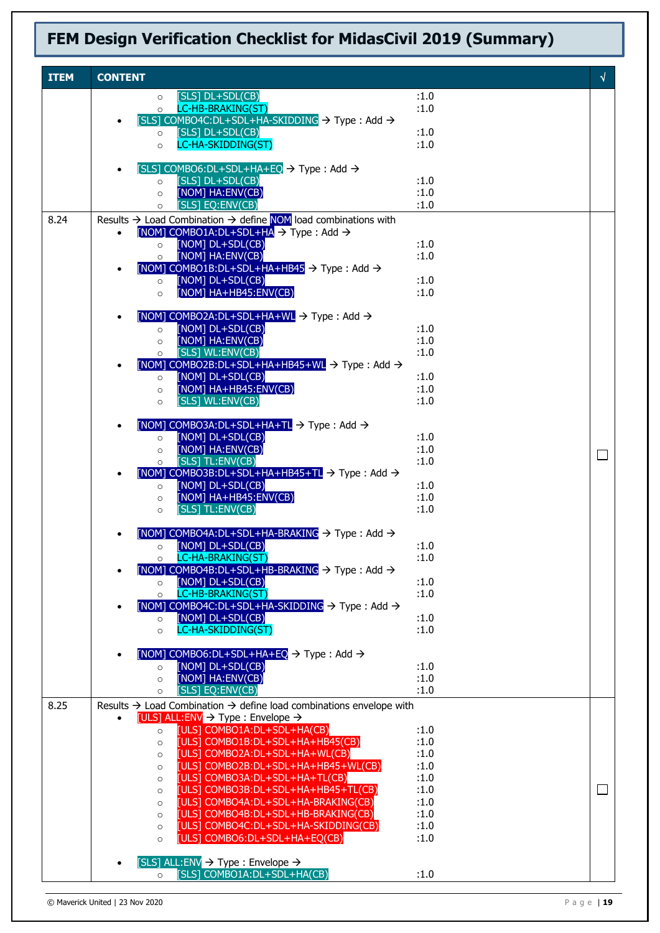| <b>ITEM</b> | <b>CONTENT</b> |                                                                                                                                                          |              | √      |
|-------------|----------------|----------------------------------------------------------------------------------------------------------------------------------------------------------|--------------|--------|
|             |                | $[SLS]$ DL+SDL $(CB)$<br>$\circ$                                                                                                                         | :1.0         |        |
|             |                | LC-HB-BRAKING(ST)<br>$\circ$                                                                                                                             | :1.0         |        |
|             |                | [SLS] COMBO4C:DL+SDL+HA-SKIDDING $\rightarrow$ Type : Add $\rightarrow$<br>[SLS] DL+SDL(CB)<br>$\circ$                                                   | :1.0         |        |
|             |                | LC-HA-SKIDDING(ST)<br>$\circ$                                                                                                                            | :1.0         |        |
|             |                |                                                                                                                                                          |              |        |
|             | $\bullet$      | [SLS] COMBO6:DL+SDL+HA+EQ $\rightarrow$ Type : Add $\rightarrow$<br>[SLS] DL+SDL(CB)<br>$\circ$                                                          | :1.0         |        |
|             |                | [NOM] HA:ENV(CB)<br>$\circ$                                                                                                                              | :1.0         |        |
|             |                | [SLS] EQ:ENV(CB)<br>$\circ$                                                                                                                              | :1.0         |        |
| 8.24        |                | Results $\rightarrow$ Load Combination $\rightarrow$ define NOM load combinations with<br>[NOM] COMBO1A:DL+SDL+HA $\rightarrow$ Type : Add $\rightarrow$ |              |        |
|             | $\bullet$      | [NOM] DL+SDL(CB)<br>$\circ$                                                                                                                              | :1.0         |        |
|             |                | [NOM] HA:ENV(CB)<br>$\circ$                                                                                                                              | :1.0         |        |
|             | $\bullet$      | $[NOM]$ COMBO1B:DL+SDL+HA+HB45 $\rightarrow$ Type : Add $\rightarrow$                                                                                    |              |        |
|             |                | [NOM] DL+SDL(CB)<br>$\circ$<br>[NOM] HA+HB45:ENV(CB)<br>$\circ$                                                                                          | :1.0<br>:1.0 |        |
|             |                |                                                                                                                                                          |              |        |
|             | $\bullet$      | [NOM] COMBO2A:DL+SDL+HA+WL $\rightarrow$ Type : Add $\rightarrow$                                                                                        |              |        |
|             |                | [NOM] DL+SDL(CB)<br>$\circ$<br>[NOM] HA:ENV(CB)<br>$\circ$                                                                                               | :1.0<br>:1.0 |        |
|             |                | [SLS] WL:ENV(CB)<br>$\circ$                                                                                                                              | :1.0         |        |
|             | $\bullet$      | [NOM] COMBO2B:DL+SDL+HA+HB45+WL $\rightarrow$ Type : Add $\rightarrow$                                                                                   |              |        |
|             |                | [NOM] DL+SDL(CB)<br>$\circ$<br>[NOM] HA+HB45:ENV(CB)<br>$\circ$                                                                                          | :1.0<br>:1.0 |        |
|             |                | [SLS] WL:ENV(CB)<br>$\circ$                                                                                                                              | :1.0         |        |
|             |                |                                                                                                                                                          |              |        |
|             |                | [NOM] COMBO3A:DL+SDL+HA+TL $\rightarrow$ Type : Add $\rightarrow$<br>[NOM] DL+SDL(CB)<br>$\circ$                                                         | :1.0         |        |
|             |                | [NOM] HA:ENV(CB)<br>$\circ$                                                                                                                              | :1.0         | $\Box$ |
|             |                | [SLS] TL:ENV(CB)<br>$\circ$                                                                                                                              | :1.0         |        |
|             | $\bullet$      | [NOM] COMBO3B:DL+SDL+HA+HB45+TL $\rightarrow$ Type : Add $\rightarrow$<br>[NOM] DL+SDL(CB)<br>$\circ$                                                    | :1.0         |        |
|             |                | [NOM] HA+HB45:ENV(CB)<br>$\circ$                                                                                                                         | :1.0         |        |
|             |                | [SLS] TL:ENV(CB)<br>$\circ$                                                                                                                              | :1.0         |        |
|             |                | [NOM] COMBO4A:DL+SDL+HA-BRAKING → Type : Add →                                                                                                           |              |        |
|             |                | [NOM] DL+SDL(CB)<br>$\circ$                                                                                                                              | :1.0         |        |
|             |                | LC-HA-BRAKING(ST)<br>$\circ$                                                                                                                             | :1.0         |        |
|             |                | [NOM] COMBO4B:DL+SDL+HB-BRAKING $\rightarrow$ Type : Add $\rightarrow$<br>[NOM] DL+SDL(CB)<br>$\circ$                                                    | :1.0         |        |
|             |                | LC-HB-BRAKING(ST)<br>$\circ$                                                                                                                             | :1.0         |        |
|             |                | [NOM] COMBO4C:DL+SDL+HA-SKIDDING → Type: Add →                                                                                                           |              |        |
|             |                | [NOM] DL+SDL(CB)<br>$\circ$<br>LC-HA-SKIDDING(ST)<br>$\circ$                                                                                             | :1.0<br>:1.0 |        |
|             |                |                                                                                                                                                          |              |        |
|             |                | [NOM] COMBO6:DL+SDL+HA+EQ $\rightarrow$ Type : Add $\rightarrow$<br>[NOM] DL+SDL(CB)                                                                     | :1.0         |        |
|             |                | $\circ$<br>[NOM] HA:ENV(CB)<br>$\circ$                                                                                                                   | :1.0         |        |
|             |                | [SLS] EQ:ENV(CB)<br>$\circ$                                                                                                                              | :1.0         |        |
| 8.25        |                | Results $\rightarrow$ Load Combination $\rightarrow$ define load combinations envelope with                                                              |              |        |
|             | $\bullet$      | [ULS] ALL:ENV $\rightarrow$ Type : Envelope $\rightarrow$<br>[ULS] COMBO1A:DL+SDL+HA(CB)<br>$\circ$                                                      | :1.0         |        |
|             |                | [ULS] COMBO1B:DL+SDL+HA+HB45(CB)<br>$\circ$                                                                                                              | :1.0         |        |
|             |                | [ULS] COMBO2A:DL+SDL+HA+WL(CB)<br>$\circ$                                                                                                                | :1.0         |        |
|             |                | [ULS] COMBO2B:DL+SDL+HA+HB45+WL(CB)<br>$\circ$<br>[ULS] COMBO3A:DL+SDL+HA+TL(CB)<br>$\circ$                                                              | :1.0<br>:1.0 |        |
|             |                | [ULS] COMBO3B:DL+SDL+HA+HB45+TL(CB)<br>$\circ$                                                                                                           | :1.0         | $\Box$ |
|             |                | [ULS] COMBO4A:DL+SDL+HA-BRAKING(CB)<br>$\circ$                                                                                                           | :1.0         |        |
|             |                | [ULS] COMBO4B:DL+SDL+HB-BRAKING(CB)<br>$\circ$<br>[ULS] COMBO4C:DL+SDL+HA-SKIDDING(CB)<br>$\circ$                                                        | :1.0<br>:1.0 |        |
|             |                | [ULS] COMBO6:DL+SDL+HA+EQ(CB)<br>$\circ$                                                                                                                 | :1.0         |        |
|             |                |                                                                                                                                                          |              |        |
|             |                | [SLS] ALL:ENV $\rightarrow$ Type : Envelope $\rightarrow$<br>[SLS] COMBO1A:DL+SDL+HA(CB)<br>$\circ$                                                      | :1.0         |        |
|             |                |                                                                                                                                                          |              |        |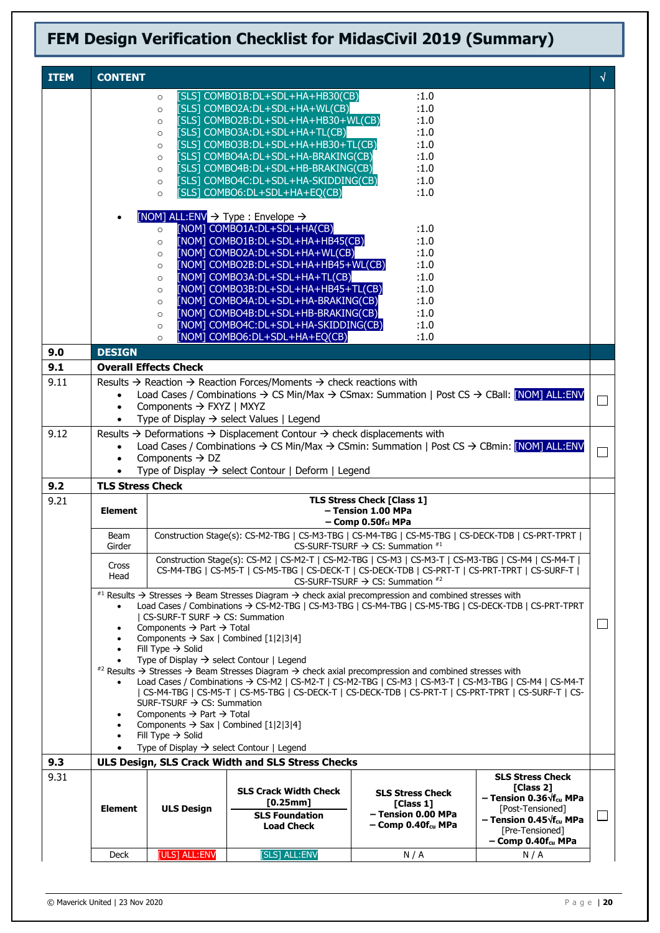| <b>ITEM</b> | <b>CONTENT</b>                                                                                             |                                                                                    |                                                                                                                                                                                                                   |                                                         |                                                                       | $\sqrt{ }$ |  |
|-------------|------------------------------------------------------------------------------------------------------------|------------------------------------------------------------------------------------|-------------------------------------------------------------------------------------------------------------------------------------------------------------------------------------------------------------------|---------------------------------------------------------|-----------------------------------------------------------------------|------------|--|
|             |                                                                                                            | $\circ$                                                                            | [SLS] COMBO1B:DL+SDL+HA+HB30(CB)                                                                                                                                                                                  | :1.0                                                    |                                                                       |            |  |
|             |                                                                                                            | $\circ$<br>$\circ$                                                                 | [SLS] COMBO2A:DL+SDL+HA+WL(CB)<br>[SLS] COMBO2B:DL+SDL+HA+HB30+WL(CB)                                                                                                                                             | :1.0<br>:1.0                                            |                                                                       |            |  |
|             |                                                                                                            | $\circ$                                                                            | [SLS] COMBO3A:DL+SDL+HA+TL(CB)                                                                                                                                                                                    | :1.0                                                    |                                                                       |            |  |
|             |                                                                                                            | $\circ$                                                                            | [SLS] COMBO3B:DL+SDL+HA+HB30+TL(CB)                                                                                                                                                                               | :1.0                                                    |                                                                       |            |  |
|             |                                                                                                            | $\circ$                                                                            | [SLS] COMBO4A:DL+SDL+HA-BRAKING(CB)                                                                                                                                                                               | :1.0                                                    |                                                                       |            |  |
|             |                                                                                                            | $\circ$                                                                            | [SLS] COMBO4B:DL+SDL+HB-BRAKING(CB)                                                                                                                                                                               | :1.0                                                    |                                                                       |            |  |
|             |                                                                                                            | $\circ$<br>$\circ$                                                                 | [SLS] COMBO4C:DL+SDL+HA-SKIDDING(CB)<br>[SLS] COMBO6:DL+SDL+HA+EQ(CB)                                                                                                                                             | :1.0<br>:1.0                                            |                                                                       |            |  |
|             |                                                                                                            |                                                                                    |                                                                                                                                                                                                                   |                                                         |                                                                       |            |  |
|             |                                                                                                            |                                                                                    | [NOM] ALL:ENV $\rightarrow$ Type : Envelope $\rightarrow$                                                                                                                                                         |                                                         |                                                                       |            |  |
|             |                                                                                                            | $\circ$                                                                            | [NOM] COMBO1A:DL+SDL+HA(CB)                                                                                                                                                                                       | :1.0                                                    |                                                                       |            |  |
|             |                                                                                                            | $\circ$<br>$\circ$                                                                 | [NOM] COMBO1B:DL+SDL+HA+HB45(CB)<br>[NOM] COMBO2A:DL+SDL+HA+WL(CB)                                                                                                                                                | :1.0<br>:1.0                                            |                                                                       |            |  |
|             |                                                                                                            | $\circ$                                                                            | [NOM] COMBO2B:DL+SDL+HA+HB45+WL(CB)                                                                                                                                                                               | :1.0                                                    |                                                                       |            |  |
|             |                                                                                                            | $\circ$                                                                            | [NOM] COMBO3A:DL+SDL+HA+TL(CB)                                                                                                                                                                                    | :1.0                                                    |                                                                       |            |  |
|             |                                                                                                            | $\circ$                                                                            | [NOM] COMBO3B:DL+SDL+HA+HB45+TL(CB)                                                                                                                                                                               | :1.0                                                    |                                                                       |            |  |
|             |                                                                                                            | $\circ$                                                                            | [NOM] COMBO4A:DL+SDL+HA-BRAKING(CB)                                                                                                                                                                               | :1.0<br>:1.0                                            |                                                                       |            |  |
|             |                                                                                                            | $\circ$<br>$\circ$                                                                 | [NOM] COMBO4B:DL+SDL+HB-BRAKING(CB)<br>[NOM] COMBO4C:DL+SDL+HA-SKIDDING(CB)                                                                                                                                       | :1.0                                                    |                                                                       |            |  |
|             |                                                                                                            | $\circ$                                                                            | [NOM] COMBO6:DL+SDL+HA+EQ(CB)                                                                                                                                                                                     | :1.0                                                    |                                                                       |            |  |
| 9.0         | <b>DESIGN</b>                                                                                              |                                                                                    |                                                                                                                                                                                                                   |                                                         |                                                                       |            |  |
| 9.1         |                                                                                                            | <b>Overall Effects Check</b>                                                       |                                                                                                                                                                                                                   |                                                         |                                                                       |            |  |
| 9.11        |                                                                                                            |                                                                                    | Results $\rightarrow$ Reaction $\rightarrow$ Reaction Forces/Moments $\rightarrow$ check reactions with                                                                                                           |                                                         |                                                                       |            |  |
|             | $\bullet$                                                                                                  |                                                                                    | Load Cases / Combinations $\rightarrow$ CS Min/Max $\rightarrow$ CSmax: Summation   Post CS $\rightarrow$ CBall: [NOM] ALL:ENV<br>$\Box$                                                                          |                                                         |                                                                       |            |  |
|             | $\bullet$<br>$\bullet$                                                                                     | Components → FXYZ   MXYZ                                                           | Type of Display $\rightarrow$ select Values   Legend                                                                                                                                                              |                                                         |                                                                       |            |  |
| 9.12        |                                                                                                            |                                                                                    | Results $\rightarrow$ Deformations $\rightarrow$ Displacement Contour $\rightarrow$ check displacements with                                                                                                      |                                                         |                                                                       |            |  |
|             | $\bullet$                                                                                                  |                                                                                    | Load Cases / Combinations $\rightarrow$ CS Min/Max $\rightarrow$ CSmin: Summation   Post CS $\rightarrow$ CBmin: [NOM] ALL:ENV                                                                                    |                                                         |                                                                       |            |  |
|             | $\bullet$                                                                                                  | Components $\rightarrow$ DZ                                                        | П                                                                                                                                                                                                                 |                                                         |                                                                       |            |  |
|             |                                                                                                            |                                                                                    | Type of Display $\rightarrow$ select Contour   Deform   Legend                                                                                                                                                    |                                                         |                                                                       |            |  |
| 9.2         | <b>TLS Stress Check</b>                                                                                    |                                                                                    |                                                                                                                                                                                                                   |                                                         |                                                                       |            |  |
| 9.21        | <b>Element</b>                                                                                             |                                                                                    |                                                                                                                                                                                                                   | <b>TLS Stress Check [Class 1]</b><br>- Tension 1.00 MPa |                                                                       |            |  |
|             |                                                                                                            |                                                                                    | $-$ Comp 0.50 $f_{ci}$ MPa                                                                                                                                                                                        |                                                         |                                                                       |            |  |
|             | Construction Stage(s): CS-M2-TBG   CS-M3-TBG   CS-M4-TBG   CS-M5-TBG   CS-DECK-TDB   CS-PRT-TPRT  <br>Beam |                                                                                    |                                                                                                                                                                                                                   |                                                         |                                                                       |            |  |
|             | Girder                                                                                                     |                                                                                    |                                                                                                                                                                                                                   | CS-SURF-TSURF $\rightarrow$ CS: Summation $*1$          |                                                                       |            |  |
|             | Cross                                                                                                      |                                                                                    | Construction Stage(s): CS-M2   CS-M2-T   CS-M2-TBG   CS-M3   CS-M3-T   CS-M3-TBG   CS-M4   CS-M4-T  <br>CS-M4-TBG   CS-M5-T   CS-M5-TBG   CS-DECK-T   CS-DECK-TDB   CS-PRT-T   CS-PRT-TPRT   CS-SURF-T            |                                                         |                                                                       |            |  |
|             | Head                                                                                                       |                                                                                    |                                                                                                                                                                                                                   | CS-SURF-TSURF $\rightarrow$ CS: Summation $*^2$         |                                                                       |            |  |
|             |                                                                                                            |                                                                                    | #1 Results → Stresses → Beam Stresses Diagram → check axial precompression and combined stresses with                                                                                                             |                                                         |                                                                       |            |  |
|             | $\bullet$                                                                                                  | CS-SURF-T SURF → CS: Summation                                                     | Load Cases / Combinations → CS-M2-TBG   CS-M3-TBG   CS-M4-TBG   CS-M5-TBG   CS-DECK-TDB   CS-PRT-TPRT                                                                                                             |                                                         |                                                                       |            |  |
|             |                                                                                                            | Components $\rightarrow$ Part $\rightarrow$ Total                                  |                                                                                                                                                                                                                   |                                                         |                                                                       | $\Box$     |  |
|             |                                                                                                            | Components $\rightarrow$ Sax   Combined [1 2 3 4]                                  |                                                                                                                                                                                                                   |                                                         |                                                                       |            |  |
|             |                                                                                                            | Fill Type $\rightarrow$ Solid                                                      | Type of Display $\rightarrow$ select Contour   Legend                                                                                                                                                             |                                                         |                                                                       |            |  |
|             |                                                                                                            |                                                                                    | #2 Results → Stresses → Beam Stresses Diagram → check axial precompression and combined stresses with                                                                                                             |                                                         |                                                                       |            |  |
|             |                                                                                                            |                                                                                    | Load Cases / Combinations → CS-M2   CS-M2-T   CS-M2-TBG   CS-M3   CS-M3-T   CS-M3-TBG   CS-M4   CS-M4-T<br>  CS-M4-TBG   CS-M5-T   CS-M5-TBG   CS-DECK-T   CS-DECK-TDB   CS-PRT-T   CS-PRT-TPRT   CS-SURF-T   CS- |                                                         |                                                                       |            |  |
|             |                                                                                                            | SURF-TSURF $\rightarrow$ CS: Summation                                             |                                                                                                                                                                                                                   |                                                         |                                                                       |            |  |
|             | $\bullet$                                                                                                  | Components $\rightarrow$ Part $\rightarrow$ Total                                  |                                                                                                                                                                                                                   |                                                         |                                                                       |            |  |
|             | $\bullet$                                                                                                  | Components $\rightarrow$ Sax   Combined [1 2 3 4]<br>Fill Type $\rightarrow$ Solid |                                                                                                                                                                                                                   |                                                         |                                                                       |            |  |
|             | $\bullet$                                                                                                  |                                                                                    | Type of Display $\rightarrow$ select Contour   Legend                                                                                                                                                             |                                                         |                                                                       |            |  |
| 9.3         |                                                                                                            |                                                                                    | ULS Design, SLS Crack Width and SLS Stress Checks                                                                                                                                                                 |                                                         |                                                                       |            |  |
| 9.31        |                                                                                                            |                                                                                    |                                                                                                                                                                                                                   |                                                         | <b>SLS Stress Check</b>                                               |            |  |
|             |                                                                                                            |                                                                                    | <b>SLS Crack Width Check</b>                                                                                                                                                                                      | <b>SLS Stress Check</b>                                 | [Class 2]<br>- Tension 0.36 $\sqrt{f_{cu}}$ MPa                       |            |  |
|             | <b>Element</b>                                                                                             | <b>ULS Design</b>                                                                  | [0.25mm]<br><b>SLS Foundation</b>                                                                                                                                                                                 | [Class 1]<br>- Tension 0.00 MPa                         | [Post-Tensioned]                                                      | $\Box$     |  |
|             |                                                                                                            |                                                                                    | <b>Load Check</b>                                                                                                                                                                                                 | $-$ Comp 0.40 $f_{cu}$ MPa                              | - Tension 0.45 $\sqrt{\mathbf{f}}_{\text{cu}}$ MPa<br>[Pre-Tensioned] |            |  |
|             |                                                                                                            |                                                                                    |                                                                                                                                                                                                                   |                                                         | $-$ Comp 0.40 $f_{cu}$ MPa                                            |            |  |
|             | Deck                                                                                                       | [ULS] ALL:ENV                                                                      | [SLS] ALL:ENV                                                                                                                                                                                                     | N/A                                                     | N/A                                                                   |            |  |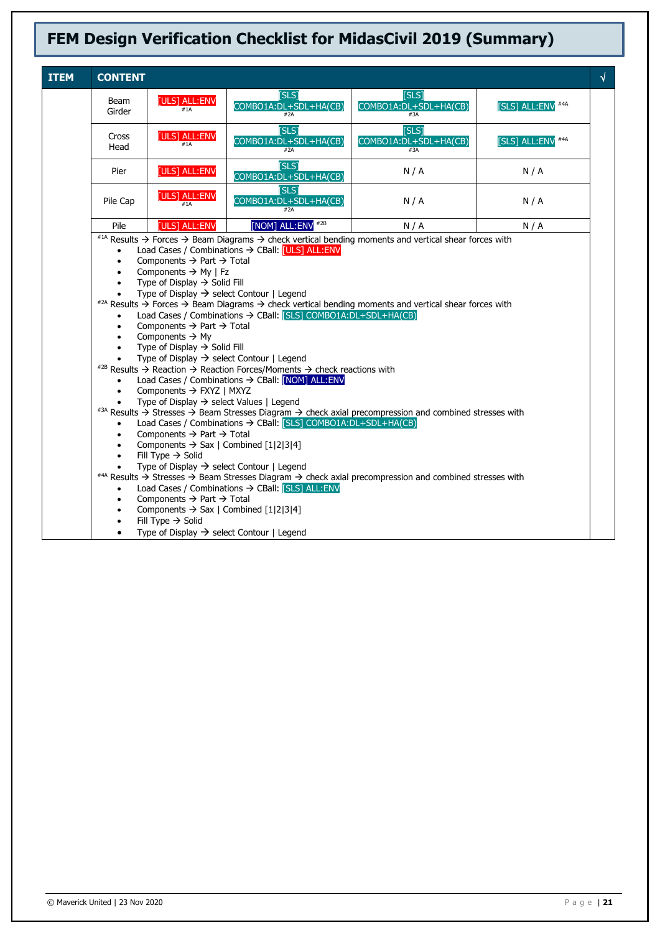| <b>ITEM</b> | <b>CONTENT</b>         |                                                                              |                                                                         |                                                                                                                                          |                   | $\sqrt{2}$ |
|-------------|------------------------|------------------------------------------------------------------------------|-------------------------------------------------------------------------|------------------------------------------------------------------------------------------------------------------------------------------|-------------------|------------|
|             | <b>Beam</b><br>Girder  | [ULS] ALL:ENV                                                                | [SLS]<br>COMBO1A:DL+SDL+HA(CB)                                          | [SLS]<br>COMBO1A:DL+SDL+HA(CB)                                                                                                           | [SLS] ALL:ENV #4A |            |
|             | Cross<br>Head          | [ULS] ALL:ENV<br>#1A                                                         | <b>TSLS1</b><br>COMBO1A:DL+SDL+HA(CB)<br>#2A                            | <b>TSLS1</b><br>COMBO1A:DL+SDL+HA(CB)<br>#3A                                                                                             | [SLS] ALL:ENV #4A |            |
|             | Pier                   | [ULS] ALL:ENV                                                                | [SLS]<br>COMBO1A: DL+SDL+HA(CB)                                         | N/A                                                                                                                                      | N/A               |            |
|             | Pile Cap               | [ULS] ALL:ENV<br>#1A                                                         | <b>[SLS]</b><br>COMBO1A: DL+SDL+HA(CB)                                  | N/A                                                                                                                                      | N/A               |            |
|             | Pile                   | [ULS] ALL:ENV                                                                | [NOM] ALL:ENV #2B                                                       | N/A                                                                                                                                      | N/A               |            |
|             |                        |                                                                              |                                                                         | #14 Results $\rightarrow$ Forces $\rightarrow$ Beam Diagrams $\rightarrow$ check vertical bending moments and vertical shear forces with |                   |            |
|             | $\bullet$              |                                                                              | Load Cases / Combinations → CBall: [ULS] ALL:ENV                        |                                                                                                                                          |                   |            |
|             | $\bullet$              | Components $\rightarrow$ Part $\rightarrow$ Total                            |                                                                         |                                                                                                                                          |                   |            |
|             | $\bullet$<br>$\bullet$ | Components $\rightarrow$ My   Fz<br>Type of Display $\rightarrow$ Solid Fill |                                                                         |                                                                                                                                          |                   |            |
|             | $\bullet$              |                                                                              | Type of Display $\rightarrow$ select Contour   Legend                   |                                                                                                                                          |                   |            |
|             |                        |                                                                              |                                                                         | #2A Results $\rightarrow$ Forces $\rightarrow$ Beam Diagrams $\rightarrow$ check vertical bending moments and vertical shear forces with |                   |            |
|             | $\bullet$              |                                                                              | Load Cases / Combinations → CBall: [SLS] COMBO1A:DL+SDL+HA(CB)          |                                                                                                                                          |                   |            |
|             | $\bullet$              | Components $\rightarrow$ Part $\rightarrow$ Total                            |                                                                         |                                                                                                                                          |                   |            |
|             | $\bullet$              | Components $\rightarrow$ My                                                  |                                                                         |                                                                                                                                          |                   |            |
|             | $\bullet$<br>$\bullet$ | Type of Display $\rightarrow$ Solid Fill                                     | Type of Display $\rightarrow$ select Contour   Legend                   |                                                                                                                                          |                   |            |
|             |                        |                                                                              | #2B Results → Reaction → Reaction Forces/Moments → check reactions with |                                                                                                                                          |                   |            |
|             | $\bullet$              |                                                                              | Load Cases / Combinations → CBall: [NOM] ALL:ENV                        |                                                                                                                                          |                   |            |
|             | $\bullet$              | Components $\rightarrow$ FXYZ   MXYZ                                         |                                                                         |                                                                                                                                          |                   |            |
|             |                        | Type of Display $\rightarrow$ select Values   Legend                         |                                                                         |                                                                                                                                          |                   |            |
|             |                        |                                                                              |                                                                         | #3A Results → Stresses → Beam Stresses Diagram → check axial precompression and combined stresses with                                   |                   |            |
|             | $\bullet$<br>$\bullet$ | Components $\rightarrow$ Part $\rightarrow$ Total                            | Load Cases / Combinations → CBall: [SLS] COMBO1A:DL+SDL+HA(CB)          |                                                                                                                                          |                   |            |
|             | $\bullet$              | Components $\rightarrow$ Sax   Combined [1 2 3 4]                            |                                                                         |                                                                                                                                          |                   |            |
|             | $\bullet$              | Fill Type $\rightarrow$ Solid                                                |                                                                         |                                                                                                                                          |                   |            |
|             |                        |                                                                              | Type of Display $\rightarrow$ select Contour   Legend                   |                                                                                                                                          |                   |            |
|             |                        |                                                                              |                                                                         | #4A Results → Stresses → Beam Stresses Diagram → check axial precompression and combined stresses with                                   |                   |            |
|             | $\bullet$              |                                                                              | Load Cases / Combinations → CBall: [SLS] ALL:ENV                        |                                                                                                                                          |                   |            |
|             | $\bullet$              | Components $\rightarrow$ Part $\rightarrow$ Total                            |                                                                         |                                                                                                                                          |                   |            |
|             | ٠                      | Components $\rightarrow$ Sax   Combined [1 2 3 4]                            |                                                                         |                                                                                                                                          |                   |            |
|             | $\bullet$<br>$\bullet$ | Fill Type $\rightarrow$ Solid                                                |                                                                         |                                                                                                                                          |                   |            |
|             |                        |                                                                              | Type of Display $\rightarrow$ select Contour   Legend                   |                                                                                                                                          |                   |            |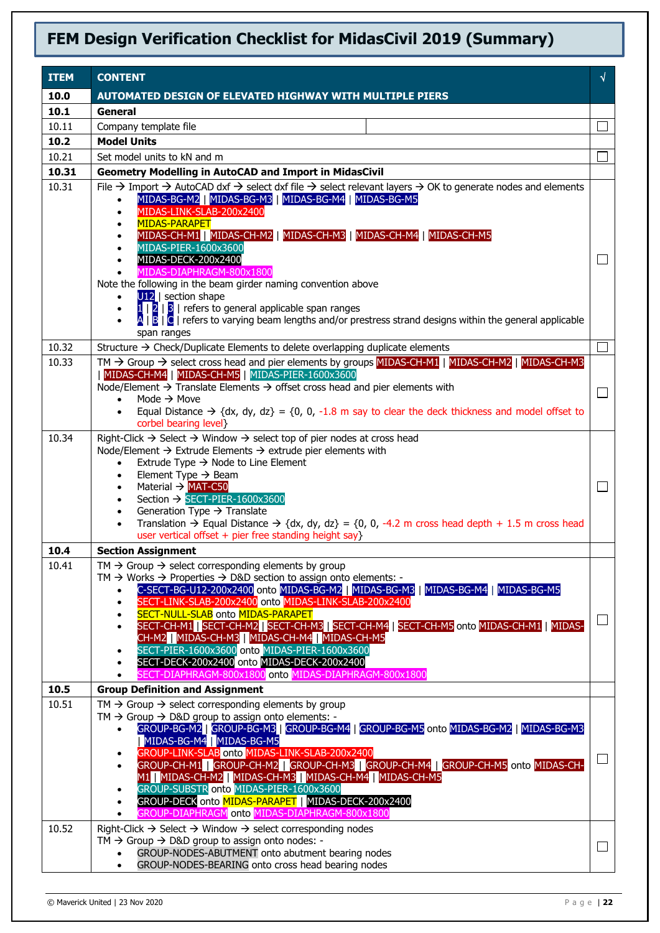| <b>ITEM</b> | <b>CONTENT</b>                                                                                                                                                                                                                                                                                                                                                                                                                                                                                                                                                                                                                                                                                                                                                                                       | $\sqrt{ }$ |
|-------------|------------------------------------------------------------------------------------------------------------------------------------------------------------------------------------------------------------------------------------------------------------------------------------------------------------------------------------------------------------------------------------------------------------------------------------------------------------------------------------------------------------------------------------------------------------------------------------------------------------------------------------------------------------------------------------------------------------------------------------------------------------------------------------------------------|------------|
| 10.0        | <b>AUTOMATED DESIGN OF ELEVATED HIGHWAY WITH MULTIPLE PIERS</b>                                                                                                                                                                                                                                                                                                                                                                                                                                                                                                                                                                                                                                                                                                                                      |            |
| 10.1        | General                                                                                                                                                                                                                                                                                                                                                                                                                                                                                                                                                                                                                                                                                                                                                                                              |            |
| 10.11       | Company template file                                                                                                                                                                                                                                                                                                                                                                                                                                                                                                                                                                                                                                                                                                                                                                                |            |
| 10.2        | <b>Model Units</b>                                                                                                                                                                                                                                                                                                                                                                                                                                                                                                                                                                                                                                                                                                                                                                                   |            |
| 10.21       | Set model units to kN and m                                                                                                                                                                                                                                                                                                                                                                                                                                                                                                                                                                                                                                                                                                                                                                          |            |
| 10.31       | <b>Geometry Modelling in AutoCAD and Import in MidasCivil</b>                                                                                                                                                                                                                                                                                                                                                                                                                                                                                                                                                                                                                                                                                                                                        |            |
| 10.31       | File $\rightarrow$ Import $\rightarrow$ AutoCAD dxf $\rightarrow$ select dxf file $\rightarrow$ select relevant layers $\rightarrow$ OK to generate nodes and elements<br>MIDAS-BG-M2   MIDAS-BG-M3   MIDAS-BG-M4   MIDAS-BG-M5<br>$\bullet$<br>MIDAS-LINK-SLAB-200x2400<br>$\bullet$<br><b>MIDAS-PARAPET</b><br>MIDAS-CH-M1   MIDAS-CH-M2   MIDAS-CH-M3   MIDAS-CH-M4   MIDAS-CH-M5<br>MIDAS-PIER-1600x3600<br>$\bullet$<br>MIDAS-DECK-200x2400<br>$\bullet$<br>MIDAS-DIAPHRAGM-800x1800<br>Note the following in the beam girder naming convention above<br>$U12$   section shape<br>$\bullet$<br>$1/2$   $3/2$   refers to general applicable span ranges<br>$\bullet$<br>A   B   C   refers to varying beam lengths and/or prestress strand designs within the general applicable<br>span ranges |            |
| 10.32       | Structure $\rightarrow$ Check/Duplicate Elements to delete overlapping duplicate elements                                                                                                                                                                                                                                                                                                                                                                                                                                                                                                                                                                                                                                                                                                            | $\Box$     |
| 10.33       | TM $\rightarrow$ Group $\rightarrow$ select cross head and pier elements by groups MIDAS-CH-M1   MIDAS-CH-M2   MIDAS-CH-M3<br>  MIDAS-CH-M4   MIDAS-CH-M5   MIDAS-PIER-1600x3600<br>Node/Element $\rightarrow$ Translate Elements $\rightarrow$ offset cross head and pier elements with<br>Mode $\rightarrow$ Move<br>$\bullet$<br>Equal Distance $\rightarrow$ {dx, dy, dz} = {0, 0, -1.8 m say to clear the deck thickness and model offset to<br>$\bullet$<br>corbel bearing level}                                                                                                                                                                                                                                                                                                              | $\Box$     |
| 10.34       | Right-Click $\rightarrow$ Select $\rightarrow$ Window $\rightarrow$ select top of pier nodes at cross head<br>Node/Element $\rightarrow$ Extrude Elements $\rightarrow$ extrude pier elements with<br>Extrude Type $\rightarrow$ Node to Line Element<br>$\bullet$<br>Element Type $\rightarrow$ Beam<br>$\bullet$<br>Material $\rightarrow$ MAT-C50<br>$\bullet$<br>Section → SECT-PIER-1600x3600<br>$\bullet$<br>Generation Type $\rightarrow$ Translate<br>$\bullet$<br>Translation $\rightarrow$ Equal Distance $\rightarrow$ {dx, dy, dz} = {0, 0, -4.2 m cross head depth + 1.5 m cross head<br>$\bullet$<br>user vertical offset + pier free standing height say}                                                                                                                             |            |
| 10.4        | <b>Section Assignment</b>                                                                                                                                                                                                                                                                                                                                                                                                                                                                                                                                                                                                                                                                                                                                                                            |            |
| 10.41       | $TM \rightarrow$ Group $\rightarrow$ select corresponding elements by group<br>TM $\rightarrow$ Works $\rightarrow$ Properties $\rightarrow$ D&D section to assign onto elements: -<br>C-SECT-BG-U12-200x2400 onto MIDAS-BG-M2   MIDAS-BG-M3<br>MIDAS-BG-M4 MIDAS-BG-M5<br>SECT-LINK-SLAB-200x2400 onto MIDAS-LINK-SLAB-200x2400<br>SECT-NULL-SLAB onto MIDAS-PARAPET<br>SECT-CH-M1   SECT-CH-M2   SECT-CH-M3   SECT-CH-M4   SECT-CH-M5 onto MIDAS-CH-M1   MIDAS-<br>CH-M2   MIDAS-CH-M3   MIDAS-CH-M4   MIDAS-CH-M5<br>SECT-PIER-1600x3600 onto MIDAS-PIER-1600x3600<br>$\bullet$<br>SECT-DECK-200x2400 onto MIDAS-DECK-200x2400<br>SECT-DIAPHRAGM-800x1800 onto MIDAS-DIAPHRAGM-800x1800                                                                                                           | ⊔          |
| 10.5        | <b>Group Definition and Assignment</b>                                                                                                                                                                                                                                                                                                                                                                                                                                                                                                                                                                                                                                                                                                                                                               |            |
| 10.51       | $TM \rightarrow$ Group $\rightarrow$ select corresponding elements by group<br>TM $\rightarrow$ Group $\rightarrow$ D&D group to assign onto elements: -<br>GROUP-BG-M2   GROUP-BG-M3   GROUP-BG-M4   GROUP-BG-M5 onto MIDAS-BG-M2   MIDAS-BG-M3<br>MIDAS-BG-M4   MIDAS-BG-M5<br>GROUP-LINK-SLAB onto MIDAS-LINK-SLAB-200x2400<br>GROUP-CH-M1 GROUP-CH-M2 GROUP-CH-M3 GROUP-CH-M4 GROUP-CH-M5 onto MIDAS-CH-<br>M1 MIDAS-CH-M2 MIDAS-CH-M3 MIDAS-CH-M4 MIDAS-CH-M5<br>GROUP-SUBSTR onto MIDAS-PIER-1600x3600<br>GROUP-DECK onto MIDAS-PARAPET   MIDAS-DECK-200x2400<br>GROUP-DIAPHRAGM onto MIDAS-DIAPHRAGM-800x1800                                                                                                                                                                                 | $\Box$     |
| 10.52       | Right-Click $\rightarrow$ Select $\rightarrow$ Window $\rightarrow$ select corresponding nodes<br>TM $\rightarrow$ Group $\rightarrow$ D&D group to assign onto nodes: -<br>GROUP-NODES-ABUTMENT onto abutment bearing nodes<br>$\bullet$<br>GROUP-NODES-BEARING onto cross head bearing nodes<br>$\bullet$                                                                                                                                                                                                                                                                                                                                                                                                                                                                                          | $\Box$     |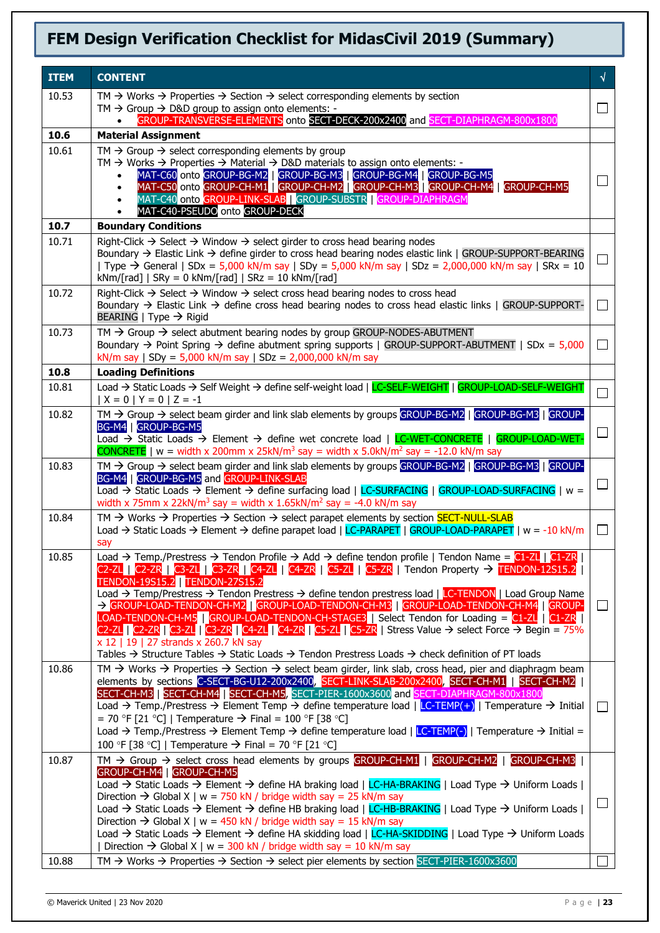| <b>ITEM</b>    | <b>CONTENT</b>                                                                                                                                                                                                                                                                                                                                                                                                                                                                                                                                                                                                                                                                                                                                                                                                                                                                                                                                                             | $\sqrt{ }$    |
|----------------|----------------------------------------------------------------------------------------------------------------------------------------------------------------------------------------------------------------------------------------------------------------------------------------------------------------------------------------------------------------------------------------------------------------------------------------------------------------------------------------------------------------------------------------------------------------------------------------------------------------------------------------------------------------------------------------------------------------------------------------------------------------------------------------------------------------------------------------------------------------------------------------------------------------------------------------------------------------------------|---------------|
| 10.53          | TM $\rightarrow$ Works $\rightarrow$ Properties $\rightarrow$ Section $\rightarrow$ select corresponding elements by section                                                                                                                                                                                                                                                                                                                                                                                                                                                                                                                                                                                                                                                                                                                                                                                                                                               |               |
|                | TM $\rightarrow$ Group $\rightarrow$ D&D group to assign onto elements: -<br>GROUP-TRANSVERSE-ELEMENTS onto SECT-DECK-200x2400 and SECT-DIAPHRAGM-800x1800<br>$\bullet$                                                                                                                                                                                                                                                                                                                                                                                                                                                                                                                                                                                                                                                                                                                                                                                                    | ΙI            |
| 10.6           | <b>Material Assignment</b>                                                                                                                                                                                                                                                                                                                                                                                                                                                                                                                                                                                                                                                                                                                                                                                                                                                                                                                                                 |               |
| 10.61          | TM $\rightarrow$ Group $\rightarrow$ select corresponding elements by group<br>TM $\rightarrow$ Works $\rightarrow$ Properties $\rightarrow$ Material $\rightarrow$ D&D materials to assign onto elements: -<br>MAT-C60 onto GROUP-BG-M2   GROUP-BG-M3   GROUP-BG-M4   GROUP-BG-M5<br>MAT-C50 onto GROUP-CH-M1   GROUP-CH-M2   GROUP-CH-M3   GROUP-CH-M4   GROUP-CH-M5<br>$\bullet$<br>MAT-C40 onto GROUP-LINK-SLAB   GROUP-SUBSTR   GROUP-DIAPHRAGM<br>MAT-C40-PSEUDO onto GROUP-DECK                                                                                                                                                                                                                                                                                                                                                                                                                                                                                     | $\mathcal{L}$ |
| 10.7           | <b>Boundary Conditions</b>                                                                                                                                                                                                                                                                                                                                                                                                                                                                                                                                                                                                                                                                                                                                                                                                                                                                                                                                                 |               |
| 10.71          | Right-Click $\rightarrow$ Select $\rightarrow$ Window $\rightarrow$ select girder to cross head bearing nodes<br>Boundary $\rightarrow$ Elastic Link $\rightarrow$ define girder to cross head bearing nodes elastic link   GROUP-SUPPORT-BEARING<br>  Type → General   SDx = 5,000 kN/m say   SDy = 5,000 kN/m say   SDz = 2,000,000 kN/m say   SRx = 10<br>$kNm/[rad]$   SRy = 0 kNm/[rad]   SRz = 10 kNm/[rad]                                                                                                                                                                                                                                                                                                                                                                                                                                                                                                                                                          |               |
| 10.72          | Right-Click $\rightarrow$ Select $\rightarrow$ Window $\rightarrow$ select cross head bearing nodes to cross head<br>Boundary $\rightarrow$ Elastic Link $\rightarrow$ define cross head bearing nodes to cross head elastic links   GROUP-SUPPORT-<br>BEARING   Type $\rightarrow$ Rigid                                                                                                                                                                                                                                                                                                                                                                                                                                                                                                                                                                                                                                                                                  | ΙI            |
| 10.73          | $TM \rightarrow$ Group $\rightarrow$ select abutment bearing nodes by group GROUP-NODES-ABUTMENT<br>Boundary $\rightarrow$ Point Spring $\rightarrow$ define abutment spring supports   GROUP-SUPPORT-ABUTMENT   SDx = 5,000<br>kN/m say   SDy = 5,000 kN/m say   SDz = 2,000,000 kN/m say                                                                                                                                                                                                                                                                                                                                                                                                                                                                                                                                                                                                                                                                                 | $\mathsf{L}$  |
| 10.8           | <b>Loading Definitions</b>                                                                                                                                                                                                                                                                                                                                                                                                                                                                                                                                                                                                                                                                                                                                                                                                                                                                                                                                                 |               |
| 10.81          | Load → Static Loads → Self Weight → define self-weight load   LC-SELF-WEIGHT   GROUP-LOAD-SELF-WEIGHT<br>$ X = 0   Y = 0   Z = -1$                                                                                                                                                                                                                                                                                                                                                                                                                                                                                                                                                                                                                                                                                                                                                                                                                                         | П             |
| 10.82          | TM $\rightarrow$ Group $\rightarrow$ select beam girder and link slab elements by groups GROUP-BG-M2   GROUP-BG-M3   GROUP-<br>BG-M4   GROUP-BG-M5<br>Load → Static Loads → Element → define wet concrete load   LC-WET-CONCRETE   GROUP-LOAD-WET-<br><b>CONCRETE</b>   w = width x 200mm x 25kN/m <sup>3</sup> say = width x 5.0kN/m <sup>2</sup> say = -12.0 kN/m say                                                                                                                                                                                                                                                                                                                                                                                                                                                                                                                                                                                                    |               |
| 10.83          | TM $\rightarrow$ Group $\rightarrow$ select beam girder and link slab elements by groups GROUP-BG-M2   GROUP-BG-M3   GROUP-<br>BG-M4   GROUP-BG-M5 and GROUP-LINK-SLAB<br>Load $\rightarrow$ Static Loads $\rightarrow$ Element $\rightarrow$ define surfacing load   LC-SURFACING   GROUP-LOAD-SURFACING   w =<br>width x 75mm x 22kN/m <sup>3</sup> say = width x 1.65kN/m <sup>2</sup> say = -4.0 kN/m say                                                                                                                                                                                                                                                                                                                                                                                                                                                                                                                                                              | ΙI            |
| 10.84          | TM $\rightarrow$ Works $\rightarrow$ Properties $\rightarrow$ Section $\rightarrow$ select parapet elements by section <b>SECT-NULL-SLAB</b><br>Load → Static Loads → Element → define parapet load   LC-PARAPET   GROUP-LOAD-PARAPET   w = -10 kN/m<br>say                                                                                                                                                                                                                                                                                                                                                                                                                                                                                                                                                                                                                                                                                                                | $\mathsf{L}$  |
| 10.85          | Load → Temp./Prestress → Tendon Profile → Add → define tendon profile   Tendon Name = C1-ZL   C1-ZR  <br>C2-ZL   C2-ZR   C3-ZL   C3-ZR   C4-ZL   C4-ZR   C5-ZL   C5-ZR   Tendon Property $\rightarrow$ TENDON-12S15.2  <br>TENDON-19S15.2 TENDON-27S15.2<br>Load $\rightarrow$ Temp/Prestress $\rightarrow$ Tendon Prestress $\rightarrow$ define tendon prestress load   LC-TENDON   Load Group Name<br>→ GROUP-LOAD-TENDON-CH-M2   GROUP-LOAD-TENDON-CH-M3   GROUP-LOAD-TENDON-CH-M4   GROUP-<br>LOAD-TENDON-CH-M5   GROUP-LOAD-TENDON-CH-STAGE3   Select Tendon for Loading = C1-ZL   C1-ZR  <br>C2-ZL   C2-ZR   C3-ZL   C3-ZR   C4-ZL   C4-ZR   C5-ZL   C5-ZR   Stress Value $\rightarrow$ select Force $\rightarrow$ Begin = 75%<br>x 12   19   27 strands x 260.7 kN say<br>Tables $\rightarrow$ Structure Tables $\rightarrow$ Static Loads $\rightarrow$ Tendon Prestress Loads $\rightarrow$ check definition of PT loads                                         | $\Box$        |
| 10.86          | TM $\rightarrow$ Works $\rightarrow$ Properties $\rightarrow$ Section $\rightarrow$ select beam girder, link slab, cross head, pier and diaphragm beam<br>elements by sections C-SECT-BG-U12-200x2400, SECT-LINK-SLAB-200x2400, SECT-CH-M1   SECT-CH-M2<br>SECT-CH-M3   SECT-CH-M4   SECT-CH-M5, SECT-PIER-1600x3600 and SECT-DIAPHRAGM-800x1800<br>Load $\rightarrow$ Temp./Prestress $\rightarrow$ Element Temp $\rightarrow$ define temperature load   LC-TEMP(+)   Temperature $\rightarrow$ Initial<br>= 70 °F [21 °C]   Temperature $\rightarrow$ Final = 100 °F [38 °C]<br>Load $\rightarrow$ Temp./Prestress $\rightarrow$ Element Temp $\rightarrow$ define temperature load   LC-TEMP(-)   Temperature $\rightarrow$ Initial =<br>100 °F [38 °C]   Temperature $\rightarrow$ Final = 70 °F [21 °C]                                                                                                                                                               | $\perp$       |
| 10.87<br>10.88 | TM $\rightarrow$ Group $\rightarrow$ select cross head elements by groups GROUP-CH-M1   GROUP-CH-M2  <br>GROUP-CH-M3<br>GROUP-CH-M4 GROUP-CH-M5<br>Load $\rightarrow$ Static Loads $\rightarrow$ Element $\rightarrow$ define HA braking load   LC-HA-BRAKING   Load Type $\rightarrow$ Uniform Loads  <br>Direction $\rightarrow$ Global X   w = 750 kN / bridge width say = 25 kN/m say<br>Load → Static Loads → Element → define HB braking load   LC-HB-BRAKING   Load Type → Uniform Loads  <br>Direction $\rightarrow$ Global X   w = 450 kN / bridge width say = 15 kN/m say<br>Load $\rightarrow$ Static Loads $\rightarrow$ Element $\rightarrow$ define HA skidding load   LC-HA-SKIDDING   Load Type $\rightarrow$ Uniform Loads<br>  Direction $\rightarrow$ Global X   w = 300 kN / bridge width say = 10 kN/m say<br>TM $\rightarrow$ Works $\rightarrow$ Properties $\rightarrow$ Section $\rightarrow$ select pier elements by section SECT-PIER-1600x3600 | $\perp$       |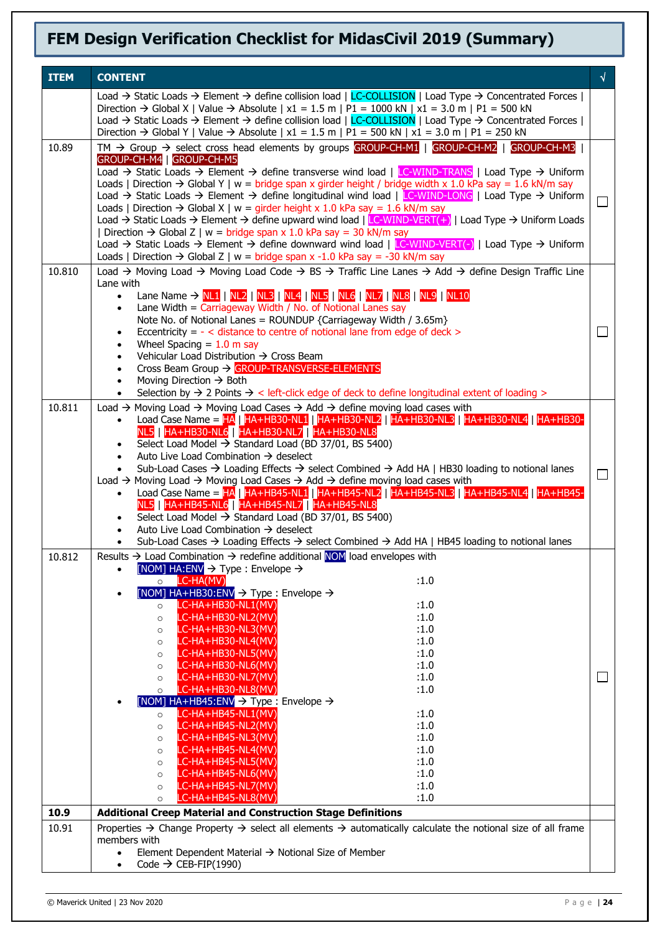| <b>ITEM</b> | <b>CONTENT</b>                                                                                                                                                                                                                                                                                                                                                                                                                                                                                                                                                                                                                                                                                                                                                                                                                                                                                                                                                                                                                                                                                                                                                                 |        |
|-------------|--------------------------------------------------------------------------------------------------------------------------------------------------------------------------------------------------------------------------------------------------------------------------------------------------------------------------------------------------------------------------------------------------------------------------------------------------------------------------------------------------------------------------------------------------------------------------------------------------------------------------------------------------------------------------------------------------------------------------------------------------------------------------------------------------------------------------------------------------------------------------------------------------------------------------------------------------------------------------------------------------------------------------------------------------------------------------------------------------------------------------------------------------------------------------------|--------|
|             | Load $\rightarrow$ Static Loads $\rightarrow$ Element $\rightarrow$ define collision load   LC-COLLISION   Load Type $\rightarrow$ Concentrated Forces  <br>Direction $\rightarrow$ Global X   Value $\rightarrow$ Absolute   x1 = 1.5 m   P1 = 1000 kN   x1 = 3.0 m   P1 = 500 kN<br>Load $\rightarrow$ Static Loads $\rightarrow$ Element $\rightarrow$ define collision load   LC-COLLISION   Load Type $\rightarrow$ Concentrated Forces  <br>Direction $\rightarrow$ Global Y   Value $\rightarrow$ Absolute   x1 = 1.5 m   P1 = 500 kN   x1 = 3.0 m   P1 = 250 kN                                                                                                                                                                                                                                                                                                                                                                                                                                                                                                                                                                                                        |        |
| 10.89       | TM $\rightarrow$ Group $\rightarrow$ select cross head elements by groups GROUP-CH-M1   GROUP-CH-M2   GROUP-CH-M3  <br>GROUP-CH-M4   GROUP-CH-M5<br>Load $\rightarrow$ Static Loads $\rightarrow$ Element $\rightarrow$ define transverse wind load   LC-WIND-TRANS   Load Type $\rightarrow$ Uniform<br>Loads   Direction $\rightarrow$ Global Y   w = bridge span x girder height / bridge width x 1.0 kPa say = 1.6 kN/m say<br>Load $\rightarrow$ Static Loads $\rightarrow$ Element $\rightarrow$ define longitudinal wind load   LC-WIND-LONG   Load Type $\rightarrow$ Uniform<br>Loads   Direction $\rightarrow$ Global X   w = girder height x 1.0 kPa say = 1.6 kN/m say<br>Load $\rightarrow$ Static Loads $\rightarrow$ Element $\rightarrow$ define upward wind load   LC-WIND-VERT(+)   Load Type $\rightarrow$ Uniform Loads<br>Direction $\rightarrow$ Global Z   w = bridge span x 1.0 kPa say = 30 kN/m say<br>Load $\rightarrow$ Static Loads $\rightarrow$ Element $\rightarrow$ define downward wind load   LC-WIND-VERT(-)   Load Type $\rightarrow$ Uniform<br>Loads   Direction $\rightarrow$ Global Z   w = bridge span x -1.0 kPa say = -30 kN/m say | $\Box$ |
| 10.810      | Load → Moving Load → Moving Load Code → BS → Traffic Line Lanes → Add → define Design Traffic Line<br>Lane with<br>Lane Name $\rightarrow$ NL1   NL2   NL3   NL4   NL5   NL6   NL7   NL8   NL9   NL10<br>$\bullet$<br>Lane Width = $Carriageway Width / No. of Notional Lines say$<br>$\bullet$<br>Note No. of Notional Lanes = ROUNDUP {Carriageway Width / 3.65m}<br>Eccentricity = $-$ < distance to centre of notional lane from edge of deck ><br>$\bullet$<br>Wheel Spacing $= 1.0$ m say<br>$\bullet$<br>Vehicular Load Distribution → Cross Beam<br>$\bullet$<br>Cross Beam Group → GROUP-TRANSVERSE-ELEMENTS<br>$\bullet$<br>Moving Direction $\rightarrow$ Both<br>$\bullet$<br>Selection by $\rightarrow$ 2 Points $\rightarrow$ < left-click edge of deck to define longitudinal extent of loading >                                                                                                                                                                                                                                                                                                                                                               | ΙI     |
| 10.811      | Load $\rightarrow$ Moving Load $\rightarrow$ Moving Load Cases $\rightarrow$ Add $\rightarrow$ define moving load cases with<br>Load Case Name = HA   HA+HB30-NL1   HA+HB30-NL2   HA+HB30-NL3   HA+HB30-NL4   HA+HB30-<br>$\bullet$<br>NL5   HA+HB30-NL6   HA+HB30-NL7   HA+HB30-NL8<br>Select Load Model $\rightarrow$ Standard Load (BD 37/01, BS 5400)<br>Auto Live Load Combination $\rightarrow$ deselect<br>$\bullet$<br>Sub-Load Cases $\rightarrow$ Loading Effects $\rightarrow$ select Combined $\rightarrow$ Add HA   HB30 loading to notional lanes<br>Load $\rightarrow$ Moving Load $\rightarrow$ Moving Load Cases $\rightarrow$ Add $\rightarrow$ define moving load cases with<br>Load Case Name = HA   HA+HB45-NL1   HA+HB45-NL2   HA+HB45-NL3   HA+HB45-NL4   HA+HB45-<br>NL5   HA+HB45-NL6   HA+HB45-NL7   HA+HB45-NL8<br>Select Load Model → Standard Load (BD 37/01, BS 5400)<br>Auto Live Load Combination $\rightarrow$ deselect<br>Sub-Load Cases $\rightarrow$ Loading Effects $\rightarrow$ select Combined $\rightarrow$ Add HA   HB45 loading to notional lanes<br>$\bullet$                                                                      | $\Box$ |
| 10.812      | Results → Load Combination → redefine additional NOM load envelopes with<br>[NOM] $HA:ENV \rightarrow Type: Envelope \rightarrow$<br>$\bullet$<br>LC-HA(MV)<br>:1.0<br>$\circ$<br>[NOM] HA+HB30:ENV $\rightarrow$ Type : Envelope $\rightarrow$<br>$\bullet$<br>LC-HA+HB30-NL1(MV)<br>:1.0<br>$\circ$<br>LC-HA+HB30-NL2(MV)<br>:1.0<br>$\circ$<br>:1.0<br>LC-HA+HB30-NL3(MV)<br>$\circ$<br>LC-HA+HB30-NL4(MV)<br>:1.0<br>$\circ$<br>LC-HA+HB30-NL5(MV)<br>:1.0<br>$\circ$<br>LC-HA+HB30-NL6(MV)<br>:1.0<br>$\circ$<br>LC-HA+HB30-NL7(MV)<br>:1.0<br>$\circ$<br>LC-HA+HB30-NL8(MV)<br>:1.0<br>$\circ$<br>[NOM] HA+HB45:ENV $\rightarrow$ Type : Envelope $\rightarrow$<br>LC-HA+HB45-NL1(MV)<br>:1.0<br>$\circ$<br>:1.0<br>LC-HA+HB45-NL2(MV)<br>$\circ$<br>:1.0<br>LC-HA+HB45-NL3(MV)<br>$\circ$<br>LC-HA+HB45-NL4(MV)<br>:1.0<br>$\circ$<br>:1.0<br>LC-HA+HB45-NL5(MV)<br>$\circ$<br>:1.0<br>LC-HA+HB45-NL6(MV)<br>$\circ$<br>LC-HA+HB45-NL7(MV)<br>:1.0<br>$\circ$<br>: 1.0<br>LC-HA+HB45-NL8(MV)<br>$\circ$                                                                                                                                                                 | ⊔      |
| 10.9        | <b>Additional Creep Material and Construction Stage Definitions</b>                                                                                                                                                                                                                                                                                                                                                                                                                                                                                                                                                                                                                                                                                                                                                                                                                                                                                                                                                                                                                                                                                                            |        |
| 10.91       | Properties $\rightarrow$ Change Property $\rightarrow$ select all elements $\rightarrow$ automatically calculate the notional size of all frame<br>members with<br>Element Dependent Material $\rightarrow$ Notional Size of Member<br>Code $\rightarrow$ CEB-FIP(1990)                                                                                                                                                                                                                                                                                                                                                                                                                                                                                                                                                                                                                                                                                                                                                                                                                                                                                                        |        |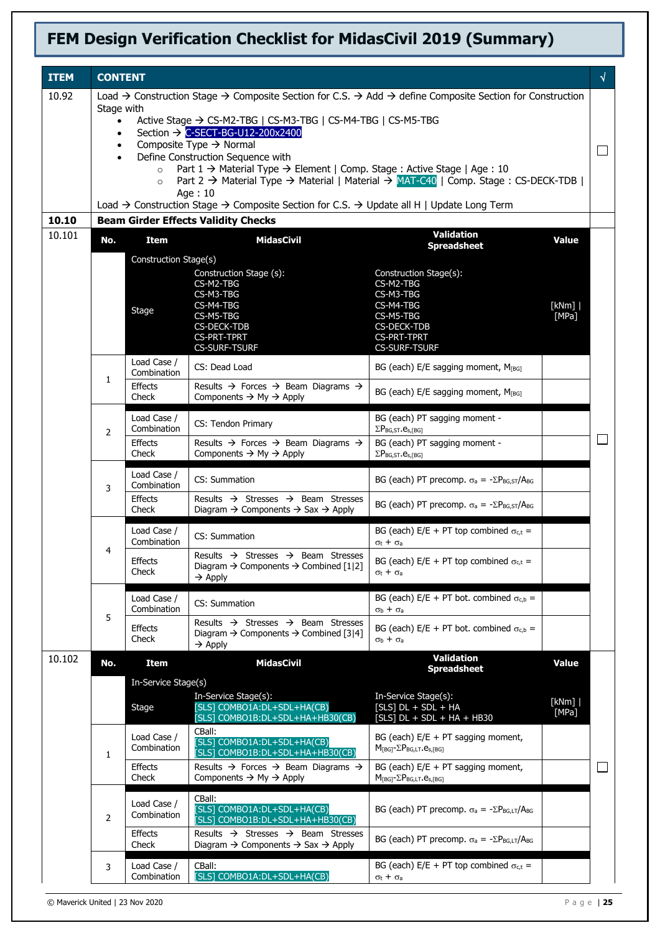| <b>ITEM</b>     | <b>CONTENT</b>                                                                                                                                                                                                                                                                                                                                         |                            |                                                                                                                                                    |                                                                                              | √              |  |
|-----------------|--------------------------------------------------------------------------------------------------------------------------------------------------------------------------------------------------------------------------------------------------------------------------------------------------------------------------------------------------------|----------------------------|----------------------------------------------------------------------------------------------------------------------------------------------------|----------------------------------------------------------------------------------------------|----------------|--|
| 10.92           | Load $\rightarrow$ Construction Stage $\rightarrow$ Composite Section for C.S. $\rightarrow$ Add $\rightarrow$ define Composite Section for Construction                                                                                                                                                                                               |                            |                                                                                                                                                    |                                                                                              |                |  |
|                 | Stage with<br>Active Stage → CS-M2-TBG   CS-M3-TBG   CS-M4-TBG   CS-M5-TBG<br>$\bullet$                                                                                                                                                                                                                                                                |                            |                                                                                                                                                    |                                                                                              |                |  |
|                 | Section → C-SECT-BG-U12-200x2400<br>$\bullet$                                                                                                                                                                                                                                                                                                          |                            |                                                                                                                                                    |                                                                                              |                |  |
|                 | Composite Type $\rightarrow$ Normal<br>$\bullet$<br>Define Construction Sequence with<br>Part $1 \rightarrow$ Material Type $\rightarrow$ Element   Comp. Stage : Active Stage   Age : 10<br>$\circ$<br>Part 2 $\rightarrow$ Material Type $\rightarrow$ Material   Material $\rightarrow$ MAT-C40   Comp. Stage : CS-DECK-TDB  <br>$\circ$<br>Age: 10 |                            |                                                                                                                                                    |                                                                                              |                |  |
|                 |                                                                                                                                                                                                                                                                                                                                                        |                            |                                                                                                                                                    |                                                                                              |                |  |
|                 |                                                                                                                                                                                                                                                                                                                                                        |                            |                                                                                                                                                    |                                                                                              |                |  |
|                 | Load → Construction Stage → Composite Section for C.S. → Update all H   Update Long Term                                                                                                                                                                                                                                                               |                            |                                                                                                                                                    |                                                                                              |                |  |
| 10.10<br>10.101 |                                                                                                                                                                                                                                                                                                                                                        |                            | <b>Beam Girder Effects Validity Checks</b>                                                                                                         | <b>Validation</b>                                                                            |                |  |
|                 | No.                                                                                                                                                                                                                                                                                                                                                    | <b>Item</b>                | <b>MidasCivil</b>                                                                                                                                  | <b>Spreadsheet</b>                                                                           | <b>Value</b>   |  |
|                 |                                                                                                                                                                                                                                                                                                                                                        | Construction Stage(s)      | Construction Stage (s):<br>CS-M2-TBG<br>CS-M3-TBG                                                                                                  | Construction Stage(s):<br>CS-M2-TBG<br>CS-M3-TBG                                             |                |  |
|                 |                                                                                                                                                                                                                                                                                                                                                        | Stage                      | CS-M4-TBG<br>CS-M5-TBG<br><b>CS-DECK-TDB</b><br><b>CS-PRT-TPRT</b><br><b>CS-SURF-TSURF</b>                                                         | CS-M4-TBG<br>CS-M5-TBG<br><b>CS-DECK-TDB</b><br><b>CS-PRT-TPRT</b><br><b>CS-SURF-TSURF</b>   | [kNm]<br>[MPa] |  |
|                 | 1                                                                                                                                                                                                                                                                                                                                                      | Load Case /<br>Combination | CS: Dead Load                                                                                                                                      | BG (each) E/E sagging moment, M[BG]                                                          |                |  |
|                 |                                                                                                                                                                                                                                                                                                                                                        | <b>Effects</b><br>Check    | Results $\rightarrow$ Forces $\rightarrow$ Beam Diagrams $\rightarrow$<br>Components $\rightarrow$ My $\rightarrow$ Apply                          | BG (each) $E/E$ sagging moment, $M_{[BG]}$                                                   |                |  |
|                 | 2                                                                                                                                                                                                                                                                                                                                                      | Load Case /<br>Combination | CS: Tendon Primary                                                                                                                                 | BG (each) PT sagging moment -<br>$\Sigma P_{BG,ST}.e_{s,[BG]}$                               |                |  |
|                 |                                                                                                                                                                                                                                                                                                                                                        | <b>Effects</b><br>Check    | Results $\rightarrow$ Forces $\rightarrow$ Beam Diagrams $\rightarrow$<br>Components $\rightarrow$ My $\rightarrow$ Apply                          | BG (each) PT sagging moment -<br>$\Sigma P_{BG,ST}$ . $e_{s,[BG]}$                           |                |  |
|                 | 3                                                                                                                                                                                                                                                                                                                                                      | Load Case /<br>Combination | CS: Summation                                                                                                                                      | BG (each) PT precomp. $\sigma_a = -\Sigma P_{BG,ST}/A_{BG}$                                  |                |  |
|                 |                                                                                                                                                                                                                                                                                                                                                        | <b>Effects</b><br>Check    | Results $\rightarrow$ Stresses $\rightarrow$ Beam Stresses<br>Diagram $\rightarrow$ Components $\rightarrow$ Sax $\rightarrow$ Apply               | BG (each) PT precomp. $\sigma_a = -\Sigma P_{BG,ST}/A_{BG}$                                  |                |  |
|                 | 4                                                                                                                                                                                                                                                                                                                                                      | Load Case /<br>Combination | CS: Summation                                                                                                                                      | BG (each) E/E + PT top combined $\sigma_{c,t}$ =<br>$\sigma_t + \sigma_a$                    |                |  |
|                 |                                                                                                                                                                                                                                                                                                                                                        | Effects<br>Check           | Results $\rightarrow$ Stresses $\rightarrow$ Beam Stresses<br>Diagram $\rightarrow$ Components $\rightarrow$ Combined [1 2]<br>$\rightarrow$ Apply | BG (each) E/E + PT top combined $\sigma_{c,t}$ =<br>$\sigma_t + \sigma_a$                    |                |  |
|                 | 5                                                                                                                                                                                                                                                                                                                                                      | Load Case /<br>Combination | CS: Summation                                                                                                                                      | BG (each) E/E + PT bot. combined $\sigma_{c,b}$ =<br>$\sigma_b + \sigma_a$                   |                |  |
|                 |                                                                                                                                                                                                                                                                                                                                                        | Effects<br>Check           | Results $\rightarrow$ Stresses $\rightarrow$ Beam Stresses<br>Diagram $\rightarrow$ Components $\rightarrow$ Combined [3]4]<br>$\rightarrow$ Apply | BG (each) E/E + PT bot. combined $\sigma_{c,b}$ =<br>$\sigma_b + \sigma_a$                   |                |  |
| 10.102          | No.                                                                                                                                                                                                                                                                                                                                                    | Item                       | <b>MidasCivil</b>                                                                                                                                  | <b>Validation</b><br><b>Spreadsheet</b>                                                      | <b>Value</b>   |  |
|                 |                                                                                                                                                                                                                                                                                                                                                        | In-Service Stage(s)        |                                                                                                                                                    |                                                                                              |                |  |
|                 |                                                                                                                                                                                                                                                                                                                                                        | Stage                      | In-Service Stage(s):<br>[SLS] COMBO1A:DL+SDL+HA(CB)<br>[SLS] COMBO1B:DL+SDL+HA+HB30(CB)                                                            | In-Service Stage(s):<br>$[SLS]$ DL + SDL + HA<br>$[SLS]$ DL + SDL + HA + HB30                | [kNm]<br>[MPa] |  |
|                 | 1                                                                                                                                                                                                                                                                                                                                                      | Load Case /<br>Combination | CBall:<br>[SLS] COMBO1A:DL+SDL+HA(CB)<br>[SLS] COMBO1B:DL+SDL+HA+HB30(CB)                                                                          | BG (each) $E/E + PT$ sagging moment,<br>$M_{[BG]}$ - $\Sigma P_{BG,LT}$ .e <sub>s,[BG]</sub> |                |  |
|                 |                                                                                                                                                                                                                                                                                                                                                        | <b>Effects</b><br>Check    | Results $\rightarrow$ Forces $\rightarrow$ Beam Diagrams $\rightarrow$<br>Components $\rightarrow$ My $\rightarrow$ Apply                          | BG (each) $E/E + PT$ sagging moment,<br>$M_{[BG]}$ - $\Sigma P_{BG,LT}$ .e <sub>s,[BG]</sub> |                |  |
|                 | $\overline{2}$                                                                                                                                                                                                                                                                                                                                         | Load Case /<br>Combination | CBall:<br>[SLS] COMBO1A:DL+SDL+HA(CB)<br>[SLS] COMBO1B:DL+SDL+HA+HB30(CB)                                                                          | BG (each) PT precomp. $\sigma_a = -\Sigma P_{BG,LT}/A_{BG}$                                  |                |  |
|                 |                                                                                                                                                                                                                                                                                                                                                        | <b>Effects</b><br>Check    | Results $\rightarrow$ Stresses $\rightarrow$ Beam Stresses<br>Diagram $\rightarrow$ Components $\rightarrow$ Sax $\rightarrow$ Apply               | BG (each) PT precomp. $\sigma_a = -\Sigma P_{BG,LT}/A_{BG}$                                  |                |  |
|                 | 3                                                                                                                                                                                                                                                                                                                                                      | Load Case /<br>Combination | CBall:<br>[SLS] COMBO1A:DL+SDL+HA(CB)                                                                                                              | BG (each) E/E + PT top combined $\sigma_{c,t}$ =<br>$\sigma_t + \sigma_a$                    |                |  |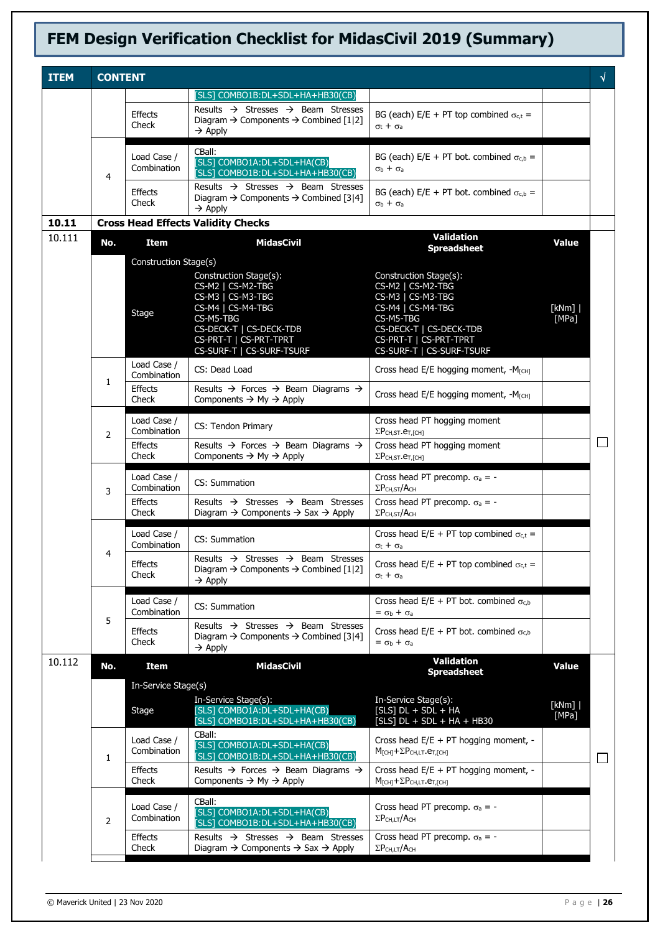| <b>ITEM</b> | <b>CONTENT</b> |                            |                                                                                                                                                                                      |                                                                                                                                                                                      |                | √      |
|-------------|----------------|----------------------------|--------------------------------------------------------------------------------------------------------------------------------------------------------------------------------------|--------------------------------------------------------------------------------------------------------------------------------------------------------------------------------------|----------------|--------|
|             |                |                            | [SLS] COMBO1B:DL+SDL+HA+HB30(CB)                                                                                                                                                     |                                                                                                                                                                                      |                |        |
|             |                | Effects<br>Check           | Results $\rightarrow$ Stresses $\rightarrow$ Beam Stresses<br>Diagram $\rightarrow$ Components $\rightarrow$ Combined [1 2]<br>$\rightarrow$ Apply                                   | BG (each) E/E + PT top combined $\sigma_{c,t}$ =<br>$\sigma_t + \sigma_a$                                                                                                            |                |        |
|             | 4              | Load Case /<br>Combination | CBall:<br>[SLS] COMBO1A:DL+SDL+HA(CB)<br>[SLS] COMBO1B:DL+SDL+HA+HB30(CB)                                                                                                            | BG (each) E/E + PT bot. combined $\sigma_{c,b}$ =<br>$\sigma_b + \sigma_a$                                                                                                           |                |        |
|             |                | Effects<br>Check           | Results $\rightarrow$ Stresses $\rightarrow$ Beam Stresses<br>Diagram $\rightarrow$ Components $\rightarrow$ Combined [3]4]<br>$\rightarrow$ Apply                                   | BG (each) E/E + PT bot. combined $\sigma_{c,b}$ =<br>$\sigma_b + \sigma_a$                                                                                                           |                |        |
| 10.11       |                |                            | <b>Cross Head Effects Validity Checks</b>                                                                                                                                            |                                                                                                                                                                                      |                |        |
| 10.111      | No.            | Item                       | <b>MidasCivil</b>                                                                                                                                                                    | <b>Validation</b><br><b>Spreadsheet</b>                                                                                                                                              | <b>Value</b>   |        |
|             |                | Construction Stage(s)      |                                                                                                                                                                                      |                                                                                                                                                                                      |                |        |
|             |                | Stage                      | Construction Stage(s):<br>CS-M2   CS-M2-TBG<br>CS-M3   CS-M3-TBG<br>CS-M4   CS-M4-TBG<br>CS-M5-TBG<br>CS-DECK-T   CS-DECK-TDB<br>CS-PRT-T   CS-PRT-TPRT<br>CS-SURF-T   CS-SURF-TSURF | Construction Stage(s):<br>CS-M2   CS-M2-TBG<br>CS-M3   CS-M3-TBG<br>CS-M4   CS-M4-TBG<br>CS-M5-TBG<br>CS-DECK-T   CS-DECK-TDB<br>CS-PRT-T   CS-PRT-TPRT<br>CS-SURF-T   CS-SURF-TSURF | [kNm]<br>[MPa] |        |
|             |                | Load Case /<br>Combination | CS: Dead Load                                                                                                                                                                        | Cross head E/E hogging moment, -M <sub>ICH1</sub>                                                                                                                                    |                |        |
|             | 1              | Effects<br>Check           | Results $\rightarrow$ Forces $\rightarrow$ Beam Diagrams $\rightarrow$<br>Components $\rightarrow$ My $\rightarrow$ Apply                                                            | Cross head E/E hogging moment, -M <sub>ICHI</sub>                                                                                                                                    |                |        |
|             | $\overline{2}$ | Load Case /<br>Combination | CS: Tendon Primary                                                                                                                                                                   | Cross head PT hogging moment<br>$\Sigma P$ CH, ST. $er$ , [CH]                                                                                                                       |                |        |
|             |                | Effects<br>Check           | Results $\rightarrow$ Forces $\rightarrow$ Beam Diagrams $\rightarrow$<br>Components $\rightarrow$ My $\rightarrow$ Apply                                                            | Cross head PT hogging moment<br>$\Sigma P_{CH,ST}.e_{T,[CH]}$                                                                                                                        |                |        |
|             | 3              | Load Case /<br>Combination | CS: Summation                                                                                                                                                                        | Cross head PT precomp. $\sigma_a = -$<br>$\Sigma P$ CH, ST/ACH                                                                                                                       |                |        |
|             |                | <b>Effects</b><br>Check    | Results $\rightarrow$ Stresses $\rightarrow$ Beam Stresses<br>Diagram $\rightarrow$ Components $\rightarrow$ Sax $\rightarrow$ Apply                                                 | Cross head PT precomp. $\sigma_a$ = -<br>$\Sigma P_{CH,ST}/A_{CH}$                                                                                                                   |                |        |
|             | 4              | Load Case /<br>Combination | CS: Summation                                                                                                                                                                        | Cross head E/E + PT top combined $\sigma_{c,t}$ =<br>$\sigma_t + \sigma_a$                                                                                                           |                |        |
|             |                | <b>Effects</b><br>Check    | Results $\rightarrow$ Stresses $\rightarrow$ Beam Stresses<br>Diagram $\rightarrow$ Components $\rightarrow$ Combined [1 2]<br>$\rightarrow$ Apply                                   | Cross head E/E + PT top combined $\sigma_{c,t}$ =<br>$\sigma_t + \sigma_a$                                                                                                           |                |        |
|             | 5              | Load Case /<br>Combination | CS: Summation                                                                                                                                                                        | Cross head $E/E + PT$ bot. combined $\sigma_{c,b}$<br>$=$ $\sigma_b$ + $\sigma_a$                                                                                                    |                |        |
|             |                | Effects<br>Check           | Results $\rightarrow$ Stresses $\rightarrow$ Beam Stresses<br>Diagram $\rightarrow$ Components $\rightarrow$ Combined [3]4]<br>$\rightarrow$ Apply                                   | Cross head E/E + PT bot. combined $\sigma_{cb}$<br>$=$ $\sigma_b$ + $\sigma_a$                                                                                                       |                |        |
| 10.112      | No.            | <b>Item</b>                | <b>MidasCivil</b>                                                                                                                                                                    | <b>Validation</b><br><b>Spreadsheet</b>                                                                                                                                              | <b>Value</b>   |        |
|             |                | In-Service Stage(s)        |                                                                                                                                                                                      |                                                                                                                                                                                      |                |        |
|             |                | Stage                      | In-Service Stage(s):<br>[SLS] COMBO1A:DL+SDL+HA(CB)<br>[SLS] COMBO1B:DL+SDL+HA+HB30(CB)                                                                                              | In-Service Stage(s):<br>$[SLS]$ DL + SDL + HA<br>$[SLS]$ DL + SDL + HA + HB30                                                                                                        | [kNm]<br>[MPa] |        |
|             | 1              | Load Case /<br>Combination | CBall:<br>[SLS] COMBO1A:DL+SDL+HA(CB)<br>[SLS] COMBO1B:DL+SDL+HA+HB30(CB)                                                                                                            | Cross head E/E + PT hogging moment, -<br>$M_{\text{[CH]}+ \Sigma P_{\text{CH,LT}} \cdot \mathbf{e}_{\text{T,[CH]}}$                                                                  |                | $\sim$ |
|             |                | <b>Effects</b><br>Check    | Results $\rightarrow$ Forces $\rightarrow$ Beam Diagrams $\rightarrow$<br>Components $\rightarrow$ My $\rightarrow$ Apply                                                            | Cross head E/E + PT hogging moment, -<br>$M_{\text{[CH]}+ \Sigma} P_{\text{CH,LT}}. e_{T,\text{[CH]}}$                                                                               |                |        |
|             | 2              | Load Case /<br>Combination | CBall:<br>[SLS] COMBO1A: DL+SDL+HA(CB)<br>[SLS] COMBO1B:DL+SDL+HA+HB30(CB)                                                                                                           | Cross head PT precomp. $\sigma_a = -$<br>$\Sigma P$ CH,LT/ACH                                                                                                                        |                |        |
|             |                | <b>Effects</b><br>Check    | Results $\rightarrow$ Stresses $\rightarrow$ Beam Stresses<br>Diagram $\rightarrow$ Components $\rightarrow$ Sax $\rightarrow$ Apply                                                 | Cross head PT precomp. $\sigma_a = -$<br>$\Sigma P$ CH,LT/ACH                                                                                                                        |                |        |